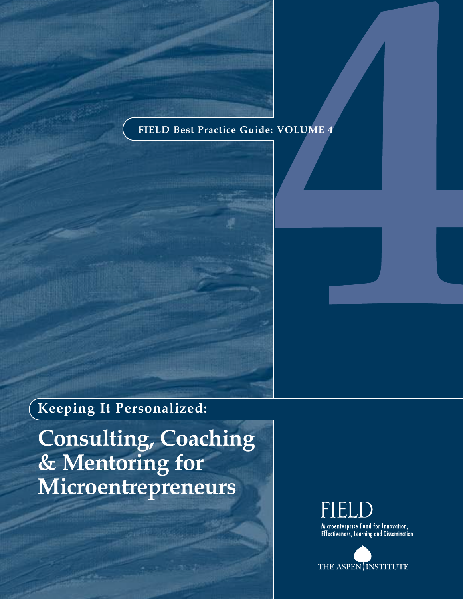# **FIELD Best Practice Guide: VOLUME 4**

# **Keeping It Personalized:**

**Consulting, Coaching & Mentoring for Microentrepreneurs**

> Microenterprise Fund for Innovation, **Effectiveness, Learning and Dissemination**

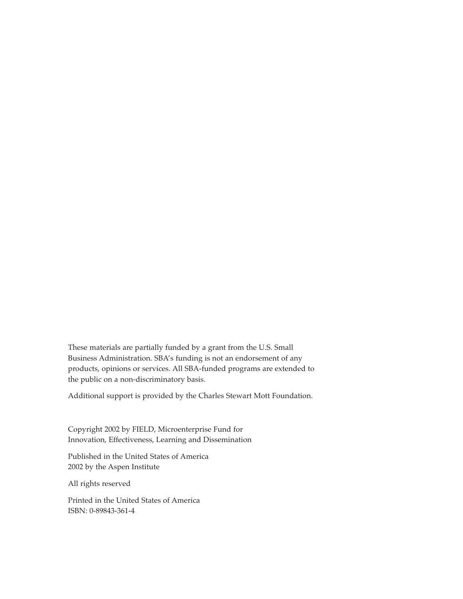These materials are partially funded by a grant from the U.S. Small Business Administration. SBA's funding is not an endorsement of any products, opinions or services. All SBA-funded programs are extended to the public on a non-discriminatory basis.

Additional support is provided by the Charles Stewart Mott Foundation.

Copyright 2002 by FIELD, Microenterprise Fund for Innovation, Effectiveness, Learning and Dissemination

Published in the United States of America 2002 by the Aspen Institute

All rights reserved

Printed in the United States of America ISBN: 0-89843-361-4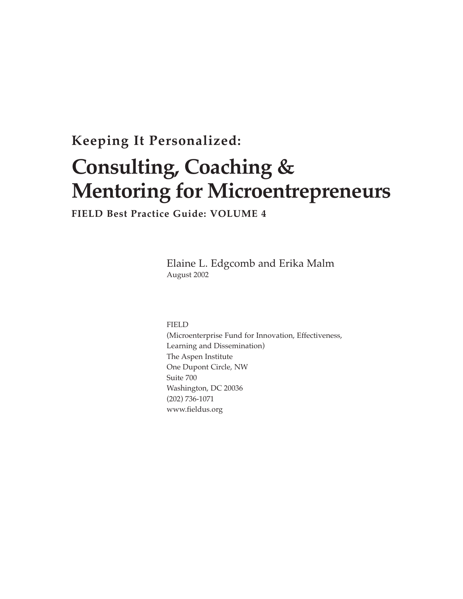# **Keeping It Personalized:**

# **Consulting, Coaching & Mentoring for Microentrepreneurs**

**FIELD Best Practice Guide: VOLUME 4**

Elaine L. Edgcomb and Erika Malm August 2002

FIELD

(Microenterprise Fund for Innovation, Effectiveness, Learning and Dissemination) The Aspen Institute One Dupont Circle, NW Suite 700 Washington, DC 20036 (202) 736-1071 www.fieldus.org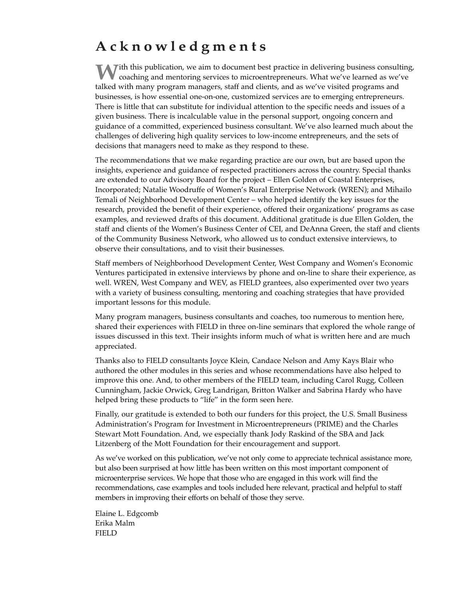# **Acknowledgments**

**W**ith this publication, we aim to document best practice in delivering business consulting, coaching and mentoring services to microentrepreneurs. What we've learned as we've talked with many program managers, staff and clients, and as we've visited programs and businesses, is how essential one-on-one, customized services are to emerging entrepreneurs. There is little that can substitute for individual attention to the specific needs and issues of a given business. There is incalculable value in the personal support, ongoing concern and guidance of a committed, experienced business consultant. We've also learned much about the challenges of delivering high quality services to low-income entrepreneurs, and the sets of decisions that managers need to make as they respond to these.

The recommendations that we make regarding practice are our own, but are based upon the insights, experience and guidance of respected practitioners across the country. Special thanks are extended to our Advisory Board for the project – Ellen Golden of Coastal Enterprises, Incorporated; Natalie Woodruffe of Women's Rural Enterprise Network (WREN); and Mihailo Temali of Neighborhood Development Center – who helped identify the key issues for the research, provided the benefit of their experience, offered their organizations' programs as case examples, and reviewed drafts of this document. Additional gratitude is due Ellen Golden, the staff and clients of the Women's Business Center of CEI, and DeAnna Green, the staff and clients of the Community Business Network, who allowed us to conduct extensive interviews, to observe their consultations, and to visit their businesses.

Staff members of Neighborhood Development Center, West Company and Women's Economic Ventures participated in extensive interviews by phone and on-line to share their experience, as well. WREN, West Company and WEV, as FIELD grantees, also experimented over two years with a variety of business consulting, mentoring and coaching strategies that have provided important lessons for this module.

Many program managers, business consultants and coaches, too numerous to mention here, shared their experiences with FIELD in three on-line seminars that explored the whole range of issues discussed in this text. Their insights inform much of what is written here and are much appreciated.

Thanks also to FIELD consultants Joyce Klein, Candace Nelson and Amy Kays Blair who authored the other modules in this series and whose recommendations have also helped to improve this one. And, to other members of the FIELD team, including Carol Rugg, Colleen Cunningham, Jackie Orwick, Greg Landrigan, Britton Walker and Sabrina Hardy who have helped bring these products to "life" in the form seen here.

Finally, our gratitude is extended to both our funders for this project, the U.S. Small Business Administration's Program for Investment in Microentrepreneurs (PRIME) and the Charles Stewart Mott Foundation. And, we especially thank Jody Raskind of the SBA and Jack Litzenberg of the Mott Foundation for their encouragement and support.

As we've worked on this publication, we've not only come to appreciate technical assistance more, but also been surprised at how little has been written on this most important component of microenterprise services. We hope that those who are engaged in this work will find the recommendations, case examples and tools included here relevant, practical and helpful to staff members in improving their efforts on behalf of those they serve.

Elaine L. Edgcomb Erika Malm FIELD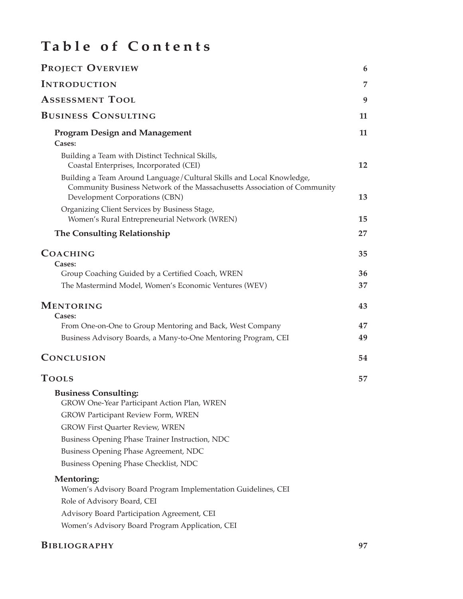# **Table of Contents**

| <b>PROJECT OVERVIEW</b>                                                                                                                                                            | 6  |
|------------------------------------------------------------------------------------------------------------------------------------------------------------------------------------|----|
| <b>INTRODUCTION</b>                                                                                                                                                                | 7  |
| <b>ASSESSMENT TOOL</b>                                                                                                                                                             | 9  |
| <b>BUSINESS CONSULTING</b>                                                                                                                                                         | 11 |
| <b>Program Design and Management</b><br>Cases:                                                                                                                                     | 11 |
| Building a Team with Distinct Technical Skills,<br>Coastal Enterprises, Incorporated (CEI)                                                                                         | 12 |
| Building a Team Around Language/Cultural Skills and Local Knowledge,<br>Community Business Network of the Massachusetts Association of Community<br>Development Corporations (CBN) | 13 |
| Organizing Client Services by Business Stage,<br>Women's Rural Entrepreneurial Network (WREN)                                                                                      | 15 |
| <b>The Consulting Relationship</b>                                                                                                                                                 | 27 |
| <b>COACHING</b><br>Cases:                                                                                                                                                          | 35 |
| Group Coaching Guided by a Certified Coach, WREN                                                                                                                                   | 36 |
| The Mastermind Model, Women's Economic Ventures (WEV)                                                                                                                              | 37 |
| MENTORING<br>Cases:                                                                                                                                                                | 43 |
| From One-on-One to Group Mentoring and Back, West Company                                                                                                                          | 47 |
| Business Advisory Boards, a Many-to-One Mentoring Program, CEI                                                                                                                     | 49 |
| CONCLUSION                                                                                                                                                                         | 54 |
| <b>TOOLS</b>                                                                                                                                                                       | 57 |
| <b>Business Consulting:</b><br>GROW One-Year Participant Action Plan, WREN                                                                                                         |    |
| <b>GROW Participant Review Form, WREN</b>                                                                                                                                          |    |
| <b>GROW First Quarter Review, WREN</b>                                                                                                                                             |    |
| Business Opening Phase Trainer Instruction, NDC                                                                                                                                    |    |
| Business Opening Phase Agreement, NDC                                                                                                                                              |    |
| <b>Business Opening Phase Checklist, NDC</b>                                                                                                                                       |    |
| <b>Mentoring:</b><br>Women's Advisory Board Program Implementation Guidelines, CEI                                                                                                 |    |
| Role of Advisory Board, CEI                                                                                                                                                        |    |
| Advisory Board Participation Agreement, CEI                                                                                                                                        |    |
| Women's Advisory Board Program Application, CEI                                                                                                                                    |    |

# **BIBLIOGRAPHY 97**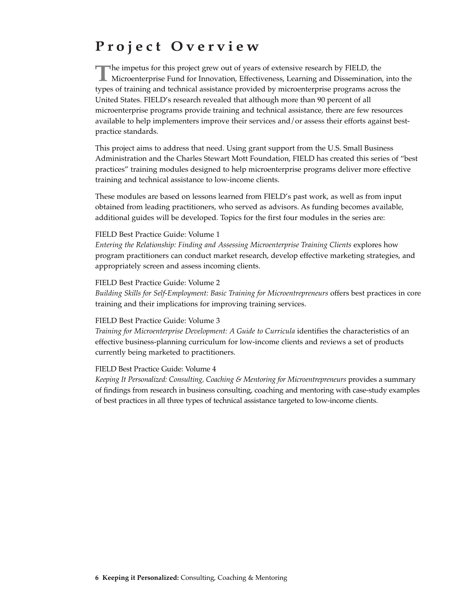# **Project Overview**

The impetus for this project grew out of years of extensive research by FIELD, the<br>Microenterprise Fund for Innovation, Effectiveness, Learning and Dissemination, into the types of training and technical assistance provided by microenterprise programs across the United States. FIELD's research revealed that although more than 90 percent of all microenterprise programs provide training and technical assistance, there are few resources available to help implementers improve their services and/or assess their efforts against bestpractice standards.

This project aims to address that need. Using grant support from the U.S. Small Business Administration and the Charles Stewart Mott Foundation, FIELD has created this series of "best practices" training modules designed to help microenterprise programs deliver more effective training and technical assistance to low-income clients.

These modules are based on lessons learned from FIELD's past work, as well as from input obtained from leading practitioners, who served as advisors. As funding becomes available, additional guides will be developed. Topics for the first four modules in the series are:

#### FIELD Best Practice Guide: Volume 1

*Entering the Relationship: Finding and Assessing Microenterprise Training Clients explores how* program practitioners can conduct market research, develop effective marketing strategies, and appropriately screen and assess incoming clients.

#### FIELD Best Practice Guide: Volume 2

*Building Skills for Self-Employment: Basic Training for Microentrepreneurs* offers best practices in core training and their implications for improving training services.

#### FIELD Best Practice Guide: Volume 3

*Training for Microenterprise Development: A Guide to Curricula identifies the characteristics of an* effective business-planning curriculum for low-income clients and reviews a set of products currently being marketed to practitioners.

#### FIELD Best Practice Guide: Volume 4

*Keeping It Personalized: Consulting, Coaching & Mentoring for Microentrepreneurs* provides a summary of findings from research in business consulting, coaching and mentoring with case-study examples of best practices in all three types of technical assistance targeted to low-income clients.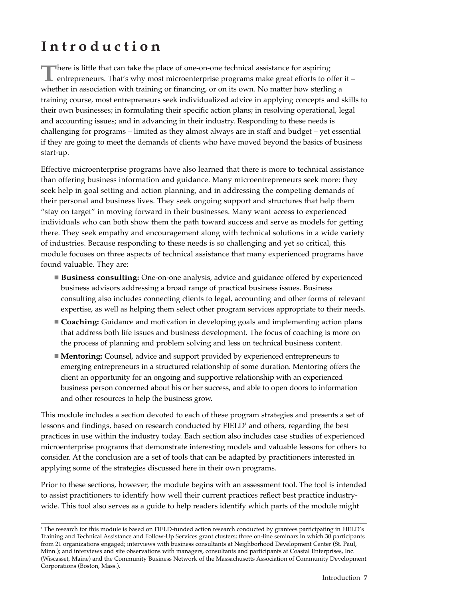# **Introduction**

**There is little that can take the place of one-on-one technical assistance for aspiring** entrepreneurs. That's why most microenterprise programs make great efforts to offer it – whether in association with training or financing, or on its own. No matter how sterling a training course, most entrepreneurs seek individualized advice in applying concepts and skills to their own businesses; in formulating their specific action plans; in resolving operational, legal and accounting issues; and in advancing in their industry. Responding to these needs is challenging for programs – limited as they almost always are in staff and budget – yet essential if they are going to meet the demands of clients who have moved beyond the basics of business start-up.

Effective microenterprise programs have also learned that there is more to technical assistance than offering business information and guidance. Many microentrepreneurs seek more: they seek help in goal setting and action planning, and in addressing the competing demands of their personal and business lives. They seek ongoing support and structures that help them "stay on target" in moving forward in their businesses. Many want access to experienced individuals who can both show them the path toward success and serve as models for getting there. They seek empathy and encouragement along with technical solutions in a wide variety of industries. Because responding to these needs is so challenging and yet so critical, this module focuses on three aspects of technical assistance that many experienced programs have found valuable. They are:

- **Business consulting:** One-on-one analysis, advice and guidance offered by experienced business advisors addressing a broad range of practical business issues. Business consulting also includes connecting clients to legal, accounting and other forms of relevant expertise, as well as helping them select other program services appropriate to their needs.
- **Coaching:** Guidance and motivation in developing goals and implementing action plans that address both life issues and business development. The focus of coaching is more on the process of planning and problem solving and less on technical business content.
- **Mentoring:** Counsel, advice and support provided by experienced entrepreneurs to emerging entrepreneurs in a structured relationship of some duration. Mentoring offers the client an opportunity for an ongoing and supportive relationship with an experienced business person concerned about his or her success, and able to open doors to information and other resources to help the business grow.

This module includes a section devoted to each of these program strategies and presents a set of lessons and findings, based on research conducted by FIELD<sup>1</sup> and others, regarding the best practices in use within the industry today. Each section also includes case studies of experienced microenterprise programs that demonstrate interesting models and valuable lessons for others to consider. At the conclusion are a set of tools that can be adapted by practitioners interested in applying some of the strategies discussed here in their own programs.

Prior to these sections, however, the module begins with an assessment tool. The tool is intended to assist practitioners to identify how well their current practices reflect best practice industrywide. This tool also serves as a guide to help readers identify which parts of the module might

<sup>&</sup>lt;sup>1</sup> The research for this module is based on FIELD-funded action research conducted by grantees participating in FIELD's Training and Technical Assistance and Follow-Up Services grant clusters; three on-line seminars in which 30 participants from 21 organizations engaged; interviews with business consultants at Neighborhood Development Center (St. Paul, Minn.); and interviews and site observations with managers, consultants and participants at Coastal Enterprises, Inc. (Wiscasset, Maine) and the Community Business Network of the Massachusetts Association of Community Development Corporations (Boston, Mass.).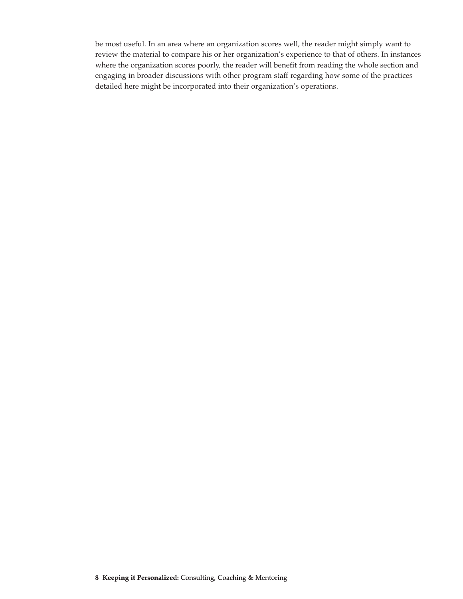be most useful. In an area where an organization scores well, the reader might simply want to review the material to compare his or her organization's experience to that of others. In instances where the organization scores poorly, the reader will benefit from reading the whole section and engaging in broader discussions with other program staff regarding how some of the practices detailed here might be incorporated into their organization's operations.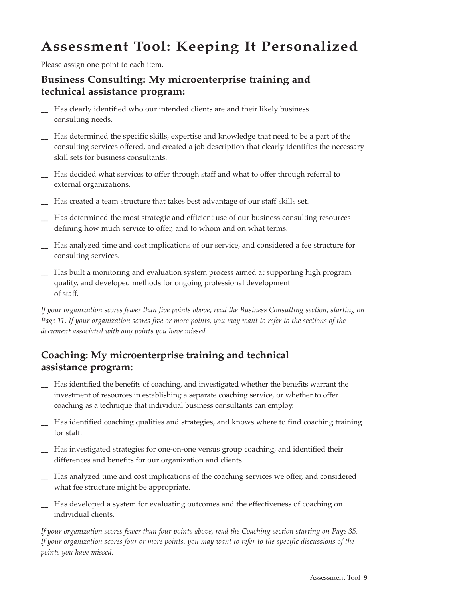# **Assessment Tool: Keeping It Personalized**

Please assign one point to each item.

# **Business Consulting: My microenterprise training and technical assistance program:**

- Has clearly identified who our intended clients are and their likely business consulting needs.
- Has determined the specific skills, expertise and knowledge that need to be a part of the consulting services offered, and created a job description that clearly identifies the necessary skill sets for business consultants.
- Has decided what services to offer through staff and what to offer through referral to external organizations.
- Has created a team structure that takes best advantage of our staff skills set.
- Has determined the most strategic and efficient use of our business consulting resources defining how much service to offer, and to whom and on what terms.
- Has analyzed time and cost implications of our service, and considered a fee structure for consulting services.
- \_\_ Has built a monitoring and evaluation system process aimed at supporting high program quality, and developed methods for ongoing professional development of staff.

*If your organization scores fewer than five points above, read the Business Consulting section, starting on Page 11. If your organization scores five or more points, you may want to refer to the sections of the document associated with any points you have missed.*

# **Coaching: My microenterprise training and technical assistance program:**

- Has identified the benefits of coaching, and investigated whether the benefits warrant the investment of resources in establishing a separate coaching service, or whether to offer coaching as a technique that individual business consultants can employ.
- Has identified coaching qualities and strategies, and knows where to find coaching training for staff.
- Has investigated strategies for one-on-one versus group coaching, and identified their differences and benefits for our organization and clients.
- Has analyzed time and cost implications of the coaching services we offer, and considered what fee structure might be appropriate.
- Has developed a system for evaluating outcomes and the effectiveness of coaching on individual clients.

*If your organization scores fewer than four points above, read the Coaching section starting on Page 35. If your organization scores four or more points, you may want to refer to the specific discussions of the points you have missed.*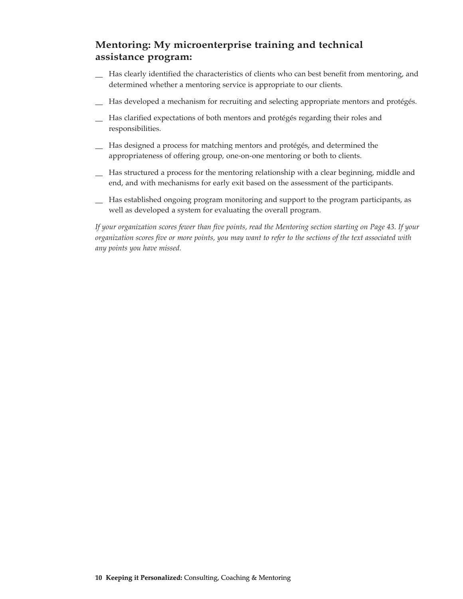# **Mentoring: My microenterprise training and technical assistance program:**

- \_\_ Has clearly identified the characteristics of clients who can best benefit from mentoring, and determined whether a mentoring service is appropriate to our clients.
- Has developed a mechanism for recruiting and selecting appropriate mentors and protégés.
- Has clarified expectations of both mentors and protégés regarding their roles and responsibilities.
- \_\_ Has designed a process for matching mentors and protégés, and determined the appropriateness of offering group, one-on-one mentoring or both to clients.
- \_\_ Has structured a process for the mentoring relationship with a clear beginning, middle and end, and with mechanisms for early exit based on the assessment of the participants.
- \_\_ Has established ongoing program monitoring and support to the program participants, as well as developed a system for evaluating the overall program.

*If your organization scores fewer than five points, read the Mentoring section starting on Page 43. If your organization scores five or more points, you may want to refer to the sections of the text associated with any points you have missed.*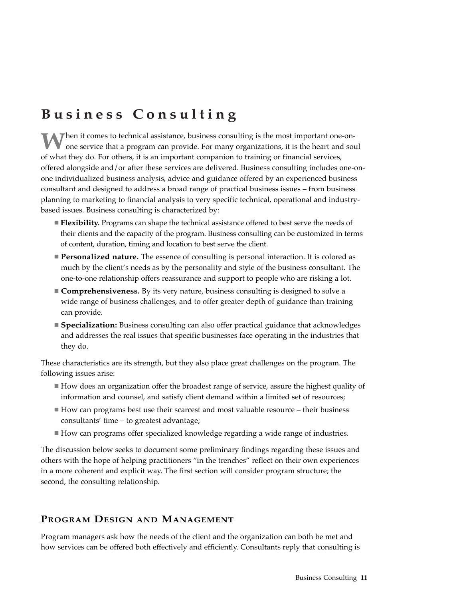# **Business Consulting**

When it comes to technical assistance, business consulting is the most important one-onone service that a program can provide. For many organizations, it is the heart and soul of what they do. For others, it is an important companion to training or financial services, offered alongside and/or after these services are delivered. Business consulting includes one-onone individualized business analysis, advice and guidance offered by an experienced business consultant and designed to address a broad range of practical business issues – from business planning to marketing to financial analysis to very specific technical, operational and industrybased issues. Business consulting is characterized by:

- **Flexibility.** Programs can shape the technical assistance offered to best serve the needs of their clients and the capacity of the program. Business consulting can be customized in terms of content, duration, timing and location to best serve the client.
- **Personalized nature.** The essence of consulting is personal interaction. It is colored as much by the client's needs as by the personality and style of the business consultant. The one-to-one relationship offers reassurance and support to people who are risking a lot.
- **Comprehensiveness.** By its very nature, business consulting is designed to solve a wide range of business challenges, and to offer greater depth of guidance than training can provide.
- **Specialization:** Business consulting can also offer practical guidance that acknowledges and addresses the real issues that specific businesses face operating in the industries that they do.

These characteristics are its strength, but they also place great challenges on the program. The following issues arise:

- How does an organization offer the broadest range of service, assure the highest quality of information and counsel, and satisfy client demand within a limited set of resources;
- $\blacksquare$  How can programs best use their scarcest and most valuable resource their business consultants' time – to greatest advantage;
- How can programs offer specialized knowledge regarding a wide range of industries.

The discussion below seeks to document some preliminary findings regarding these issues and others with the hope of helping practitioners "in the trenches" reflect on their own experiences in a more coherent and explicit way. The first section will consider program structure; the second, the consulting relationship.

# **PROGRAM DESIGN AND MANAGEMENT**

Program managers ask how the needs of the client and the organization can both be met and how services can be offered both effectively and efficiently. Consultants reply that consulting is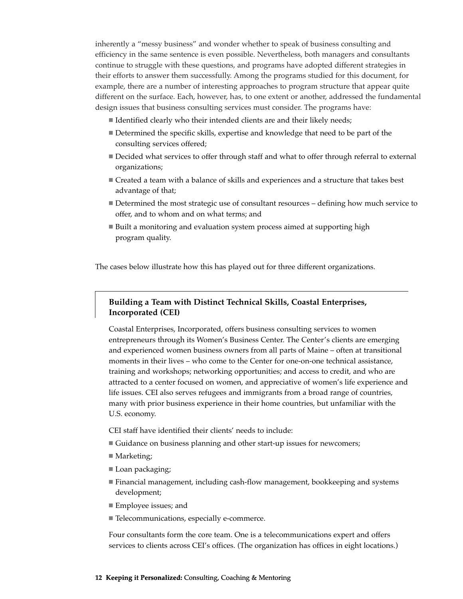inherently a "messy business" and wonder whether to speak of business consulting and efficiency in the same sentence is even possible. Nevertheless, both managers and consultants continue to struggle with these questions, and programs have adopted different strategies in their efforts to answer them successfully. Among the programs studied for this document, for example, there are a number of interesting approaches to program structure that appear quite different on the surface. Each, however, has, to one extent or another, addressed the fundamental design issues that business consulting services must consider. The programs have:

- Identified clearly who their intended clients are and their likely needs;
- Determined the specific skills, expertise and knowledge that need to be part of the consulting services offered;
- Decided what services to offer through staff and what to offer through referral to external organizations;
- Created a team with a balance of skills and experiences and a structure that takes best advantage of that;
- Determined the most strategic use of consultant resources defining how much service to offer, and to whom and on what terms; and
- Built a monitoring and evaluation system process aimed at supporting high program quality.

The cases below illustrate how this has played out for three different organizations.

# **Building a Team with Distinct Technical Skills, Coastal Enterprises, Incorporated (CEI)**

Coastal Enterprises, Incorporated, offers business consulting services to women entrepreneurs through its Women's Business Center. The Center's clients are emerging and experienced women business owners from all parts of Maine – often at transitional moments in their lives – who come to the Center for one-on-one technical assistance, training and workshops; networking opportunities; and access to credit, and who are attracted to a center focused on women, and appreciative of women's life experience and life issues. CEI also serves refugees and immigrants from a broad range of countries, many with prior business experience in their home countries, but unfamiliar with the U.S. economy.

- CEI staff have identified their clients' needs to include:
- Guidance on business planning and other start-up issues for newcomers;
- Marketing;
- Loan packaging;
- Financial management, including cash-flow management, bookkeeping and systems development;
- Employee issues; and
- Telecommunications, especially e-commerce.

Four consultants form the core team. One is a telecommunications expert and offers services to clients across CEI's offices. (The organization has offices in eight locations.)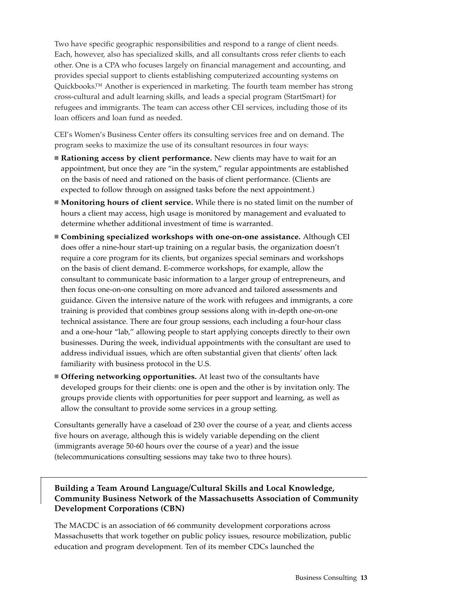Two have specific geographic responsibilities and respond to a range of client needs. Each, however, also has specialized skills, and all consultants cross refer clients to each other. One is a CPA who focuses largely on financial management and accounting, and provides special support to clients establishing computerized accounting systems on Quickbooks.™ Another is experienced in marketing. The fourth team member has strong cross-cultural and adult learning skills, and leads a special program (StartSmart) for refugees and immigrants. The team can access other CEI services, including those of its loan officers and loan fund as needed.

CEI's Women's Business Center offers its consulting services free and on demand. The program seeks to maximize the use of its consultant resources in four ways:

- **Rationing access by client performance.** New clients may have to wait for an appointment, but once they are "in the system," regular appointments are established on the basis of need and rationed on the basis of client performance. (Clients are expected to follow through on assigned tasks before the next appointment.)
- **Monitoring hours of client service.** While there is no stated limit on the number of hours a client may access, high usage is monitored by management and evaluated to determine whether additional investment of time is warranted.
- **Combining specialized workshops with one-on-one assistance.** Although CEI does offer a nine-hour start-up training on a regular basis, the organization doesn't require a core program for its clients, but organizes special seminars and workshops on the basis of client demand. E-commerce workshops, for example, allow the consultant to communicate basic information to a larger group of entrepreneurs, and then focus one-on-one consulting on more advanced and tailored assessments and guidance. Given the intensive nature of the work with refugees and immigrants, a core training is provided that combines group sessions along with in-depth one-on-one technical assistance. There are four group sessions, each including a four-hour class and a one-hour "lab," allowing people to start applying concepts directly to their own businesses. During the week, individual appointments with the consultant are used to address individual issues, which are often substantial given that clients' often lack familiarity with business protocol in the U.S.
- **Offering networking opportunities.** At least two of the consultants have developed groups for their clients: one is open and the other is by invitation only. The groups provide clients with opportunities for peer support and learning, as well as allow the consultant to provide some services in a group setting.

Consultants generally have a caseload of 230 over the course of a year, and clients access five hours on average, although this is widely variable depending on the client (immigrants average 50-60 hours over the course of a year) and the issue (telecommunications consulting sessions may take two to three hours).

# **Building a Team Around Language/Cultural Skills and Local Knowledge, Community Business Network of the Massachusetts Association of Community Development Corporations (CBN)**

The MACDC is an association of 66 community development corporations across Massachusetts that work together on public policy issues, resource mobilization, public education and program development. Ten of its member CDCs launched the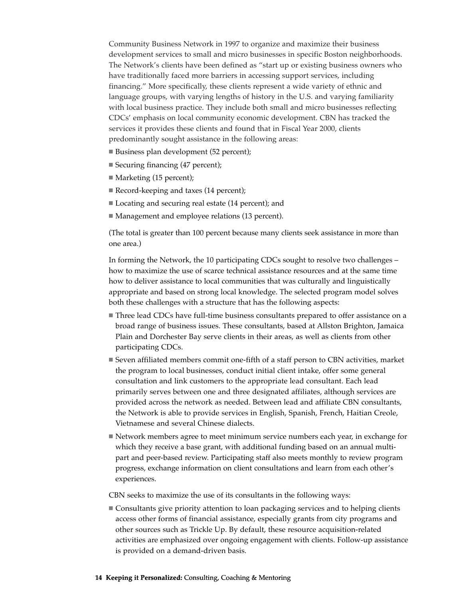Community Business Network in 1997 to organize and maximize their business development services to small and micro businesses in specific Boston neighborhoods. The Network's clients have been defined as "start up or existing business owners who have traditionally faced more barriers in accessing support services, including financing." More specifically, these clients represent a wide variety of ethnic and language groups, with varying lengths of history in the U.S. and varying familiarity with local business practice. They include both small and micro businesses reflecting CDCs' emphasis on local community economic development. CBN has tracked the services it provides these clients and found that in Fiscal Year 2000, clients predominantly sought assistance in the following areas:

- Business plan development (52 percent);
- Securing financing (47 percent);
- Marketing (15 percent);
- Record-keeping and taxes (14 percent);
- Locating and securing real estate (14 percent); and
- Management and employee relations (13 percent).

(The total is greater than 100 percent because many clients seek assistance in more than one area.)

In forming the Network, the 10 participating CDCs sought to resolve two challenges – how to maximize the use of scarce technical assistance resources and at the same time how to deliver assistance to local communities that was culturally and linguistically appropriate and based on strong local knowledge. The selected program model solves both these challenges with a structure that has the following aspects:

- Three lead CDCs have full-time business consultants prepared to offer assistance on a broad range of business issues. These consultants, based at Allston Brighton, Jamaica Plain and Dorchester Bay serve clients in their areas, as well as clients from other participating CDCs.
- Seven affiliated members commit one-fifth of a staff person to CBN activities, market the program to local businesses, conduct initial client intake, offer some general consultation and link customers to the appropriate lead consultant. Each lead primarily serves between one and three designated affiliates, although services are provided across the network as needed. Between lead and affiliate CBN consultants, the Network is able to provide services in English, Spanish, French, Haitian Creole, Vietnamese and several Chinese dialects.
- Network members agree to meet minimum service numbers each year, in exchange for which they receive a base grant, with additional funding based on an annual multipart and peer-based review. Participating staff also meets monthly to review program progress, exchange information on client consultations and learn from each other's experiences.

CBN seeks to maximize the use of its consultants in the following ways:

 Consultants give priority attention to loan packaging services and to helping clients access other forms of financial assistance, especially grants from city programs and other sources such as Trickle Up. By default, these resource acquisition-related activities are emphasized over ongoing engagement with clients. Follow-up assistance is provided on a demand-driven basis.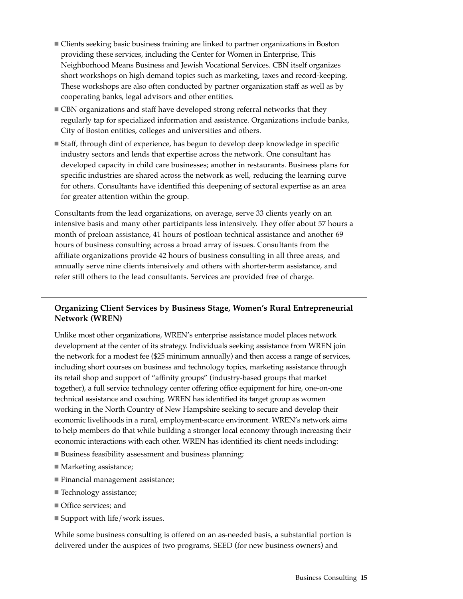- Clients seeking basic business training are linked to partner organizations in Boston providing these services, including the Center for Women in Enterprise, This Neighborhood Means Business and Jewish Vocational Services. CBN itself organizes short workshops on high demand topics such as marketing, taxes and record-keeping. These workshops are also often conducted by partner organization staff as well as by cooperating banks, legal advisors and other entities.
- CBN organizations and staff have developed strong referral networks that they regularly tap for specialized information and assistance. Organizations include banks, City of Boston entities, colleges and universities and others.
- Staff, through dint of experience, has begun to develop deep knowledge in specific industry sectors and lends that expertise across the network. One consultant has developed capacity in child care businesses; another in restaurants. Business plans for specific industries are shared across the network as well, reducing the learning curve for others. Consultants have identified this deepening of sectoral expertise as an area for greater attention within the group.

Consultants from the lead organizations, on average, serve 33 clients yearly on an intensive basis and many other participants less intensively. They offer about 57 hours a month of preloan assistance, 41 hours of postloan technical assistance and another 69 hours of business consulting across a broad array of issues. Consultants from the affiliate organizations provide 42 hours of business consulting in all three areas, and annually serve nine clients intensively and others with shorter-term assistance, and refer still others to the lead consultants. Services are provided free of charge.

# **Organizing Client Services by Business Stage, Women's Rural Entrepreneurial Network (WREN)**

Unlike most other organizations, WREN's enterprise assistance model places network development at the center of its strategy. Individuals seeking assistance from WREN join the network for a modest fee (\$25 minimum annually) and then access a range of services, including short courses on business and technology topics, marketing assistance through its retail shop and support of "affinity groups" (industry-based groups that market together), a full service technology center offering office equipment for hire, one-on-one technical assistance and coaching. WREN has identified its target group as women working in the North Country of New Hampshire seeking to secure and develop their economic livelihoods in a rural, employment-scarce environment. WREN's network aims to help members do that while building a stronger local economy through increasing their economic interactions with each other. WREN has identified its client needs including:

- Business feasibility assessment and business planning;
- Marketing assistance;
- Financial management assistance;
- Technology assistance;
- Office services; and
- $\blacksquare$  Support with life/work issues.

While some business consulting is offered on an as-needed basis, a substantial portion is delivered under the auspices of two programs, SEED (for new business owners) and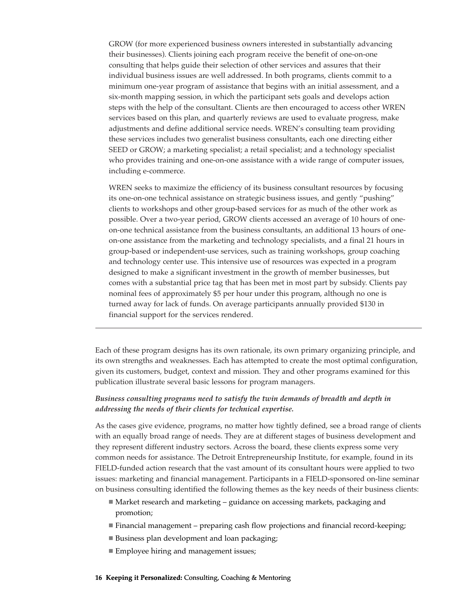GROW (for more experienced business owners interested in substantially advancing their businesses). Clients joining each program receive the benefit of one-on-one consulting that helps guide their selection of other services and assures that their individual business issues are well addressed. In both programs, clients commit to a minimum one-year program of assistance that begins with an initial assessment, and a six-month mapping session, in which the participant sets goals and develops action steps with the help of the consultant. Clients are then encouraged to access other WREN services based on this plan, and quarterly reviews are used to evaluate progress, make adjustments and define additional service needs. WREN's consulting team providing these services includes two generalist business consultants, each one directing either SEED or GROW; a marketing specialist; a retail specialist; and a technology specialist who provides training and one-on-one assistance with a wide range of computer issues, including e-commerce.

WREN seeks to maximize the efficiency of its business consultant resources by focusing its one-on-one technical assistance on strategic business issues, and gently "pushing" clients to workshops and other group-based services for as much of the other work as possible. Over a two-year period, GROW clients accessed an average of 10 hours of oneon-one technical assistance from the business consultants, an additional 13 hours of oneon-one assistance from the marketing and technology specialists, and a final 21 hours in group-based or independent-use services, such as training workshops, group coaching and technology center use. This intensive use of resources was expected in a program designed to make a significant investment in the growth of member businesses, but comes with a substantial price tag that has been met in most part by subsidy. Clients pay nominal fees of approximately \$5 per hour under this program, although no one is turned away for lack of funds. On average participants annually provided \$130 in financial support for the services rendered.

Each of these program designs has its own rationale, its own primary organizing principle, and its own strengths and weaknesses. Each has attempted to create the most optimal configuration, given its customers, budget, context and mission. They and other programs examined for this publication illustrate several basic lessons for program managers.

### *Business consulting programs need to satisfy the twin demands of breadth and depth in addressing the needs of their clients for technical expertise.*

As the cases give evidence, programs, no matter how tightly defined, see a broad range of clients with an equally broad range of needs. They are at different stages of business development and they represent different industry sectors. Across the board, these clients express some very common needs for assistance. The Detroit Entrepreneurship Institute, for example, found in its FIELD-funded action research that the vast amount of its consultant hours were applied to two issues: marketing and financial management. Participants in a FIELD-sponsored on-line seminar on business consulting identified the following themes as the key needs of their business clients:

- Market research and marketing guidance on accessing markets, packaging and promotion;
- Financial management preparing cash flow projections and financial record-keeping;
- Business plan development and loan packaging;
- Employee hiring and management issues;

#### **16 Keeping it Personalized:** Consulting, Coaching & Mentoring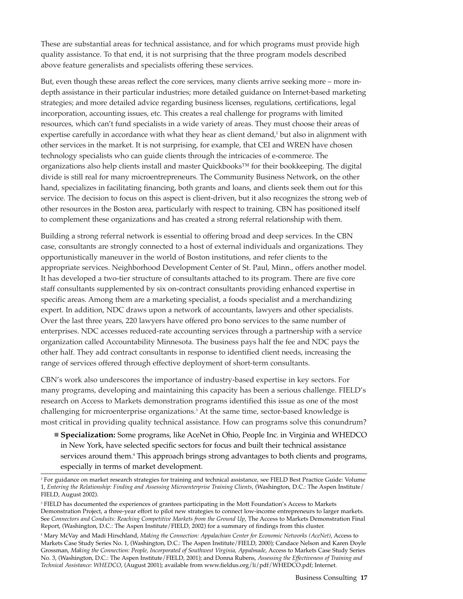These are substantial areas for technical assistance, and for which programs must provide high quality assistance. To that end, it is not surprising that the three program models described above feature generalists and specialists offering these services.

But, even though these areas reflect the core services, many clients arrive seeking more – more indepth assistance in their particular industries; more detailed guidance on Internet-based marketing strategies; and more detailed advice regarding business licenses, regulations, certifications, legal incorporation, accounting issues, etc. This creates a real challenge for programs with limited resources, which can't fund specialists in a wide variety of areas. They must choose their areas of expertise carefully in accordance with what they hear as client demand, $<sup>2</sup>$  but also in alignment with</sup> other services in the market. It is not surprising, for example, that CEI and WREN have chosen technology specialists who can guide clients through the intricacies of e-commerce. The organizations also help clients install and master Quickbooks™ for their bookkeeping. The digital divide is still real for many microentrepreneurs. The Community Business Network, on the other hand, specializes in facilitating financing, both grants and loans, and clients seek them out for this service. The decision to focus on this aspect is client-driven, but it also recognizes the strong web of other resources in the Boston area, particularly with respect to training. CBN has positioned itself to complement these organizations and has created a strong referral relationship with them.

Building a strong referral network is essential to offering broad and deep services. In the CBN case, consultants are strongly connected to a host of external individuals and organizations. They opportunistically maneuver in the world of Boston institutions, and refer clients to the appropriate services. Neighborhood Development Center of St. Paul, Minn., offers another model. It has developed a two-tier structure of consultants attached to its program. There are five core staff consultants supplemented by six on-contract consultants providing enhanced expertise in specific areas. Among them are a marketing specialist, a foods specialist and a merchandizing expert. In addition, NDC draws upon a network of accountants, lawyers and other specialists. Over the last three years, 220 lawyers have offered pro bono services to the same number of enterprises. NDC accesses reduced-rate accounting services through a partnership with a service organization called Accountability Minnesota. The business pays half the fee and NDC pays the other half. They add contract consultants in response to identified client needs, increasing the range of services offered through effective deployment of short-term consultants.

CBN's work also underscores the importance of industry-based expertise in key sectors. For many programs, developing and maintaining this capacity has been a serious challenge. FIELD's research on Access to Markets demonstration programs identified this issue as one of the most challenging for microenterprise organizations.<sup>3</sup> At the same time, sector-based knowledge is most critical in providing quality technical assistance. How can programs solve this conundrum?

 **Specialization:** Some programs, like AceNet in Ohio, People Inc. in Virginia and WHEDCO in New York, have selected specific sectors for focus and built their technical assistance services around them.<sup>4</sup> This approach brings strong advantages to both clients and programs, especially in terms of market development.

<sup>2</sup> For guidance on market research strategies for training and technical assistance, see FIELD Best Practice Guide: Volume 1, *Entering the Relationship: Finding and Assessing Microenterprise Training Clients*, (Washington, D.C.: The Aspen Institute/ FIELD, August 2002).

<sup>&</sup>lt;sup>3</sup> FIELD has documented the experiences of grantees participating in the Mott Foundation's Access to Markets Demonstration Project, a three-year effort to pilot new strategies to connect low-income entrepreneurs to larger markets. See *Connectors and Conduits: Reaching Competitive Markets from the Ground Up*, The Access to Markets Demonstration Final Report, (Washington, D.C.: The Aspen Institute/FIELD, 2002) for a summary of findings from this cluster.

<sup>4</sup> Mary McVay and Madi Hirschland, *Making the Connection: Appalachian Center for Economic Networks (AceNet)*, Access to Markets Case Study Series No. 1, (Washington, D.C.: The Aspen Institute/FIELD, 2000); Candace Nelson and Karen Doyle Grossman, *Making the Connection: People, Incorporated of Southwest Virginia, Appalmade*, Access to Markets Case Study Series No. 3, (Washington, D.C.: The Aspen Institute/FIELD, 2001); and Donna Rubens, *Assessing the Effectiveness of Training and Technical Assistance: WHEDCO*, (August 2001); available from www.fieldus.org/li/pdf/WHEDCO.pdf; Internet.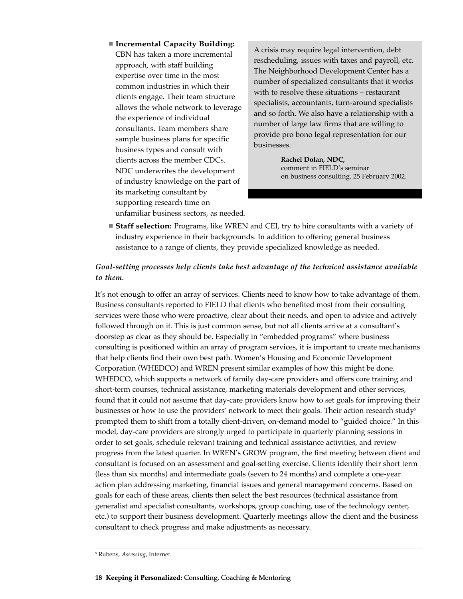**Incremental Capacity Building:** CBN has taken a more incremental approach, with staff building expertise over time in the most common industries in which their clients engage. Their team structure allows the whole network to leverage the experience of individual consultants. Team members share sample business plans for specific business types and consult with clients across the member CDCs. NDC underwrites the development of industry knowledge on the part of its marketing consultant by supporting research time on

unfamiliar business sectors, as needed.

A crisis may require legal intervention, debt rescheduling, issues with taxes and payroll, etc. The Neighborhood Development Center has a number of specialized consultants that it works with to resolve these situations – restaurant specialists, accountants, turn-around specialists and so forth. We also have a relationship with a number of large law firms that are willing to provide pro bono legal representation for our businesses.

> **Rachel Dolan, NDC,**  comment in FIELD's seminar on business consulting, 25 February 2002.

 **Staff selection:** Programs, like WREN and CEI, try to hire consultants with a variety of industry experience in their backgrounds. In addition to offering general business assistance to a range of clients, they provide specialized knowledge as needed.

# *Goal-setting processes help clients take best advantage of the technical assistance available to them.*

It's not enough to offer an array of services. Clients need to know how to take advantage of them. Business consultants reported to FIELD that clients who benefited most from their consulting services were those who were proactive, clear about their needs, and open to advice and actively followed through on it. This is just common sense, but not all clients arrive at a consultant's doorstep as clear as they should be. Especially in "embedded programs" where business consulting is positioned within an array of program services, it is important to create mechanisms that help clients find their own best path. Women's Housing and Economic Development Corporation (WHEDCO) and WREN present similar examples of how this might be done. WHEDCO, which supports a network of family day-care providers and offers core training and short-term courses, technical assistance, marketing materials development and other services, found that it could not assume that day-care providers know how to set goals for improving their businesses or how to use the providers' network to meet their goals. Their action research study<sup>5</sup> prompted them to shift from a totally client-driven, on-demand model to "guided choice." In this model, day-care providers are strongly urged to participate in quarterly planning sessions in order to set goals, schedule relevant training and technical assistance activities, and review progress from the latest quarter. In WREN's GROW program, the first meeting between client and consultant is focused on an assessment and goal-setting exercise. Clients identify their short term (less than six months) and intermediate goals (seven to 24 months) and complete a one-year action plan addressing marketing, financial issues and general management concerns. Based on goals for each of these areas, clients then select the best resources (technical assistance from generalist and specialist consultants, workshops, group coaching, use of the technology center, etc.) to support their business development. Quarterly meetings allow the client and the business consultant to check progress and make adjustments as necessary.

<sup>5</sup> Rubens, *Assessing*, Internet.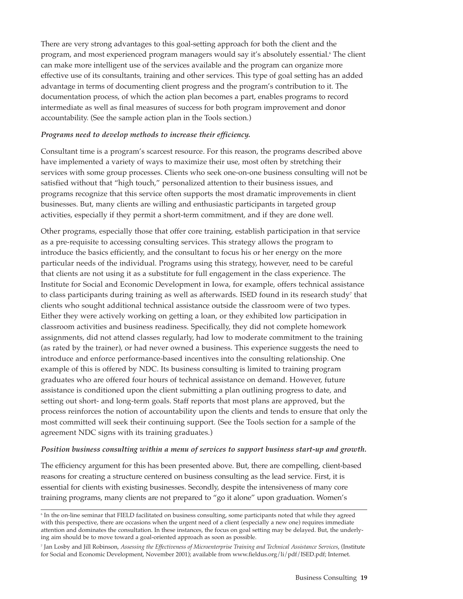There are very strong advantages to this goal-setting approach for both the client and the program, and most experienced program managers would say it's absolutely essential.<sup>6</sup> The client can make more intelligent use of the services available and the program can organize more effective use of its consultants, training and other services. This type of goal setting has an added advantage in terms of documenting client progress and the program's contribution to it. The documentation process, of which the action plan becomes a part, enables programs to record intermediate as well as final measures of success for both program improvement and donor accountability. (See the sample action plan in the Tools section.)

### *Programs need to develop methods to increase their efficiency.*

Consultant time is a program's scarcest resource. For this reason, the programs described above have implemented a variety of ways to maximize their use, most often by stretching their services with some group processes. Clients who seek one-on-one business consulting will not be satisfied without that "high touch," personalized attention to their business issues, and programs recognize that this service often supports the most dramatic improvements in client businesses. But, many clients are willing and enthusiastic participants in targeted group activities, especially if they permit a short-term commitment, and if they are done well.

Other programs, especially those that offer core training, establish participation in that service as a pre-requisite to accessing consulting services. This strategy allows the program to introduce the basics efficiently, and the consultant to focus his or her energy on the more particular needs of the individual. Programs using this strategy, however, need to be careful that clients are not using it as a substitute for full engagement in the class experience. The Institute for Social and Economic Development in Iowa, for example, offers technical assistance to class participants during training as well as afterwards. ISED found in its research study<sup>7</sup> that clients who sought additional technical assistance outside the classroom were of two types. Either they were actively working on getting a loan, or they exhibited low participation in classroom activities and business readiness. Specifically, they did not complete homework assignments, did not attend classes regularly, had low to moderate commitment to the training (as rated by the trainer), or had never owned a business. This experience suggests the need to introduce and enforce performance-based incentives into the consulting relationship. One example of this is offered by NDC. Its business consulting is limited to training program graduates who are offered four hours of technical assistance on demand. However, future assistance is conditioned upon the client submitting a plan outlining progress to date, and setting out short- and long-term goals. Staff reports that most plans are approved, but the process reinforces the notion of accountability upon the clients and tends to ensure that only the most committed will seek their continuing support. (See the Tools section for a sample of the agreement NDC signs with its training graduates.)

#### *Position business consulting within a menu of services to support business start-up and growth.*

The efficiency argument for this has been presented above. But, there are compelling, client-based reasons for creating a structure centered on business consulting as the lead service. First, it is essential for clients with existing businesses. Secondly, despite the intensiveness of many core training programs, many clients are not prepared to "go it alone" upon graduation. Women's

<sup>6</sup> In the on-line seminar that FIELD facilitated on business consulting, some participants noted that while they agreed with this perspective, there are occasions when the urgent need of a client (especially a new one) requires immediate attention and dominates the consultation. In these instances, the focus on goal setting may be delayed. But, the underlying aim should be to move toward a goal-oriented approach as soon as possible.

<sup>7</sup> Jan Losby and Jill Robinson, *Assessing the Effectiveness of Microenterprise Training and Technical Assistance Services*, (Institute for Social and Economic Development, November 2001); available from www.fieldus.org/li/pdf/ISED.pdf; Internet.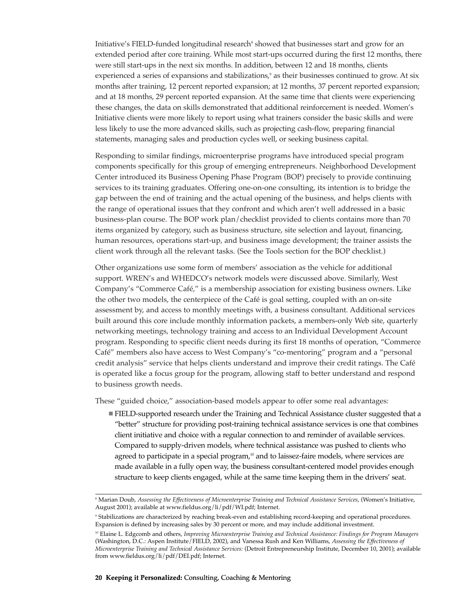Initiative's FIELD-funded longitudinal research<sup>8</sup> showed that businesses start and grow for an extended period after core training. While most start-ups occurred during the first 12 months, there were still start-ups in the next six months. In addition, between 12 and 18 months, clients experienced a series of expansions and stabilizations,<sup>9</sup> as their businesses continued to grow. At six months after training, 12 percent reported expansion; at 12 months, 37 percent reported expansion; and at 18 months, 29 percent reported expansion. At the same time that clients were experiencing these changes, the data on skills demonstrated that additional reinforcement is needed. Women's Initiative clients were more likely to report using what trainers consider the basic skills and were less likely to use the more advanced skills, such as projecting cash-flow, preparing financial statements, managing sales and production cycles well, or seeking business capital.

Responding to similar findings, microenterprise programs have introduced special program components specifically for this group of emerging entrepreneurs. Neighborhood Development Center introduced its Business Opening Phase Program (BOP) precisely to provide continuing services to its training graduates. Offering one-on-one consulting, its intention is to bridge the gap between the end of training and the actual opening of the business, and helps clients with the range of operational issues that they confront and which aren't well addressed in a basic business-plan course. The BOP work plan/checklist provided to clients contains more than 70 items organized by category, such as business structure, site selection and layout, financing, human resources, operations start-up, and business image development; the trainer assists the client work through all the relevant tasks. (See the Tools section for the BOP checklist.)

Other organizations use some form of members' association as the vehicle for additional support. WREN's and WHEDCO's network models were discussed above. Similarly, West Company's "Commerce Café," is a membership association for existing business owners. Like the other two models, the centerpiece of the Café is goal setting, coupled with an on-site assessment by, and access to monthly meetings with, a business consultant. Additional services built around this core include monthly information packets, a members-only Web site, quarterly networking meetings, technology training and access to an Individual Development Account program. Responding to specific client needs during its first 18 months of operation, "Commerce Café" members also have access to West Company's "co-mentoring" program and a "personal credit analysis" service that helps clients understand and improve their credit ratings. The Café is operated like a focus group for the program, allowing staff to better understand and respond to business growth needs.

These "guided choice," association-based models appear to offer some real advantages:

 FIELD-supported research under the Training and Technical Assistance cluster suggested that a "better" structure for providing post-training technical assistance services is one that combines client initiative and choice with a regular connection to and reminder of available services. Compared to supply-driven models, where technical assistance was pushed to clients who agreed to participate in a special program,<sup>10</sup> and to laissez-faire models, where services are made available in a fully open way, the business consultant-centered model provides enough structure to keep clients engaged, while at the same time keeping them in the drivers' seat.

<sup>8</sup> Marian Doub, *Assessing the Effectiveness of Microenterprise Training and Technical Assistance Services*, (Women's Initiative, August 2001); available at www.fieldus.org/li/pdf/WI.pdf; Internet.

<sup>9</sup> Stabilizations are characterized by reaching break-even and establishing record-keeping and operational procedures. Expansion is defined by increasing sales by 30 percent or more, and may include additional investment.

<sup>10</sup> Elaine L. Edgcomb and others, *Improving Microenterprise Training and Technical Assistance: Findings for Program Managers* (Washington, D.C.: Aspen Institute/FIELD, 2002), and Vanessa Rush and Ken Williams, *Assessing the Effectiveness of Microenterprise Training and Technical Assistance Services:* (Detroit Entrepreneurship Institute, December 10, 2001); available from www.fieldus.org/li/pdf/DEI.pdf; Internet.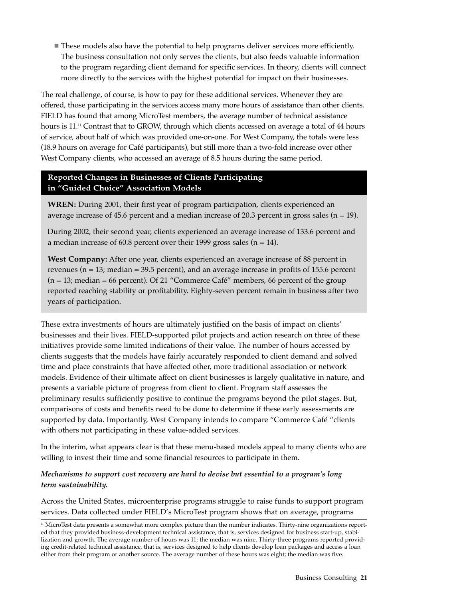These models also have the potential to help programs deliver services more efficiently. The business consultation not only serves the clients, but also feeds valuable information to the program regarding client demand for specific services. In theory, clients will connect more directly to the services with the highest potential for impact on their businesses.

The real challenge, of course, is how to pay for these additional services. Whenever they are offered, those participating in the services access many more hours of assistance than other clients. FIELD has found that among MicroTest members, the average number of technical assistance hours is 11.<sup>11</sup> Contrast that to GROW, through which clients accessed on average a total of 44 hours of service, about half of which was provided one-on-one. For West Company, the totals were less (18.9 hours on average for Café participants), but still more than a two-fold increase over other West Company clients, who accessed an average of 8.5 hours during the same period.

# **Reported Changes in Businesses of Clients Participating in "Guided Choice" Association Models**

**WREN:** During 2001, their first year of program participation, clients experienced an average increase of 45.6 percent and a median increase of 20.3 percent in gross sales  $(n = 19)$ .

During 2002, their second year, clients experienced an average increase of 133.6 percent and a median increase of 60.8 percent over their 1999 gross sales ( $n = 14$ ).

**West Company:** After one year, clients experienced an average increase of 88 percent in revenues ( $n = 13$ ; median = 39.5 percent), and an average increase in profits of 155.6 percent  $(n = 13; \text{ median} = 66 \text{ percent})$ . Of 21 "Commerce Café" members, 66 percent of the group reported reaching stability or profitability. Eighty-seven percent remain in business after two years of participation.

These extra investments of hours are ultimately justified on the basis of impact on clients' businesses and their lives. FIELD-supported pilot projects and action research on three of these initiatives provide some limited indications of their value. The number of hours accessed by clients suggests that the models have fairly accurately responded to client demand and solved time and place constraints that have affected other, more traditional association or network models. Evidence of their ultimate affect on client businesses is largely qualitative in nature, and presents a variable picture of progress from client to client. Program staff assesses the preliminary results sufficiently positive to continue the programs beyond the pilot stages. But, comparisons of costs and benefits need to be done to determine if these early assessments are supported by data. Importantly, West Company intends to compare "Commerce Café "clients with others not participating in these value-added services.

In the interim, what appears clear is that these menu-based models appeal to many clients who are willing to invest their time and some financial resources to participate in them.

# *Mechanisms to support cost recovery are hard to devise but essential to a program's long term sustainability.*

Across the United States, microenterprise programs struggle to raise funds to support program services. Data collected under FIELD's MicroTest program shows that on average, programs

<sup>&</sup>lt;sup>11</sup> MicroTest data presents a somewhat more complex picture than the number indicates. Thirty-nine organizations reported that they provided business-development technical assistance, that is, services designed for business start-up, stabilization and growth. The average number of hours was 11; the median was nine. Thirty-three programs reported providing credit-related technical assistance, that is, services designed to help clients develop loan packages and access a loan either from their program or another source. The average number of these hours was eight; the median was five.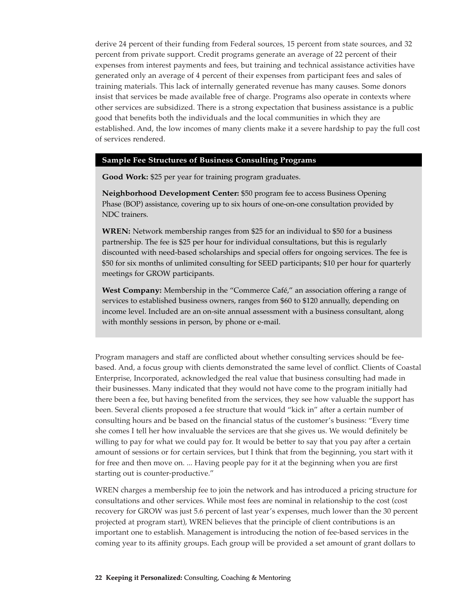derive 24 percent of their funding from Federal sources, 15 percent from state sources, and 32 percent from private support. Credit programs generate an average of 22 percent of their expenses from interest payments and fees, but training and technical assistance activities have generated only an average of 4 percent of their expenses from participant fees and sales of training materials. This lack of internally generated revenue has many causes. Some donors insist that services be made available free of charge. Programs also operate in contexts where other services are subsidized. There is a strong expectation that business assistance is a public good that benefits both the individuals and the local communities in which they are established. And, the low incomes of many clients make it a severe hardship to pay the full cost of services rendered.

#### **Sample Fee Structures of Business Consulting Programs**

**Good Work:** \$25 per year for training program graduates.

**Neighborhood Development Center:** \$50 program fee to access Business Opening Phase (BOP) assistance, covering up to six hours of one-on-one consultation provided by NDC trainers.

**WREN:** Network membership ranges from \$25 for an individual to \$50 for a business partnership. The fee is \$25 per hour for individual consultations, but this is regularly discounted with need-based scholarships and special offers for ongoing services. The fee is \$50 for six months of unlimited consulting for SEED participants; \$10 per hour for quarterly meetings for GROW participants.

**West Company:** Membership in the "Commerce Café," an association offering a range of services to established business owners, ranges from \$60 to \$120 annually, depending on income level. Included are an on-site annual assessment with a business consultant, along with monthly sessions in person, by phone or e-mail.

Program managers and staff are conflicted about whether consulting services should be feebased. And, a focus group with clients demonstrated the same level of conflict. Clients of Coastal Enterprise, Incorporated, acknowledged the real value that business consulting had made in their businesses. Many indicated that they would not have come to the program initially had there been a fee, but having benefited from the services, they see how valuable the support has been. Several clients proposed a fee structure that would "kick in" after a certain number of consulting hours and be based on the financial status of the customer's business: "Every time she comes I tell her how invaluable the services are that she gives us. We would definitely be willing to pay for what we could pay for. It would be better to say that you pay after a certain amount of sessions or for certain services, but I think that from the beginning, you start with it for free and then move on. ... Having people pay for it at the beginning when you are first starting out is counter-productive."

WREN charges a membership fee to join the network and has introduced a pricing structure for consultations and other services. While most fees are nominal in relationship to the cost (cost recovery for GROW was just 5.6 percent of last year's expenses, much lower than the 30 percent projected at program start), WREN believes that the principle of client contributions is an important one to establish. Management is introducing the notion of fee-based services in the coming year to its affinity groups. Each group will be provided a set amount of grant dollars to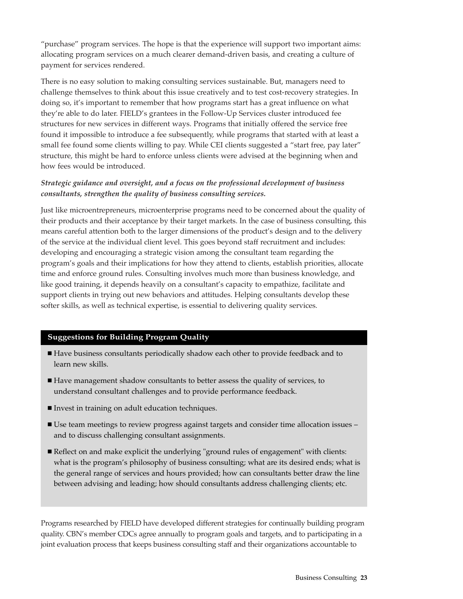"purchase" program services. The hope is that the experience will support two important aims: allocating program services on a much clearer demand-driven basis, and creating a culture of payment for services rendered.

There is no easy solution to making consulting services sustainable. But, managers need to challenge themselves to think about this issue creatively and to test cost-recovery strategies. In doing so, it's important to remember that how programs start has a great influence on what they're able to do later. FIELD's grantees in the Follow-Up Services cluster introduced fee structures for new services in different ways. Programs that initially offered the service free found it impossible to introduce a fee subsequently, while programs that started with at least a small fee found some clients willing to pay. While CEI clients suggested a "start free, pay later" structure, this might be hard to enforce unless clients were advised at the beginning when and how fees would be introduced.

# *Strategic guidance and oversight, and a focus on the professional development of business consultants, strengthen the quality of business consulting services.*

Just like microentrepreneurs, microenterprise programs need to be concerned about the quality of their products and their acceptance by their target markets. In the case of business consulting, this means careful attention both to the larger dimensions of the product's design and to the delivery of the service at the individual client level. This goes beyond staff recruitment and includes: developing and encouraging a strategic vision among the consultant team regarding the program's goals and their implications for how they attend to clients, establish priorities, allocate time and enforce ground rules. Consulting involves much more than business knowledge, and like good training, it depends heavily on a consultant's capacity to empathize, facilitate and support clients in trying out new behaviors and attitudes. Helping consultants develop these softer skills, as well as technical expertise, is essential to delivering quality services.

# **Suggestions for Building Program Quality**

- Have business consultants periodically shadow each other to provide feedback and to learn new skills.
- Have management shadow consultants to better assess the quality of services, to understand consultant challenges and to provide performance feedback.
- Invest in training on adult education techniques.
- Use team meetings to review progress against targets and consider time allocation issues and to discuss challenging consultant assignments.
- Reflect on and make explicit the underlying "ground rules of engagement" with clients: what is the program's philosophy of business consulting; what are its desired ends; what is the general range of services and hours provided; how can consultants better draw the line between advising and leading; how should consultants address challenging clients; etc.

Programs researched by FIELD have developed different strategies for continually building program quality. CBN's member CDCs agree annually to program goals and targets, and to participating in a joint evaluation process that keeps business consulting staff and their organizations accountable to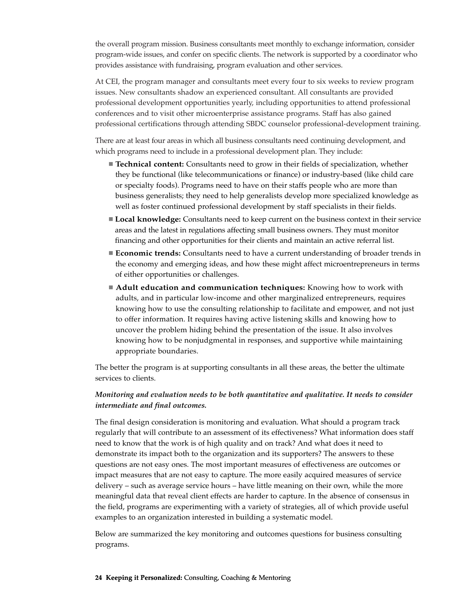the overall program mission. Business consultants meet monthly to exchange information, consider program-wide issues, and confer on specific clients. The network is supported by a coordinator who provides assistance with fundraising, program evaluation and other services.

At CEI, the program manager and consultants meet every four to six weeks to review program issues. New consultants shadow an experienced consultant. All consultants are provided professional development opportunities yearly, including opportunities to attend professional conferences and to visit other microenterprise assistance programs. Staff has also gained professional certifications through attending SBDC counselor professional-development training.

There are at least four areas in which all business consultants need continuing development, and which programs need to include in a professional development plan. They include:

- **Technical content:** Consultants need to grow in their fields of specialization, whether they be functional (like telecommunications or finance) or industry-based (like child care or specialty foods). Programs need to have on their staffs people who are more than business generalists; they need to help generalists develop more specialized knowledge as well as foster continued professional development by staff specialists in their fields.
- **Local knowledge:** Consultants need to keep current on the business context in their service areas and the latest in regulations affecting small business owners. They must monitor financing and other opportunities for their clients and maintain an active referral list.
- **Economic trends:** Consultants need to have a current understanding of broader trends in the economy and emerging ideas, and how these might affect microentrepreneurs in terms of either opportunities or challenges.
- **Adult education and communication techniques:** Knowing how to work with adults, and in particular low-income and other marginalized entrepreneurs, requires knowing how to use the consulting relationship to facilitate and empower, and not just to offer information. It requires having active listening skills and knowing how to uncover the problem hiding behind the presentation of the issue. It also involves knowing how to be nonjudgmental in responses, and supportive while maintaining appropriate boundaries.

The better the program is at supporting consultants in all these areas, the better the ultimate services to clients.

### *Monitoring and evaluation needs to be both quantitative and qualitative. It needs to consider intermediate and final outcomes.*

The final design consideration is monitoring and evaluation. What should a program track regularly that will contribute to an assessment of its effectiveness? What information does staff need to know that the work is of high quality and on track? And what does it need to demonstrate its impact both to the organization and its supporters? The answers to these questions are not easy ones. The most important measures of effectiveness are outcomes or impact measures that are not easy to capture. The more easily acquired measures of service delivery – such as average service hours – have little meaning on their own, while the more meaningful data that reveal client effects are harder to capture. In the absence of consensus in the field, programs are experimenting with a variety of strategies, all of which provide useful examples to an organization interested in building a systematic model.

Below are summarized the key monitoring and outcomes questions for business consulting programs.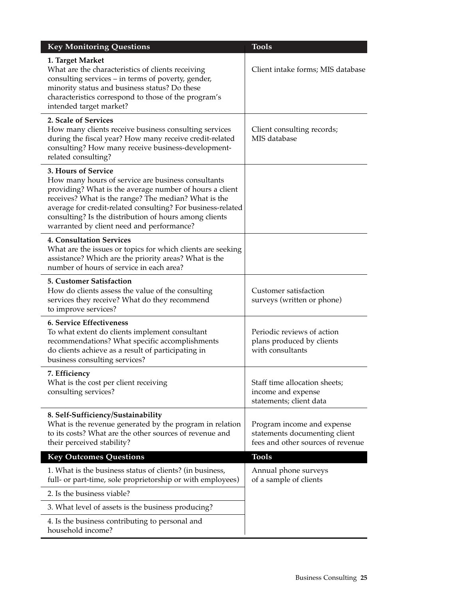| <b>Key Monitoring Questions</b>                                                                                                                                                                                                                                                                                                                                    | <b>Tools</b>                                                                                     |
|--------------------------------------------------------------------------------------------------------------------------------------------------------------------------------------------------------------------------------------------------------------------------------------------------------------------------------------------------------------------|--------------------------------------------------------------------------------------------------|
| 1. Target Market<br>What are the characteristics of clients receiving<br>consulting services - in terms of poverty, gender,<br>minority status and business status? Do these<br>characteristics correspond to those of the program's<br>intended target market?                                                                                                    | Client intake forms; MIS database                                                                |
| 2. Scale of Services<br>How many clients receive business consulting services<br>during the fiscal year? How many receive credit-related<br>consulting? How many receive business-development-<br>related consulting?                                                                                                                                              | Client consulting records;<br>MIS database                                                       |
| 3. Hours of Service<br>How many hours of service are business consultants<br>providing? What is the average number of hours a client<br>receives? What is the range? The median? What is the<br>average for credit-related consulting? For business-related<br>consulting? Is the distribution of hours among clients<br>warranted by client need and performance? |                                                                                                  |
| <b>4. Consultation Services</b><br>What are the issues or topics for which clients are seeking<br>assistance? Which are the priority areas? What is the<br>number of hours of service in each area?                                                                                                                                                                |                                                                                                  |
| <b>5. Customer Satisfaction</b><br>How do clients assess the value of the consulting<br>services they receive? What do they recommend<br>to improve services?                                                                                                                                                                                                      | Customer satisfaction<br>surveys (written or phone)                                              |
| 6. Service Effectiveness<br>To what extent do clients implement consultant<br>recommendations? What specific accomplishments<br>do clients achieve as a result of participating in<br>business consulting services?                                                                                                                                                | Periodic reviews of action<br>plans produced by clients<br>with consultants                      |
| 7. Efficiency<br>What is the cost per client receiving<br>consulting services?                                                                                                                                                                                                                                                                                     | Staff time allocation sheets;<br>income and expense<br>statements; client data                   |
| 8. Self-Sufficiency/Sustainability<br>What is the revenue generated by the program in relation<br>to its costs? What are the other sources of revenue and<br>their perceived stability?                                                                                                                                                                            | Program income and expense<br>statements documenting client<br>fees and other sources of revenue |
| <b>Key Outcomes Questions</b>                                                                                                                                                                                                                                                                                                                                      | <b>Tools</b>                                                                                     |
| 1. What is the business status of clients? (in business,<br>full- or part-time, sole proprietorship or with employees)                                                                                                                                                                                                                                             | Annual phone surveys<br>of a sample of clients                                                   |
| 2. Is the business viable?                                                                                                                                                                                                                                                                                                                                         |                                                                                                  |
| 3. What level of assets is the business producing?                                                                                                                                                                                                                                                                                                                 |                                                                                                  |
| 4. Is the business contributing to personal and<br>household income?                                                                                                                                                                                                                                                                                               |                                                                                                  |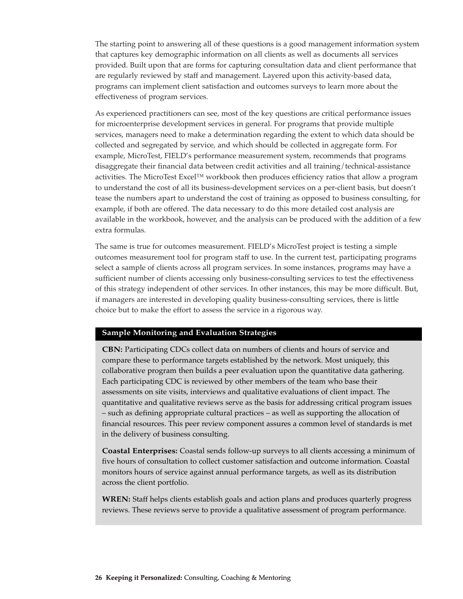The starting point to answering all of these questions is a good management information system that captures key demographic information on all clients as well as documents all services provided. Built upon that are forms for capturing consultation data and client performance that are regularly reviewed by staff and management. Layered upon this activity-based data, programs can implement client satisfaction and outcomes surveys to learn more about the effectiveness of program services.

As experienced practitioners can see, most of the key questions are critical performance issues for microenterprise development services in general. For programs that provide multiple services, managers need to make a determination regarding the extent to which data should be collected and segregated by service, and which should be collected in aggregate form. For example, MicroTest, FIELD's performance measurement system, recommends that programs disaggregate their financial data between credit activities and all training/technical-assistance activities. The MicroTest Excel™ workbook then produces efficiency ratios that allow a program to understand the cost of all its business-development services on a per-client basis, but doesn't tease the numbers apart to understand the cost of training as opposed to business consulting, for example, if both are offered. The data necessary to do this more detailed cost analysis are available in the workbook, however, and the analysis can be produced with the addition of a few extra formulas.

The same is true for outcomes measurement. FIELD's MicroTest project is testing a simple outcomes measurement tool for program staff to use. In the current test, participating programs select a sample of clients across all program services. In some instances, programs may have a sufficient number of clients accessing only business-consulting services to test the effectiveness of this strategy independent of other services. In other instances, this may be more difficult. But, if managers are interested in developing quality business-consulting services, there is little choice but to make the effort to assess the service in a rigorous way.

#### **Sample Monitoring and Evaluation Strategies**

**CBN:** Participating CDCs collect data on numbers of clients and hours of service and compare these to performance targets established by the network. Most uniquely, this collaborative program then builds a peer evaluation upon the quantitative data gathering. Each participating CDC is reviewed by other members of the team who base their assessments on site visits, interviews and qualitative evaluations of client impact. The quantitative and qualitative reviews serve as the basis for addressing critical program issues – such as defining appropriate cultural practices – as well as supporting the allocation of financial resources. This peer review component assures a common level of standards is met in the delivery of business consulting.

**Coastal Enterprises:** Coastal sends follow-up surveys to all clients accessing a minimum of five hours of consultation to collect customer satisfaction and outcome information. Coastal monitors hours of service against annual performance targets, as well as its distribution across the client portfolio.

**WREN:** Staff helps clients establish goals and action plans and produces quarterly progress reviews. These reviews serve to provide a qualitative assessment of program performance.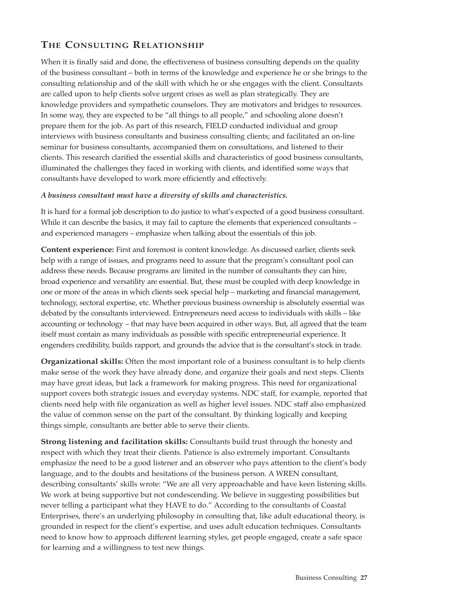# **THE CONSULTING RELATIONSHIP**

When it is finally said and done, the effectiveness of business consulting depends on the quality of the business consultant – both in terms of the knowledge and experience he or she brings to the consulting relationship and of the skill with which he or she engages with the client. Consultants are called upon to help clients solve urgent crises as well as plan strategically. They are knowledge providers and sympathetic counselors. They are motivators and bridges to resources. In some way, they are expected to be "all things to all people," and schooling alone doesn't prepare them for the job. As part of this research, FIELD conducted individual and group interviews with business consultants and business consulting clients; and facilitated an on-line seminar for business consultants, accompanied them on consultations, and listened to their clients. This research clarified the essential skills and characteristics of good business consultants, illuminated the challenges they faced in working with clients, and identified some ways that consultants have developed to work more efficiently and effectively.

### *A business consultant must have a diversity of skills and characteristics.*

It is hard for a formal job description to do justice to what's expected of a good business consultant. While it can describe the basics, it may fail to capture the elements that experienced consultants – and experienced managers – emphasize when talking about the essentials of this job.

**Content experience:** First and foremost is content knowledge. As discussed earlier, clients seek help with a range of issues, and programs need to assure that the program's consultant pool can address these needs. Because programs are limited in the number of consultants they can hire, broad experience and versatility are essential. But, these must be coupled with deep knowledge in one or more of the areas in which clients seek special help – marketing and financial management, technology, sectoral expertise, etc. Whether previous business ownership is absolutely essential was debated by the consultants interviewed. Entrepreneurs need access to individuals with skills – like accounting or technology – that may have been acquired in other ways. But, all agreed that the team itself must contain as many individuals as possible with specific entrepreneurial experience. It engenders credibility, builds rapport, and grounds the advice that is the consultant's stock in trade.

**Organizational skills:** Often the most important role of a business consultant is to help clients make sense of the work they have already done, and organize their goals and next steps. Clients may have great ideas, but lack a framework for making progress. This need for organizational support covers both strategic issues and everyday systems. NDC staff, for example, reported that clients need help with file organization as well as higher level issues. NDC staff also emphasized the value of common sense on the part of the consultant. By thinking logically and keeping things simple, consultants are better able to serve their clients.

**Strong listening and facilitation skills:** Consultants build trust through the honesty and respect with which they treat their clients. Patience is also extremely important. Consultants emphasize the need to be a good listener and an observer who pays attention to the client's body language, and to the doubts and hesitations of the business person. A WREN consultant, describing consultants' skills wrote: "We are all very approachable and have keen listening skills. We work at being supportive but not condescending. We believe in suggesting possibilities but never telling a participant what they HAVE to do." According to the consultants of Coastal Enterprises, there's an underlying philosophy in consulting that, like adult educational theory, is grounded in respect for the client's expertise, and uses adult education techniques. Consultants need to know how to approach different learning styles, get people engaged, create a safe space for learning and a willingness to test new things.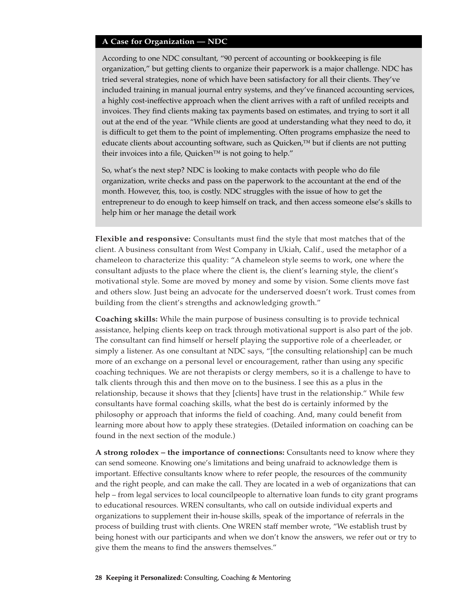### **A Case for Organization — NDC**

According to one NDC consultant, "90 percent of accounting or bookkeeping is file organization," but getting clients to organize their paperwork is a major challenge. NDC has tried several strategies, none of which have been satisfactory for all their clients. They've included training in manual journal entry systems, and they've financed accounting services, a highly cost-ineffective approach when the client arrives with a raft of unfiled receipts and invoices. They find clients making tax payments based on estimates, and trying to sort it all out at the end of the year. "While clients are good at understanding what they need to do, it is difficult to get them to the point of implementing. Often programs emphasize the need to educate clients about accounting software, such as Quicken,™ but if clients are not putting their invoices into a file, Quicken™ is not going to help."

So, what's the next step? NDC is looking to make contacts with people who do file organization, write checks and pass on the paperwork to the accountant at the end of the month. However, this, too, is costly. NDC struggles with the issue of how to get the entrepreneur to do enough to keep himself on track, and then access someone else's skills to help him or her manage the detail work

**Flexible and responsive:** Consultants must find the style that most matches that of the client. A business consultant from West Company in Ukiah, Calif., used the metaphor of a chameleon to characterize this quality: "A chameleon style seems to work, one where the consultant adjusts to the place where the client is, the client's learning style, the client's motivational style. Some are moved by money and some by vision. Some clients move fast and others slow. Just being an advocate for the underserved doesn't work. Trust comes from building from the client's strengths and acknowledging growth."

**Coaching skills:** While the main purpose of business consulting is to provide technical assistance, helping clients keep on track through motivational support is also part of the job. The consultant can find himself or herself playing the supportive role of a cheerleader, or simply a listener. As one consultant at NDC says, "[the consulting relationship] can be much more of an exchange on a personal level or encouragement, rather than using any specific coaching techniques. We are not therapists or clergy members, so it is a challenge to have to talk clients through this and then move on to the business. I see this as a plus in the relationship, because it shows that they [clients] have trust in the relationship." While few consultants have formal coaching skills, what the best do is certainly informed by the philosophy or approach that informs the field of coaching. And, many could benefit from learning more about how to apply these strategies. (Detailed information on coaching can be found in the next section of the module.)

**A strong rolodex – the importance of connections:** Consultants need to know where they can send someone. Knowing one's limitations and being unafraid to acknowledge them is important. Effective consultants know where to refer people, the resources of the community and the right people, and can make the call. They are located in a web of organizations that can help – from legal services to local councilpeople to alternative loan funds to city grant programs to educational resources. WREN consultants, who call on outside individual experts and organizations to supplement their in-house skills, speak of the importance of referrals in the process of building trust with clients. One WREN staff member wrote, "We establish trust by being honest with our participants and when we don't know the answers, we refer out or try to give them the means to find the answers themselves."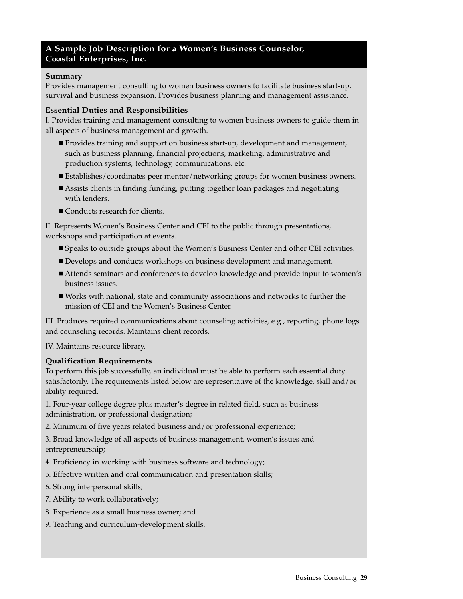# **A Sample Job Description for a Women's Business Counselor, Coastal Enterprises, Inc.**

### **Summary**

Provides management consulting to women business owners to facilitate business start-up, survival and business expansion. Provides business planning and management assistance.

### **Essential Duties and Responsibilities**

I. Provides training and management consulting to women business owners to guide them in all aspects of business management and growth.

- **Provides training and support on business start-up, development and management,** such as business planning, financial projections, marketing, administrative and production systems, technology, communications, etc.
- Establishes/coordinates peer mentor/networking groups for women business owners.
- Assists clients in finding funding, putting together loan packages and negotiating with lenders.
- Conducts research for clients.

II. Represents Women's Business Center and CEI to the public through presentations, workshops and participation at events.

- Speaks to outside groups about the Women's Business Center and other CEI activities.
- Develops and conducts workshops on business development and management.
- Attends seminars and conferences to develop knowledge and provide input to women's business issues.
- Works with national, state and community associations and networks to further the mission of CEI and the Women's Business Center.

III. Produces required communications about counseling activities, e.g., reporting, phone logs and counseling records. Maintains client records.

IV. Maintains resource library.

### **Qualification Requirements**

To perform this job successfully, an individual must be able to perform each essential duty satisfactorily. The requirements listed below are representative of the knowledge, skill and/or ability required.

1. Four-year college degree plus master's degree in related field, such as business administration, or professional designation;

2. Minimum of five years related business and/or professional experience;

3. Broad knowledge of all aspects of business management, women's issues and entrepreneurship;

- 4. Proficiency in working with business software and technology;
- 5. Effective written and oral communication and presentation skills;
- 6. Strong interpersonal skills;
- 7. Ability to work collaboratively;
- 8. Experience as a small business owner; and
- 9. Teaching and curriculum-development skills.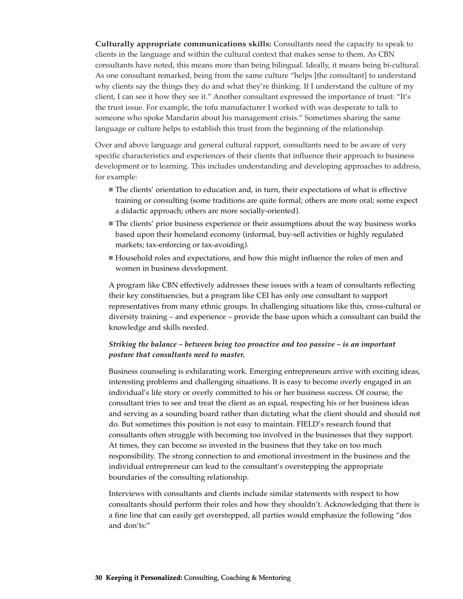**Culturally appropriate communications skills:** Consultants need the capacity to speak to clients in the language and within the cultural context that makes sense to them. As CBN consultants have noted, this means more than being bilingual. Ideally, it means being bi-cultural. As one consultant remarked, being from the same culture "helps [the consultant] to understand why clients say the things they do and what they're thinking. If I understand the culture of my client, I can see it how they see it." Another consultant expressed the importance of trust: "It's the trust issue. For example, the tofu manufacturer I worked with was desperate to talk to someone who spoke Mandarin about his management crisis." Sometimes sharing the same language or culture helps to establish this trust from the beginning of the relationship.

Over and above language and general cultural rapport, consultants need to be aware of very specific characteristics and experiences of their clients that influence their approach to business development or to learning. This includes understanding and developing approaches to address, for example:

- The clients' orientation to education and, in turn, their expectations of what is effective training or consulting (some traditions are quite formal; others are more oral; some expect a didactic approach; others are more socially-oriented).
- The clients' prior business experience or their assumptions about the way business works based upon their homeland economy (informal, buy-sell activities or highly regulated markets; tax-enforcing or tax-avoiding).
- Household roles and expectations, and how this might influence the roles of men and women in business development.

A program like CBN effectively addresses these issues with a team of consultants reflecting their key constituencies, but a program like CEI has only one consultant to support representatives from many ethnic groups. In challenging situations like this, cross-cultural or diversity training – and experience – provide the base upon which a consultant can build the knowledge and skills needed.

### *Striking the balance – between being too proactive and too passive – is an important posture that consultants need to master.*

Business counseling is exhilarating work. Emerging entrepreneurs arrive with exciting ideas, interesting problems and challenging situations. It is easy to become overly engaged in an individual's life story or overly committed to his or her business success. Of course, the consultant tries to see and treat the client as an equal, respecting his or her business ideas and serving as a sounding board rather than dictating what the client should and should not do. But sometimes this position is not easy to maintain. FIELD's research found that consultants often struggle with becoming too involved in the businesses that they support. At times, they can become so invested in the business that they take on too much responsibility. The strong connection to and emotional investment in the business and the individual entrepreneur can lead to the consultant's overstepping the appropriate boundaries of the consulting relationship.

Interviews with consultants and clients include similar statements with respect to how consultants should perform their roles and how they shouldn't. Acknowledging that there is a fine line that can easily get overstepped, all parties would emphasize the following "dos and don'ts:"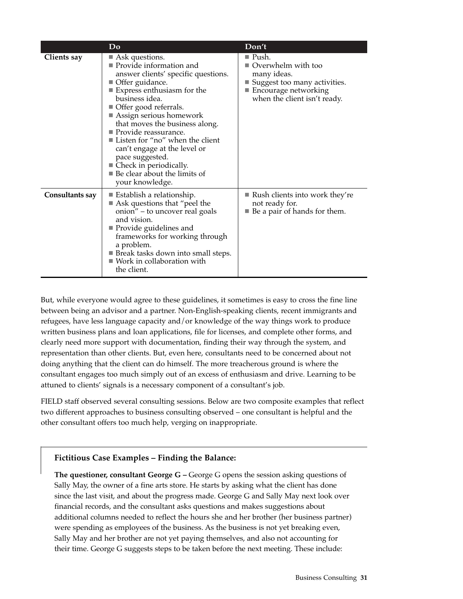|                    | Do                                                                                                                                                                                                                                                                                                                                                                                                                                                                                                                  | Don't                                                                                                                                               |
|--------------------|---------------------------------------------------------------------------------------------------------------------------------------------------------------------------------------------------------------------------------------------------------------------------------------------------------------------------------------------------------------------------------------------------------------------------------------------------------------------------------------------------------------------|-----------------------------------------------------------------------------------------------------------------------------------------------------|
| <b>Clients say</b> | $\blacksquare$ Ask questions.<br>Provide information and<br>answer clients' specific questions.<br>Offer guidance.<br>$\blacksquare$ Express enthusiasm for the<br>business idea.<br>■ Offer good referrals.<br>$\blacksquare$ Assign serious homework<br>that moves the business along.<br>Provide reassurance.<br>■ Listen for "no" when the client<br>can't engage at the level or<br>pace suggested.<br>$\blacksquare$ Check in periodically.<br>$\blacksquare$ Be clear about the limits of<br>your knowledge. | ■ Push.<br>Overwhelm with too<br>many ideas.<br>Suggest too many activities.<br>$\blacksquare$ Encourage networking<br>when the client isn't ready. |
| Consultants say    | $\blacksquare$ Establish a relationship.<br>Ask questions that "peel the<br>onion" – to uncover real goals<br>and vision.<br>$\blacksquare$ Provide guidelines and<br>frameworks for working through<br>a problem.<br><b>Break tasks down into small steps.</b><br>$\blacksquare$ Work in collaboration with<br>the client.                                                                                                                                                                                         | $\blacksquare$ Rush clients into work they're<br>not ready for.<br>■ Be a pair of hands for them.                                                   |

But, while everyone would agree to these guidelines, it sometimes is easy to cross the fine line between being an advisor and a partner. Non-English-speaking clients, recent immigrants and refugees, have less language capacity and/or knowledge of the way things work to produce written business plans and loan applications, file for licenses, and complete other forms, and clearly need more support with documentation, finding their way through the system, and representation than other clients. But, even here, consultants need to be concerned about not doing anything that the client can do himself. The more treacherous ground is where the consultant engages too much simply out of an excess of enthusiasm and drive. Learning to be attuned to clients' signals is a necessary component of a consultant's job.

FIELD staff observed several consulting sessions. Below are two composite examples that reflect two different approaches to business consulting observed – one consultant is helpful and the other consultant offers too much help, verging on inappropriate.

# **Fictitious Case Examples – Finding the Balance:**

**The questioner, consultant George G –** George G opens the session asking questions of Sally May, the owner of a fine arts store. He starts by asking what the client has done since the last visit, and about the progress made. George G and Sally May next look over financial records, and the consultant asks questions and makes suggestions about additional columns needed to reflect the hours she and her brother (her business partner) were spending as employees of the business. As the business is not yet breaking even, Sally May and her brother are not yet paying themselves, and also not accounting for their time. George G suggests steps to be taken before the next meeting. These include: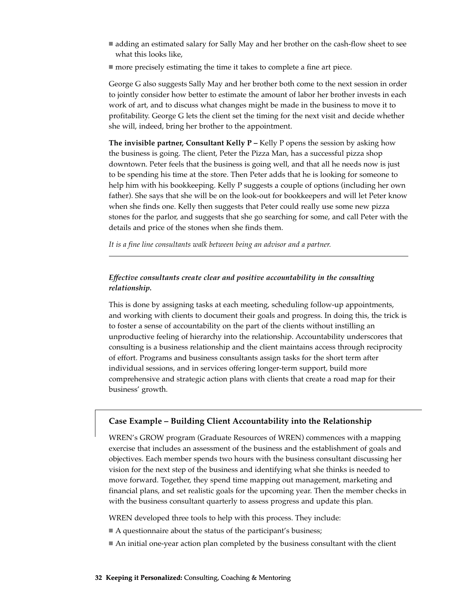- adding an estimated salary for Sally May and her brother on the cash-flow sheet to see what this looks like,
- more precisely estimating the time it takes to complete a fine art piece.

George G also suggests Sally May and her brother both come to the next session in order to jointly consider how better to estimate the amount of labor her brother invests in each work of art, and to discuss what changes might be made in the business to move it to profitability. George G lets the client set the timing for the next visit and decide whether she will, indeed, bring her brother to the appointment.

**The invisible partner, Consultant Kelly P –** Kelly P opens the session by asking how the business is going. The client, Peter the Pizza Man, has a successful pizza shop downtown. Peter feels that the business is going well, and that all he needs now is just to be spending his time at the store. Then Peter adds that he is looking for someone to help him with his bookkeeping. Kelly P suggests a couple of options (including her own father). She says that she will be on the look-out for bookkeepers and will let Peter know when she finds one. Kelly then suggests that Peter could really use some new pizza stones for the parlor, and suggests that she go searching for some, and call Peter with the details and price of the stones when she finds them.

*It is a fine line consultants walk between being an advisor and a partner.*

### *Effective consultants create clear and positive accountability in the consulting relationship.*

This is done by assigning tasks at each meeting, scheduling follow-up appointments, and working with clients to document their goals and progress. In doing this, the trick is to foster a sense of accountability on the part of the clients without instilling an unproductive feeling of hierarchy into the relationship. Accountability underscores that consulting is a business relationship and the client maintains access through reciprocity of effort. Programs and business consultants assign tasks for the short term after individual sessions, and in services offering longer-term support, build more comprehensive and strategic action plans with clients that create a road map for their business' growth.

### **Case Example – Building Client Accountability into the Relationship**

WREN's GROW program (Graduate Resources of WREN) commences with a mapping exercise that includes an assessment of the business and the establishment of goals and objectives. Each member spends two hours with the business consultant discussing her vision for the next step of the business and identifying what she thinks is needed to move forward. Together, they spend time mapping out management, marketing and financial plans, and set realistic goals for the upcoming year. Then the member checks in with the business consultant quarterly to assess progress and update this plan.

WREN developed three tools to help with this process. They include:

- A questionnaire about the status of the participant's business;
- An initial one-year action plan completed by the business consultant with the client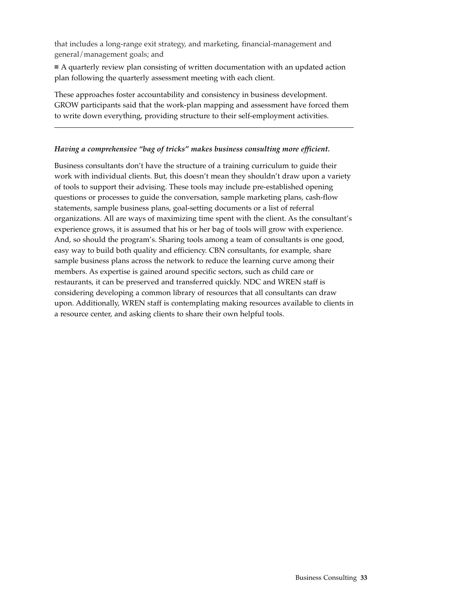that includes a long-range exit strategy, and marketing, financial-management and general/management goals; and

 A quarterly review plan consisting of written documentation with an updated action plan following the quarterly assessment meeting with each client.

These approaches foster accountability and consistency in business development. GROW participants said that the work-plan mapping and assessment have forced them to write down everything, providing structure to their self-employment activities.

### *Having a comprehensive "bag of tricks" makes business consulting more efficient.*

Business consultants don't have the structure of a training curriculum to guide their work with individual clients. But, this doesn't mean they shouldn't draw upon a variety of tools to support their advising. These tools may include pre-established opening questions or processes to guide the conversation, sample marketing plans, cash-flow statements, sample business plans, goal-setting documents or a list of referral organizations. All are ways of maximizing time spent with the client. As the consultant's experience grows, it is assumed that his or her bag of tools will grow with experience. And, so should the program's. Sharing tools among a team of consultants is one good, easy way to build both quality and efficiency. CBN consultants, for example, share sample business plans across the network to reduce the learning curve among their members. As expertise is gained around specific sectors, such as child care or restaurants, it can be preserved and transferred quickly. NDC and WREN staff is considering developing a common library of resources that all consultants can draw upon. Additionally, WREN staff is contemplating making resources available to clients in a resource center, and asking clients to share their own helpful tools.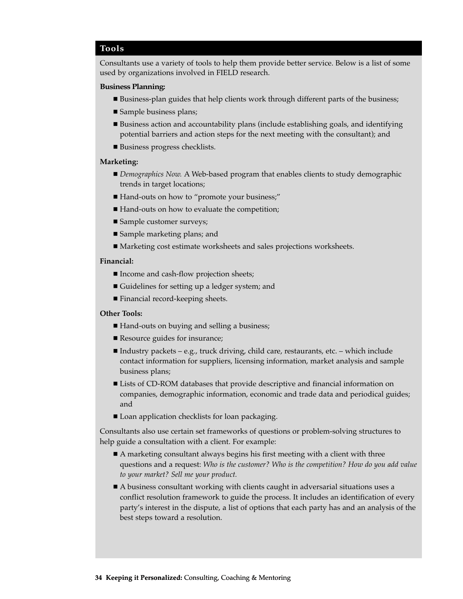#### **Tools**

Consultants use a variety of tools to help them provide better service. Below is a list of some used by organizations involved in FIELD research.

#### **Business Planning:**

- Business-plan guides that help clients work through different parts of the business;
- Sample business plans;
- Business action and accountability plans (include establishing goals, and identifying potential barriers and action steps for the next meeting with the consultant); and
- Business progress checklists.

#### **Marketing:**

- *Demographics Now.* A Web-based program that enables clients to study demographic trends in target locations;
- Hand-outs on how to "promote your business;"
- Hand-outs on how to evaluate the competition;
- Sample customer surveys;
- Sample marketing plans; and
- Marketing cost estimate worksheets and sales projections worksheets.

#### **Financial:**

- Income and cash-flow projection sheets;
- Guidelines for setting up a ledger system; and
- Financial record-keeping sheets.

#### **Other Tools:**

- Hand-outs on buying and selling a business;
- Resource guides for insurance;
- Industry packets e.g., truck driving, child care, restaurants, etc. which include contact information for suppliers, licensing information, market analysis and sample business plans;
- Lists of CD-ROM databases that provide descriptive and financial information on companies, demographic information, economic and trade data and periodical guides; and
- Loan application checklists for loan packaging.

Consultants also use certain set frameworks of questions or problem-solving structures to help guide a consultation with a client. For example:

- A marketing consultant always begins his first meeting with a client with three questions and a request: *Who is the customer? Who is the competition? How do you add value to your market? Sell me your product.*
- A business consultant working with clients caught in adversarial situations uses a conflict resolution framework to guide the process. It includes an identification of every party's interest in the dispute, a list of options that each party has and an analysis of the best steps toward a resolution.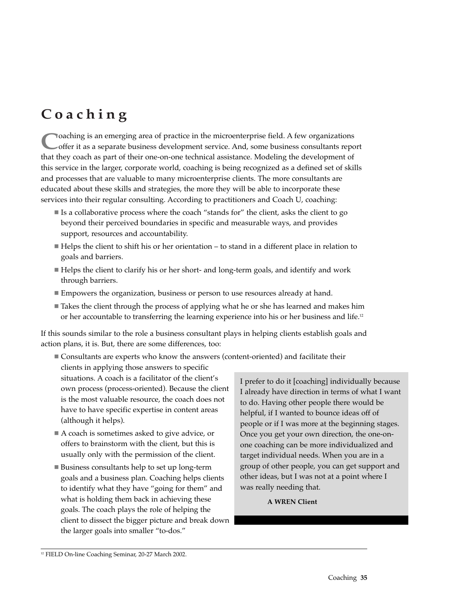# **Coaching**

**C**oaching is an emerging area of practice in the microenterprise field. A few organizations offer it as a separate business development service. And, some business consultants report that they coach as part of their one-on-one technical assistance. Modeling the development of this service in the larger, corporate world, coaching is being recognized as a defined set of skills and processes that are valuable to many microenterprise clients. The more consultants are educated about these skills and strategies, the more they will be able to incorporate these services into their regular consulting. According to practitioners and Coach U, coaching:

- Is a collaborative process where the coach "stands for" the client, asks the client to go beyond their perceived boundaries in specific and measurable ways, and provides support, resources and accountability.
- Helps the client to shift his or her orientation to stand in a different place in relation to goals and barriers.
- Helps the client to clarify his or her short- and long-term goals, and identify and work through barriers.
- Empowers the organization, business or person to use resources already at hand.
- Takes the client through the process of applying what he or she has learned and makes him or her accountable to transferring the learning experience into his or her business and life.<sup>12</sup>

If this sounds similar to the role a business consultant plays in helping clients establish goals and action plans, it is. But, there are some differences, too:

 Consultants are experts who know the answers (content-oriented) and facilitate their clients in applying those answers to specific

situations. A coach is a facilitator of the client's own process (process-oriented). Because the client is the most valuable resource, the coach does not have to have specific expertise in content areas (although it helps).

- A coach is sometimes asked to give advice, or offers to brainstorm with the client, but this is usually only with the permission of the client.
- Business consultants help to set up long-term goals and a business plan. Coaching helps clients to identify what they have "going for them" and what is holding them back in achieving these goals. The coach plays the role of helping the client to dissect the bigger picture and break down the larger goals into smaller "to-dos."

I prefer to do it [coaching] individually because I already have direction in terms of what I want to do. Having other people there would be helpful, if I wanted to bounce ideas off of people or if I was more at the beginning stages. Once you get your own direction, the one-onone coaching can be more individualized and target individual needs. When you are in a group of other people, you can get support and other ideas, but I was not at a point where I was really needing that.

# **A WREN Client**

<sup>&</sup>lt;sup>12</sup> FIELD On-line Coaching Seminar, 20-27 March 2002.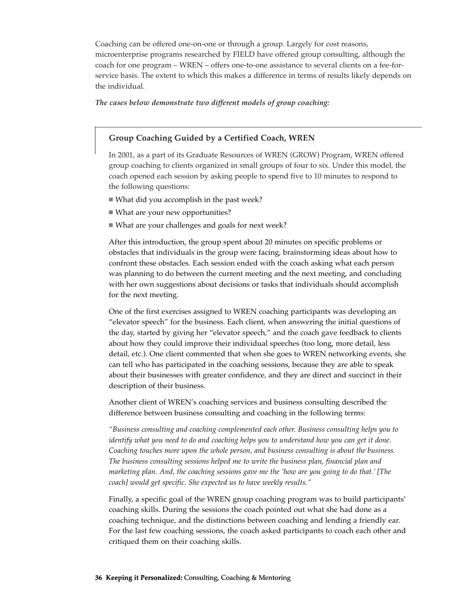Coaching can be offered one-on-one or through a group. Largely for cost reasons, microenterprise programs researched by FIELD have offered group consulting, although the coach for one program – WREN – offers one-to-one assistance to several clients on a fee-forservice basis. The extent to which this makes a difference in terms of results likely depends on the individual.

#### *The cases below demonstrate two different models of group coaching:*

### **Group Coaching Guided by a Certified Coach, WREN**

In 2001, as a part of its Graduate Resources of WREN (GROW) Program, WREN offered group coaching to clients organized in small groups of four to six. Under this model, the coach opened each session by asking people to spend five to 10 minutes to respond to the following questions:

- What did you accomplish in the past week?
- What are your new opportunities?
- What are your challenges and goals for next week?

After this introduction, the group spent about 20 minutes on specific problems or obstacles that individuals in the group were facing, brainstorming ideas about how to confront these obstacles. Each session ended with the coach asking what each person was planning to do between the current meeting and the next meeting, and concluding with her own suggestions about decisions or tasks that individuals should accomplish for the next meeting.

One of the first exercises assigned to WREN coaching participants was developing an "elevator speech" for the business. Each client, when answering the initial questions of the day, started by giving her "elevator speech," and the coach gave feedback to clients about how they could improve their individual speeches (too long, more detail, less detail, etc.). One client commented that when she goes to WREN networking events, she can tell who has participated in the coaching sessions, because they are able to speak about their businesses with greater confidence, and they are direct and succinct in their description of their business.

Another client of WREN's coaching services and business consulting described the difference between business consulting and coaching in the following terms:

*"Business consulting and coaching complemented each other. Business consulting helps you to identify what you need to do and coaching helps you to understand how you can get it done. Coaching touches more upon the whole person, and business consulting is about the business. The business consulting sessions helped me to write the business plan, financial plan and marketing plan. And, the coaching sessions gave me the 'how are you going to do that.' [The coach] would get specific. She expected us to have weekly results."*

Finally, a specific goal of the WREN group coaching program was to build participants' coaching skills. During the sessions the coach pointed out what she had done as a coaching technique, and the distinctions between coaching and lending a friendly ear. For the last few coaching sessions, the coach asked participants to coach each other and critiqued them on their coaching skills.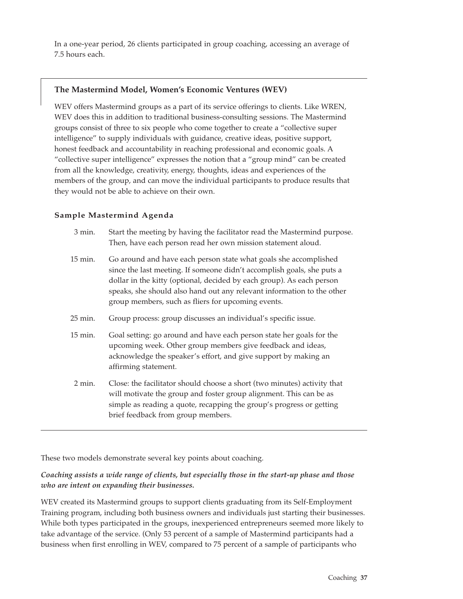In a one-year period, 26 clients participated in group coaching, accessing an average of 7.5 hours each.

#### **The Mastermind Model, Women's Economic Ventures (WEV)**

WEV offers Mastermind groups as a part of its service offerings to clients. Like WREN, WEV does this in addition to traditional business-consulting sessions. The Mastermind groups consist of three to six people who come together to create a "collective super intelligence" to supply individuals with guidance, creative ideas, positive support, honest feedback and accountability in reaching professional and economic goals. A "collective super intelligence" expresses the notion that a "group mind" can be created from all the knowledge, creativity, energy, thoughts, ideas and experiences of the members of the group, and can move the individual participants to produce results that they would not be able to achieve on their own.

#### **Sample Mastermind Agenda**

| 3 min.  | Start the meeting by having the facilitator read the Mastermind purpose.<br>Then, have each person read her own mission statement aloud.                                                                                                                                                                                                            |
|---------|-----------------------------------------------------------------------------------------------------------------------------------------------------------------------------------------------------------------------------------------------------------------------------------------------------------------------------------------------------|
| 15 min. | Go around and have each person state what goals she accomplished<br>since the last meeting. If someone didn't accomplish goals, she puts a<br>dollar in the kitty (optional, decided by each group). As each person<br>speaks, she should also hand out any relevant information to the other<br>group members, such as fliers for upcoming events. |
| 25 min. | Group process: group discusses an individual's specific issue.                                                                                                                                                                                                                                                                                      |
| 15 min. | Goal setting: go around and have each person state her goals for the<br>upcoming week. Other group members give feedback and ideas,<br>acknowledge the speaker's effort, and give support by making an<br>affirming statement.                                                                                                                      |
| 2 min.  | Close: the facilitator should choose a short (two minutes) activity that<br>will motivate the group and foster group alignment. This can be as<br>simple as reading a quote, recapping the group's progress or getting<br>brief feedback from group members.                                                                                        |

These two models demonstrate several key points about coaching.

#### *Coaching assists a wide range of clients, but especially those in the start-up phase and those who are intent on expanding their businesses.*

WEV created its Mastermind groups to support clients graduating from its Self-Employment Training program, including both business owners and individuals just starting their businesses. While both types participated in the groups, inexperienced entrepreneurs seemed more likely to take advantage of the service. (Only 53 percent of a sample of Mastermind participants had a business when first enrolling in WEV, compared to 75 percent of a sample of participants who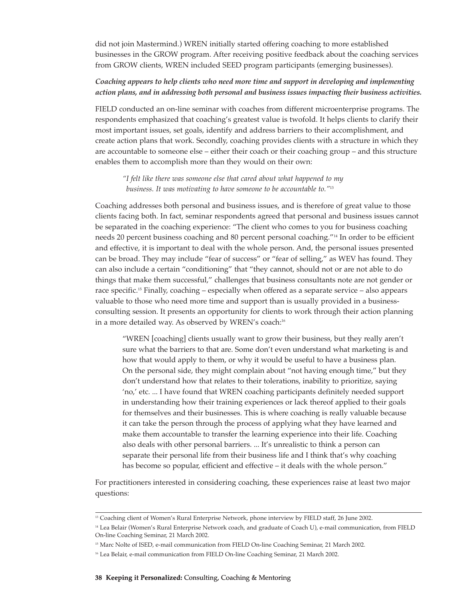did not join Mastermind.) WREN initially started offering coaching to more established businesses in the GROW program. After receiving positive feedback about the coaching services from GROW clients, WREN included SEED program participants (emerging businesses).

#### *Coaching appears to help clients who need more time and support in developing and implementing action plans, and in addressing both personal and business issues impacting their business activities.*

FIELD conducted an on-line seminar with coaches from different microenterprise programs. The respondents emphasized that coaching's greatest value is twofold. It helps clients to clarify their most important issues, set goals, identify and address barriers to their accomplishment, and create action plans that work. Secondly, coaching provides clients with a structure in which they are accountable to someone else – either their coach or their coaching group – and this structure enables them to accomplish more than they would on their own:

*"I felt like there was someone else that cared about what happened to my business. It was motivating to have someone to be accountable to."*<sup>13</sup>

Coaching addresses both personal and business issues, and is therefore of great value to those clients facing both. In fact, seminar respondents agreed that personal and business issues cannot be separated in the coaching experience: "The client who comes to you for business coaching needs 20 percent business coaching and 80 percent personal coaching."14 In order to be efficient and effective, it is important to deal with the whole person. And, the personal issues presented can be broad. They may include "fear of success" or "fear of selling," as WEV has found. They can also include a certain "conditioning" that "they cannot, should not or are not able to do things that make them successful," challenges that business consultants note are not gender or race specific.15 Finally, coaching – especially when offered as a separate service – also appears valuable to those who need more time and support than is usually provided in a businessconsulting session. It presents an opportunity for clients to work through their action planning in a more detailed way. As observed by WREN's coach:<sup>16</sup>

"WREN [coaching] clients usually want to grow their business, but they really aren't sure what the barriers to that are. Some don't even understand what marketing is and how that would apply to them, or why it would be useful to have a business plan. On the personal side, they might complain about "not having enough time," but they don't understand how that relates to their tolerations, inability to prioritize, saying 'no,' etc. ... I have found that WREN coaching participants definitely needed support in understanding how their training experiences or lack thereof applied to their goals for themselves and their businesses. This is where coaching is really valuable because it can take the person through the process of applying what they have learned and make them accountable to transfer the learning experience into their life. Coaching also deals with other personal barriers. ... It's unrealistic to think a person can separate their personal life from their business life and I think that's why coaching has become so popular, efficient and effective – it deals with the whole person."

For practitioners interested in considering coaching, these experiences raise at least two major questions:

<sup>&</sup>lt;sup>13</sup> Coaching client of Women's Rural Enterprise Network, phone interview by FIELD staff, 26 June 2002.

<sup>&</sup>lt;sup>14</sup> Lea Belair (Women's Rural Enterprise Network coach, and graduate of Coach U), e-mail communication, from FIELD On-line Coaching Seminar, 21 March 2002.

<sup>&</sup>lt;sup>15</sup> Marc Nolte of ISED, e-mail communication from FIELD On-line Coaching Seminar, 21 March 2002.

<sup>&</sup>lt;sup>16</sup> Lea Belair, e-mail communication from FIELD On-line Coaching Seminar, 21 March 2002.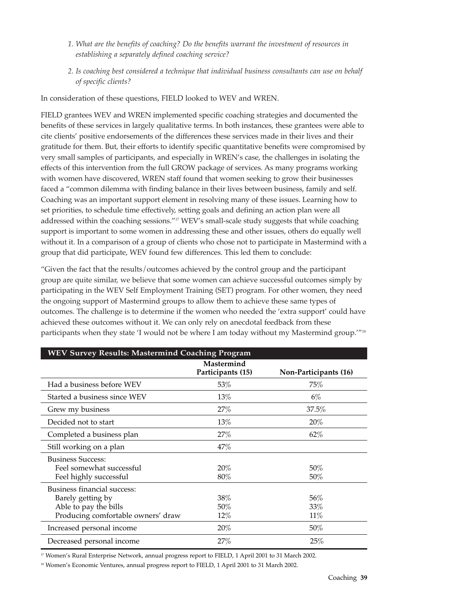- *1. What are the benefits of coaching? Do the benefits warrant the investment of resources in establishing a separately defined coaching service?*
- *2. Is coaching best considered a technique that individual business consultants can use on behalf of specific clients?*

In consideration of these questions, FIELD looked to WEV and WREN.

FIELD grantees WEV and WREN implemented specific coaching strategies and documented the benefits of these services in largely qualitative terms. In both instances, these grantees were able to cite clients' positive endorsements of the differences these services made in their lives and their gratitude for them. But, their efforts to identify specific quantitative benefits were compromised by very small samples of participants, and especially in WREN's case, the challenges in isolating the effects of this intervention from the full GROW package of services. As many programs working with women have discovered, WREN staff found that women seeking to grow their businesses faced a "common dilemma with finding balance in their lives between business, family and self. Coaching was an important support element in resolving many of these issues. Learning how to set priorities, to schedule time effectively, setting goals and defining an action plan were all addressed within the coaching sessions."<sup>17</sup> WEV's small-scale study suggests that while coaching support is important to some women in addressing these and other issues, others do equally well without it. In a comparison of a group of clients who chose not to participate in Mastermind with a group that did participate, WEV found few differences. This led them to conclude:

"Given the fact that the results/outcomes achieved by the control group and the participant group are quite similar, we believe that some women can achieve successful outcomes simply by participating in the WEV Self Employment Training (SET) program. For other women, they need the ongoing support of Mastermind groups to allow them to achieve these same types of outcomes. The challenge is to determine if the women who needed the 'extra support' could have achieved these outcomes without it. We can only rely on anecdotal feedback from these participants when they state 'I would not be where I am today without my Mastermind group."<sup>18</sup>

| <b>WEV Survey Results: Mastermind Coaching Program</b>                                                          |                                 |                       |  |
|-----------------------------------------------------------------------------------------------------------------|---------------------------------|-----------------------|--|
|                                                                                                                 | Mastermind<br>Participants (15) | Non-Participants (16) |  |
| Had a business before WEV                                                                                       | 53%                             | 75%                   |  |
| Started a business since WEV                                                                                    | 13%                             | $6\%$                 |  |
| Grew my business                                                                                                | 27%                             | 37.5%                 |  |
| Decided not to start                                                                                            | 13%                             | 20%                   |  |
| Completed a business plan                                                                                       | 27%                             | 62%                   |  |
| Still working on a plan                                                                                         | 47%                             |                       |  |
| <b>Business Success:</b><br>Feel somewhat successful<br>Feel highly successful                                  | 20%<br>$80\%$                   | 50%<br>50%            |  |
| Business financial success:<br>Barely getting by<br>Able to pay the bills<br>Producing comfortable owners' draw | 38%<br>50%<br>12%               | 56%<br>33%<br>11%     |  |
| Increased personal income                                                                                       | 20%                             | $50\%$                |  |
| Decreased personal income                                                                                       | 27%                             | 25%                   |  |

<sup>17</sup> Women's Rural Enterprise Network, annual progress report to FIELD, 1 April 2001 to 31 March 2002.

<sup>18</sup> Women's Economic Ventures, annual progress report to FIELD, 1 April 2001 to 31 March 2002.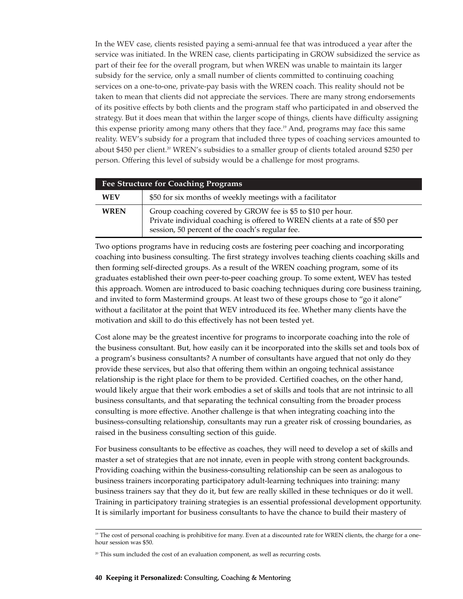In the WEV case, clients resisted paying a semi-annual fee that was introduced a year after the service was initiated. In the WREN case, clients participating in GROW subsidized the service as part of their fee for the overall program, but when WREN was unable to maintain its larger subsidy for the service, only a small number of clients committed to continuing coaching services on a one-to-one, private-pay basis with the WREN coach. This reality should not be taken to mean that clients did not appreciate the services. There are many strong endorsements of its positive effects by both clients and the program staff who participated in and observed the strategy. But it does mean that within the larger scope of things, clients have difficulty assigning this expense priority among many others that they face.19 And, programs may face this same reality. WEV's subsidy for a program that included three types of coaching services amounted to about \$450 per client.<sup>20</sup> WREN's subsidies to a smaller group of clients totaled around \$250 per person. Offering this level of subsidy would be a challenge for most programs.

| <b>Fee Structure for Coaching Programs</b> |                                                                                                                                                                                                |  |  |  |
|--------------------------------------------|------------------------------------------------------------------------------------------------------------------------------------------------------------------------------------------------|--|--|--|
| <b>WEV</b>                                 | \$50 for six months of weekly meetings with a facilitator                                                                                                                                      |  |  |  |
| <b>WREN</b>                                | Group coaching covered by GROW fee is \$5 to \$10 per hour.<br>Private individual coaching is offered to WREN clients at a rate of \$50 per<br>session, 50 percent of the coach's regular fee. |  |  |  |

Two options programs have in reducing costs are fostering peer coaching and incorporating coaching into business consulting. The first strategy involves teaching clients coaching skills and then forming self-directed groups. As a result of the WREN coaching program, some of its graduates established their own peer-to-peer coaching group. To some extent, WEV has tested this approach. Women are introduced to basic coaching techniques during core business training, and invited to form Mastermind groups. At least two of these groups chose to "go it alone" without a facilitator at the point that WEV introduced its fee. Whether many clients have the motivation and skill to do this effectively has not been tested yet.

Cost alone may be the greatest incentive for programs to incorporate coaching into the role of the business consultant. But, how easily can it be incorporated into the skills set and tools box of a program's business consultants? A number of consultants have argued that not only do they provide these services, but also that offering them within an ongoing technical assistance relationship is the right place for them to be provided. Certified coaches, on the other hand, would likely argue that their work embodies a set of skills and tools that are not intrinsic to all business consultants, and that separating the technical consulting from the broader process consulting is more effective. Another challenge is that when integrating coaching into the business-consulting relationship, consultants may run a greater risk of crossing boundaries, as raised in the business consulting section of this guide.

For business consultants to be effective as coaches, they will need to develop a set of skills and master a set of strategies that are not innate, even in people with strong content backgrounds. Providing coaching within the business-consulting relationship can be seen as analogous to business trainers incorporating participatory adult-learning techniques into training: many business trainers say that they do it, but few are really skilled in these techniques or do it well. Training in participatory training strategies is an essential professional development opportunity. It is similarly important for business consultants to have the chance to build their mastery of

<sup>&</sup>lt;sup>19</sup> The cost of personal coaching is prohibitive for many. Even at a discounted rate for WREN clients, the charge for a onehour session was \$50.

 $20$  This sum included the cost of an evaluation component, as well as recurring costs.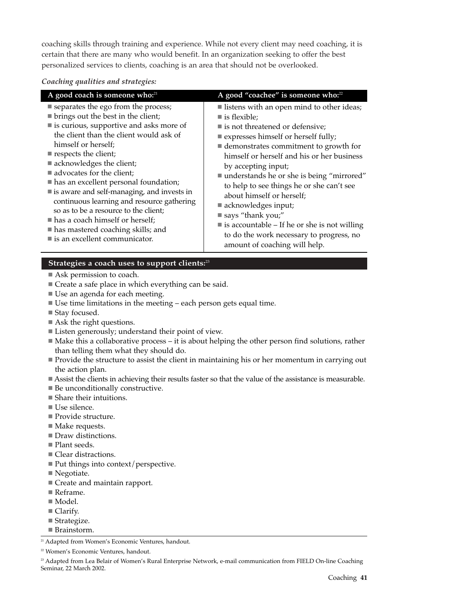coaching skills through training and experience. While not every client may need coaching, it is certain that there are many who would benefit. In an organization seeking to offer the best personalized services to clients, coaching is an area that should not be overlooked.

#### *Coaching qualities and strategies:*

| A good coach is someone who: <sup>21</sup>             | A good "coachee" is someone who: <sup>22</sup>              |
|--------------------------------------------------------|-------------------------------------------------------------|
| ■ separates the ego from the process;                  | listens with an open mind to other ideas;                   |
| lacktriangleright best in the client;                  | $\blacksquare$ is flexible;                                 |
| $\blacksquare$ is curious, supportive and asks more of | ■ is not threatened or defensive;                           |
| the client than the client would ask of                | ■ expresses himself or herself fully;                       |
| himself or herself;                                    | ■ demonstrates commitment to growth for                     |
| respects the client;                                   | himself or herself and his or her business                  |
| acknowledges the client;                               | by accepting input;                                         |
| advocates for the client;                              | ■ understands he or she is being "mirrored"                 |
| has an excellent personal foundation;                  | to help to see things he or she can't see                   |
| is aware and self-managing, and invests in             | about himself or herself;                                   |
| continuous learning and resource gathering             | acknowledges input;                                         |
| so as to be a resource to the client;                  | $\blacksquare$ says "thank you;"                            |
| has a coach himself or herself;                        | $\blacksquare$ is accountable – If he or she is not willing |
| $\blacksquare$ has mastered coaching skills; and       | to do the work necessary to progress, no                    |
| $\blacksquare$ is an excellent communicator.           | amount of coaching will help.                               |

#### **Strategies a coach uses to support clients:**<sup>23</sup>

- Ask permission to coach.
- Create a safe place in which everything can be said.
- Use an agenda for each meeting.
- Use time limitations in the meeting each person gets equal time.
- Stay focused.
- Ask the right questions.
- Listen generously; understand their point of view.
- $\blacksquare$  Make this a collaborative process it is about helping the other person find solutions, rather than telling them what they should do.
- Provide the structure to assist the client in maintaining his or her momentum in carrying out the action plan.
- Assist the clients in achieving their results faster so that the value of the assistance is measurable.
- Be unconditionally constructive.
- Share their intuitions.
- Use silence.
- Provide structure.
- Make requests.
- Draw distinctions.
- Plant seeds.
- Clear distractions.
- $\blacksquare$  Put things into context/perspective.
- Negotiate.
- Create and maintain rapport.
- Reframe.
- Model.
- Clarify.
- Strategize.
- Brainstorm.

<sup>21</sup> Adapted from Women's Economic Ventures, handout.

<sup>23</sup> Adapted from Lea Belair of Women's Rural Enterprise Network, e-mail communication from FIELD On-line Coaching Seminar, 22 March 2002.

<sup>&</sup>lt;sup>22</sup> Women's Economic Ventures, handout.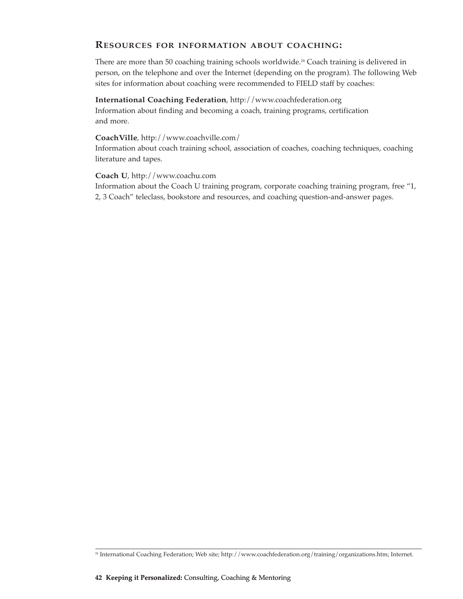## **RESOURCES FOR INFORMATION ABOUT COACHING:**

There are more than 50 coaching training schools worldwide.<sup>24</sup> Coach training is delivered in person, on the telephone and over the Internet (depending on the program). The following Web sites for information about coaching were recommended to FIELD staff by coaches:

#### **International Coaching Federation**, http://www.coachfederation.org

Information about finding and becoming a coach, training programs, certification and more.

#### **CoachVille**, http://www.coachville.com/

Information about coach training school, association of coaches, coaching techniques, coaching literature and tapes.

#### **Coach U**, http://www.coachu.com

Information about the Coach U training program, corporate coaching training program, free "1, 2, 3 Coach" teleclass, bookstore and resources, and coaching question-and-answer pages.

<sup>24</sup> International Coaching Federation; Web site; http://www.coachfederation.org/training/organizations.htm; Internet.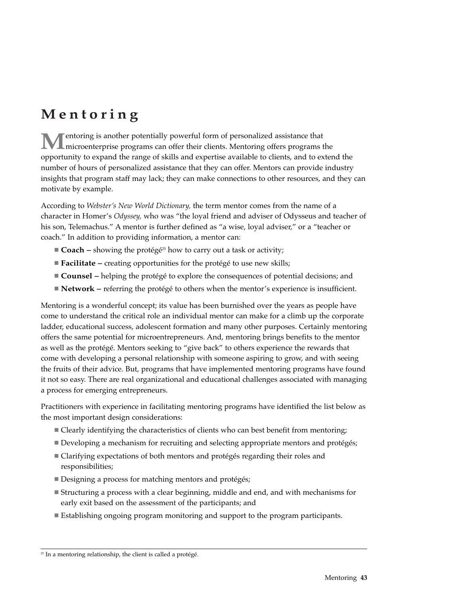# **Mentoring**

**M**entoring is another potentially powerful form of personalized assistance that<br>microenterprise programs can offer their clients. Mentoring offers programs the opportunity to expand the range of skills and expertise available to clients, and to extend the number of hours of personalized assistance that they can offer. Mentors can provide industry insights that program staff may lack; they can make connections to other resources, and they can motivate by example.

According to *Webster's New World Dictionary,* the term mentor comes from the name of a character in Homer's *Odyssey,* who was "the loyal friend and adviser of Odysseus and teacher of his son, Telemachus." A mentor is further defined as "a wise, loyal adviser," or a "teacher or coach." In addition to providing information, a mentor can:

- **Coach** showing the protégé<sup>25</sup> how to carry out a task or activity;
- **Facilitate** creating opportunities for the protégé to use new skills;
- **Counsel** helping the protégé to explore the consequences of potential decisions; and
- **Network** referring the protégé to others when the mentor's experience is insufficient.

Mentoring is a wonderful concept; its value has been burnished over the years as people have come to understand the critical role an individual mentor can make for a climb up the corporate ladder, educational success, adolescent formation and many other purposes. Certainly mentoring offers the same potential for microentrepreneurs. And, mentoring brings benefits to the mentor as well as the protégé. Mentors seeking to "give back" to others experience the rewards that come with developing a personal relationship with someone aspiring to grow, and with seeing the fruits of their advice. But, programs that have implemented mentoring programs have found it not so easy. There are real organizational and educational challenges associated with managing a process for emerging entrepreneurs.

Practitioners with experience in facilitating mentoring programs have identified the list below as the most important design considerations:

- Clearly identifying the characteristics of clients who can best benefit from mentoring;
- Developing a mechanism for recruiting and selecting appropriate mentors and protégés;
- Clarifying expectations of both mentors and protégés regarding their roles and responsibilities;
- Designing a process for matching mentors and protégés;
- Structuring a process with a clear beginning, middle and end, and with mechanisms for early exit based on the assessment of the participants; and
- Establishing ongoing program monitoring and support to the program participants.

 $25$  In a mentoring relationship, the client is called a protégé.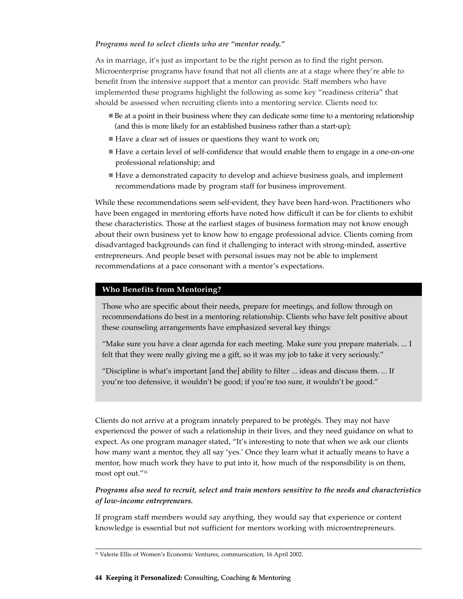#### *Programs need to select clients who are "mentor ready."*

As in marriage, it's just as important to be the right person as to find the right person. Microenterprise programs have found that not all clients are at a stage where they're able to benefit from the intensive support that a mentor can provide. Staff members who have implemented these programs highlight the following as some key "readiness criteria" that should be assessed when recruiting clients into a mentoring service. Clients need to:

- Be at a point in their business where they can dedicate some time to a mentoring relationship (and this is more likely for an established business rather than a start-up);
- Have a clear set of issues or questions they want to work on;
- Have a certain level of self-confidence that would enable them to engage in a one-on-one professional relationship; and
- Have a demonstrated capacity to develop and achieve business goals, and implement recommendations made by program staff for business improvement.

While these recommendations seem self-evident, they have been hard-won. Practitioners who have been engaged in mentoring efforts have noted how difficult it can be for clients to exhibit these characteristics. Those at the earliest stages of business formation may not know enough about their own business yet to know how to engage professional advice. Clients coming from disadvantaged backgrounds can find it challenging to interact with strong-minded, assertive entrepreneurs. And people beset with personal issues may not be able to implement recommendations at a pace consonant with a mentor's expectations.

#### **Who Benefits from Mentoring?**

Those who are specific about their needs, prepare for meetings, and follow through on recommendations do best in a mentoring relationship. Clients who have felt positive about these counseling arrangements have emphasized several key things:

"Make sure you have a clear agenda for each meeting. Make sure you prepare materials. ... I felt that they were really giving me a gift, so it was my job to take it very seriously."

"Discipline is what's important [and the] ability to filter ... ideas and discuss them. ... If you're too defensive, it wouldn't be good; if you're too sure, it wouldn't be good."

Clients do not arrive at a program innately prepared to be protégés. They may not have experienced the power of such a relationship in their lives, and they need guidance on what to expect. As one program manager stated, "It's interesting to note that when we ask our clients how many want a mentor, they all say 'yes.' Once they learn what it actually means to have a mentor, how much work they have to put into it, how much of the responsibility is on them, most opt out."26

#### *Programs also need to recruit, select and train mentors sensitive to the needs and characteristics of low-income entrepreneurs.*

If program staff members would say anything, they would say that experience or content knowledge is essential but not sufficient for mentors working with microentrepreneurs.

<sup>&</sup>lt;sup>26</sup> Valerie Ellis of Women's Economic Ventures, communication, 16 April 2002.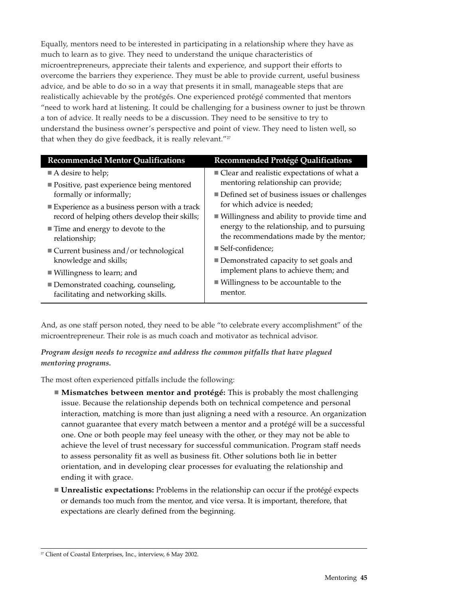Equally, mentors need to be interested in participating in a relationship where they have as much to learn as to give. They need to understand the unique characteristics of microentrepreneurs, appreciate their talents and experience, and support their efforts to overcome the barriers they experience. They must be able to provide current, useful business advice, and be able to do so in a way that presents it in small, manageable steps that are realistically achievable by the protégés. One experienced protégé commented that mentors "need to work hard at listening. It could be challenging for a business owner to just be thrown a ton of advice. It really needs to be a discussion. They need to be sensitive to try to understand the business owner's perspective and point of view. They need to listen well, so that when they do give feedback, it is really relevant."<sup>27</sup>

| <b>Recommended Mentor Qualifications</b>             | Recommended Protégé Qualifications                  |  |
|------------------------------------------------------|-----------------------------------------------------|--|
| $\blacksquare$ A desire to help;                     | ■ Clear and realistic expectations of what a        |  |
| ■ Positive, past experience being mentored           | mentoring relationship can provide;                 |  |
| formally or informally;                              | ■ Defined set of business issues or challenges      |  |
| Experience as a business person with a track         | for which advice is needed;                         |  |
| record of helping others develop their skills;       | ■ Willingness and ability to provide time and       |  |
| $\blacksquare$ Time and energy to devote to the      | energy to the relationship, and to pursuing         |  |
| relationship;                                        | the recommendations made by the mentor;             |  |
| $\blacksquare$ Current business and/or technological | ■ Self-confidence;                                  |  |
| knowledge and skills;                                | ■ Demonstrated capacity to set goals and            |  |
| $\blacksquare$ Willingness to learn; and             | implement plans to achieve them; and                |  |
| Demonstrated coaching, counseling,                   | $\blacksquare$ Willingness to be accountable to the |  |
| facilitating and networking skills.                  | mentor.                                             |  |
|                                                      |                                                     |  |

And, as one staff person noted, they need to be able "to celebrate every accomplishment" of the microentrepreneur. Their role is as much coach and motivator as technical advisor.

*Program design needs to recognize and address the common pitfalls that have plagued mentoring programs.*

The most often experienced pitfalls include the following:

- **Mismatches between mentor and protégé:** This is probably the most challenging issue. Because the relationship depends both on technical competence and personal interaction, matching is more than just aligning a need with a resource. An organization cannot guarantee that every match between a mentor and a protégé will be a successful one. One or both people may feel uneasy with the other, or they may not be able to achieve the level of trust necessary for successful communication. Program staff needs to assess personality fit as well as business fit. Other solutions both lie in better orientation, and in developing clear processes for evaluating the relationship and ending it with grace.
- **Unrealistic expectations:** Problems in the relationship can occur if the protégé expects or demands too much from the mentor, and vice versa. It is important, therefore, that expectations are clearly defined from the beginning.

<sup>&</sup>lt;sup>27</sup> Client of Coastal Enterprises, Inc., interview, 6 May 2002.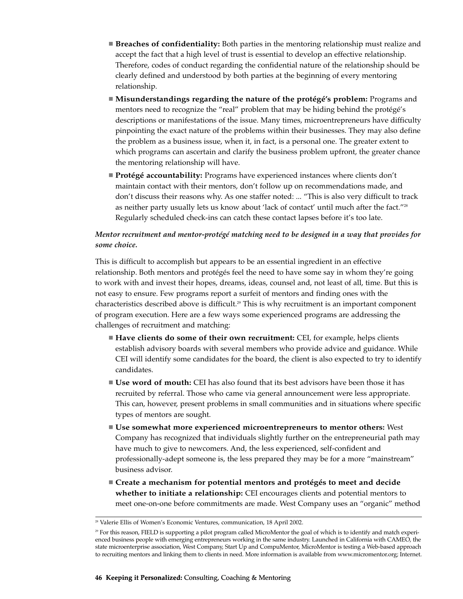- **Breaches of confidentiality:** Both parties in the mentoring relationship must realize and accept the fact that a high level of trust is essential to develop an effective relationship. Therefore, codes of conduct regarding the confidential nature of the relationship should be clearly defined and understood by both parties at the beginning of every mentoring relationship.
- **Misunderstandings regarding the nature of the protégé's problem:** Programs and mentors need to recognize the "real" problem that may be hiding behind the protégé's descriptions or manifestations of the issue. Many times, microentrepreneurs have difficulty pinpointing the exact nature of the problems within their businesses. They may also define the problem as a business issue, when it, in fact, is a personal one. The greater extent to which programs can ascertain and clarify the business problem upfront, the greater chance the mentoring relationship will have.
- **Protégé accountability:** Programs have experienced instances where clients don't maintain contact with their mentors, don't follow up on recommendations made, and don't discuss their reasons why. As one staffer noted: ... "This is also very difficult to track as neither party usually lets us know about 'lack of contact' until much after the fact."<sup>28</sup> Regularly scheduled check-ins can catch these contact lapses before it's too late.

#### *Mentor recruitment and mentor-protégé matching need to be designed in a way that provides for some choice.*

This is difficult to accomplish but appears to be an essential ingredient in an effective relationship. Both mentors and protégés feel the need to have some say in whom they're going to work with and invest their hopes, dreams, ideas, counsel and, not least of all, time. But this is not easy to ensure. Few programs report a surfeit of mentors and finding ones with the characteristics described above is difficult.<sup>29</sup> This is why recruitment is an important component of program execution. Here are a few ways some experienced programs are addressing the challenges of recruitment and matching:

- **Have clients do some of their own recruitment:** CEI, for example, helps clients establish advisory boards with several members who provide advice and guidance. While CEI will identify some candidates for the board, the client is also expected to try to identify candidates.
- **Use word of mouth:** CEI has also found that its best advisors have been those it has recruited by referral. Those who came via general announcement were less appropriate. This can, however, present problems in small communities and in situations where specific types of mentors are sought.
- **Use somewhat more experienced microentrepreneurs to mentor others:** West Company has recognized that individuals slightly further on the entrepreneurial path may have much to give to newcomers. And, the less experienced, self-confident and professionally-adept someone is, the less prepared they may be for a more "mainstream" business advisor.
- **Create a mechanism for potential mentors and protégés to meet and decide whether to initiate a relationship:** CEI encourages clients and potential mentors to meet one-on-one before commitments are made. West Company uses an "organic" method

<sup>&</sup>lt;sup>28</sup> Valerie Ellis of Women's Economic Ventures, communication, 18 April 2002.

<sup>&</sup>lt;sup>29</sup> For this reason, FIELD is supporting a pilot program called MicroMentor the goal of which is to identify and match experienced business people with emerging entrepreneurs working in the same industry. Launched in California with CAMEO, the state microenterprise association, West Company, Start Up and CompuMentor, MicroMentor is testing a Web-based approach to recruiting mentors and linking them to clients in need. More information is available from www.micromentor.org; Internet.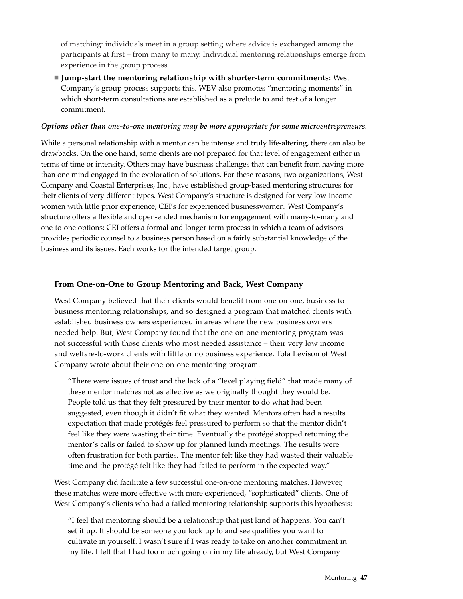of matching: individuals meet in a group setting where advice is exchanged among the participants at first – from many to many. Individual mentoring relationships emerge from experience in the group process.

 **Jump-start the mentoring relationship with shorter-term commitments:** West Company's group process supports this. WEV also promotes "mentoring moments" in which short-term consultations are established as a prelude to and test of a longer commitment.

#### *Options other than one-to-one mentoring may be more appropriate for some microentrepreneurs.*

While a personal relationship with a mentor can be intense and truly life-altering, there can also be drawbacks. On the one hand, some clients are not prepared for that level of engagement either in terms of time or intensity. Others may have business challenges that can benefit from having more than one mind engaged in the exploration of solutions. For these reasons, two organizations, West Company and Coastal Enterprises, Inc., have established group-based mentoring structures for their clients of very different types. West Company's structure is designed for very low-income women with little prior experience; CEI's for experienced businesswomen. West Company's structure offers a flexible and open-ended mechanism for engagement with many-to-many and one-to-one options; CEI offers a formal and longer-term process in which a team of advisors provides periodic counsel to a business person based on a fairly substantial knowledge of the business and its issues. Each works for the intended target group.

#### **From One-on-One to Group Mentoring and Back, West Company**

West Company believed that their clients would benefit from one-on-one, business-tobusiness mentoring relationships, and so designed a program that matched clients with established business owners experienced in areas where the new business owners needed help. But, West Company found that the one-on-one mentoring program was not successful with those clients who most needed assistance – their very low income and welfare-to-work clients with little or no business experience. Tola Levison of West Company wrote about their one-on-one mentoring program:

"There were issues of trust and the lack of a "level playing field" that made many of these mentor matches not as effective as we originally thought they would be. People told us that they felt pressured by their mentor to do what had been suggested, even though it didn't fit what they wanted. Mentors often had a results expectation that made protégés feel pressured to perform so that the mentor didn't feel like they were wasting their time. Eventually the protégé stopped returning the mentor's calls or failed to show up for planned lunch meetings. The results were often frustration for both parties. The mentor felt like they had wasted their valuable time and the protégé felt like they had failed to perform in the expected way."

West Company did facilitate a few successful one-on-one mentoring matches. However, these matches were more effective with more experienced, "sophisticated" clients. One of West Company's clients who had a failed mentoring relationship supports this hypothesis:

"I feel that mentoring should be a relationship that just kind of happens. You can't set it up. It should be someone you look up to and see qualities you want to cultivate in yourself. I wasn't sure if I was ready to take on another commitment in my life. I felt that I had too much going on in my life already, but West Company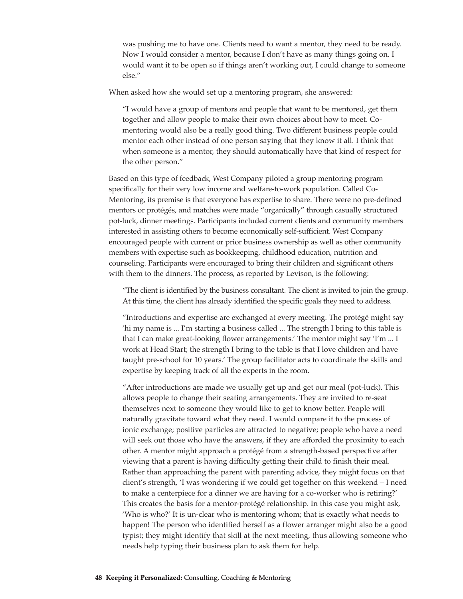was pushing me to have one. Clients need to want a mentor, they need to be ready. Now I would consider a mentor, because I don't have as many things going on. I would want it to be open so if things aren't working out, I could change to someone else."

When asked how she would set up a mentoring program, she answered:

"I would have a group of mentors and people that want to be mentored, get them together and allow people to make their own choices about how to meet. Comentoring would also be a really good thing. Two different business people could mentor each other instead of one person saying that they know it all. I think that when someone is a mentor, they should automatically have that kind of respect for the other person."

Based on this type of feedback, West Company piloted a group mentoring program specifically for their very low income and welfare-to-work population. Called Co-Mentoring, its premise is that everyone has expertise to share. There were no pre-defined mentors or protégés, and matches were made "organically" through casually structured pot-luck, dinner meetings. Participants included current clients and community members interested in assisting others to become economically self-sufficient. West Company encouraged people with current or prior business ownership as well as other community members with expertise such as bookkeeping, childhood education, nutrition and counseling. Participants were encouraged to bring their children and significant others with them to the dinners. The process, as reported by Levison, is the following:

"The client is identified by the business consultant. The client is invited to join the group. At this time, the client has already identified the specific goals they need to address.

"Introductions and expertise are exchanged at every meeting. The protégé might say 'hi my name is ... I'm starting a business called ... The strength I bring to this table is that I can make great-looking flower arrangements.' The mentor might say 'I'm ... I work at Head Start; the strength I bring to the table is that I love children and have taught pre-school for 10 years.' The group facilitator acts to coordinate the skills and expertise by keeping track of all the experts in the room.

"After introductions are made we usually get up and get our meal (pot-luck). This allows people to change their seating arrangements. They are invited to re-seat themselves next to someone they would like to get to know better. People will naturally gravitate toward what they need. I would compare it to the process of ionic exchange; positive particles are attracted to negative; people who have a need will seek out those who have the answers, if they are afforded the proximity to each other. A mentor might approach a protégé from a strength-based perspective after viewing that a parent is having difficulty getting their child to finish their meal. Rather than approaching the parent with parenting advice, they might focus on that client's strength, 'I was wondering if we could get together on this weekend – I need to make a centerpiece for a dinner we are having for a co-worker who is retiring?' This creates the basis for a mentor-protégé relationship. In this case you might ask, 'Who is who?' It is un-clear who is mentoring whom; that is exactly what needs to happen! The person who identified herself as a flower arranger might also be a good typist; they might identify that skill at the next meeting, thus allowing someone who needs help typing their business plan to ask them for help.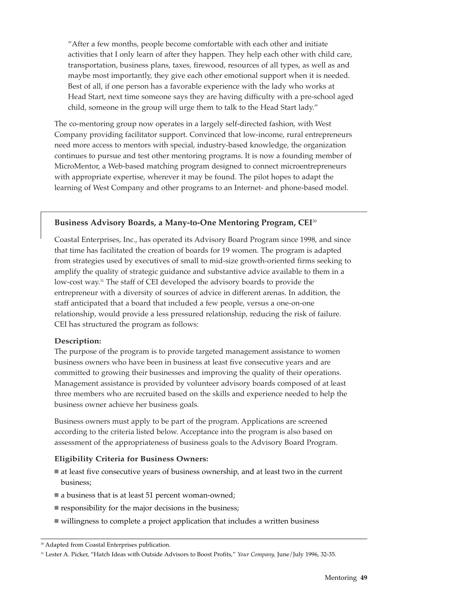"After a few months, people become comfortable with each other and initiate activities that I only learn of after they happen. They help each other with child care, transportation, business plans, taxes, firewood, resources of all types, as well as and maybe most importantly, they give each other emotional support when it is needed. Best of all, if one person has a favorable experience with the lady who works at Head Start, next time someone says they are having difficulty with a pre-school aged child, someone in the group will urge them to talk to the Head Start lady."

The co-mentoring group now operates in a largely self-directed fashion, with West Company providing facilitator support. Convinced that low-income, rural entrepreneurs need more access to mentors with special, industry-based knowledge, the organization continues to pursue and test other mentoring programs. It is now a founding member of MicroMentor, a Web-based matching program designed to connect microentrepreneurs with appropriate expertise, wherever it may be found. The pilot hopes to adapt the learning of West Company and other programs to an Internet- and phone-based model.

#### **Business Advisory Boards, a Many-to-One Mentoring Program, CEI**<sup>30</sup>

Coastal Enterprises, Inc., has operated its Advisory Board Program since 1998, and since that time has facilitated the creation of boards for 19 women. The program is adapted from strategies used by executives of small to mid-size growth-oriented firms seeking to amplify the quality of strategic guidance and substantive advice available to them in a low-cost way.<sup>31</sup> The staff of CEI developed the advisory boards to provide the entrepreneur with a diversity of sources of advice in different arenas. In addition, the staff anticipated that a board that included a few people, versus a one-on-one relationship, would provide a less pressured relationship, reducing the risk of failure. CEI has structured the program as follows:

#### **Description:**

The purpose of the program is to provide targeted management assistance to women business owners who have been in business at least five consecutive years and are committed to growing their businesses and improving the quality of their operations. Management assistance is provided by volunteer advisory boards composed of at least three members who are recruited based on the skills and experience needed to help the business owner achieve her business goals.

Business owners must apply to be part of the program. Applications are screened according to the criteria listed below. Acceptance into the program is also based on assessment of the appropriateness of business goals to the Advisory Board Program.

#### **Eligibility Criteria for Business Owners:**

- at least five consecutive years of business ownership, and at least two in the current business;
- a business that is at least 51 percent woman-owned;
- $\blacksquare$  responsibility for the major decisions in the business;
- willingness to complete a project application that includes a written business

<sup>30</sup> Adapted from Coastal Enterprises publication.

<sup>31</sup> Lester A. Picker, "Hatch Ideas with Outside Advisors to Boost Profits," *Your Company,* June/July 1996, 32-35.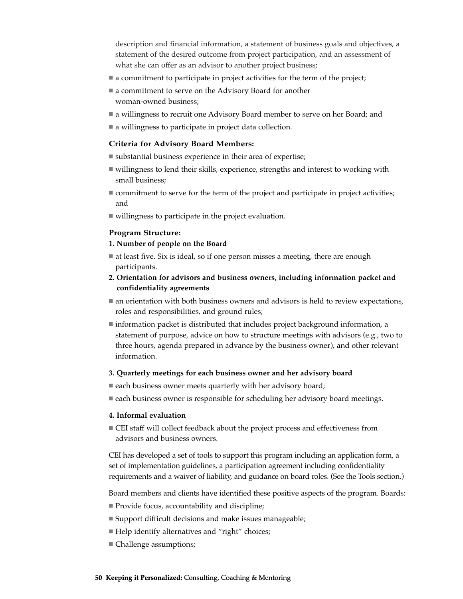description and financial information, a statement of business goals and objectives, a statement of the desired outcome from project participation, and an assessment of what she can offer as an advisor to another project business;

- a commitment to participate in project activities for the term of the project;
- a commitment to serve on the Advisory Board for another woman-owned business;
- a willingness to recruit one Advisory Board member to serve on her Board; and
- a willingness to participate in project data collection.

#### **Criteria for Advisory Board Members:**

- substantial business experience in their area of expertise;
- willingness to lend their skills, experience, strengths and interest to working with small business;
- $\blacksquare$  commitment to serve for the term of the project and participate in project activities; and
- willingness to participate in the project evaluation.

#### **Program Structure:**

#### **1. Number of people on the Board**

- at least five. Six is ideal, so if one person misses a meeting, there are enough participants.
- **2. Orientation for advisors and business owners, including information packet and confidentiality agreements**
- an orientation with both business owners and advisors is held to review expectations, roles and responsibilities, and ground rules;
- $\blacksquare$  information packet is distributed that includes project background information, a statement of purpose, advice on how to structure meetings with advisors (e.g., two to three hours, agenda prepared in advance by the business owner), and other relevant information.

#### **3. Quarterly meetings for each business owner and her advisory board**

- each business owner meets quarterly with her advisory board;
- **each business owner is responsible for scheduling her advisory board meetings.**

#### **4. Informal evaluation**

■ CEI staff will collect feedback about the project process and effectiveness from advisors and business owners.

CEI has developed a set of tools to support this program including an application form, a set of implementation guidelines, a participation agreement including confidentiality requirements and a waiver of liability, and guidance on board roles. (See the Tools section.)

Board members and clients have identified these positive aspects of the program. Boards:

- Provide focus, accountability and discipline;
- Support difficult decisions and make issues manageable;
- Help identify alternatives and "right" choices;
- Challenge assumptions;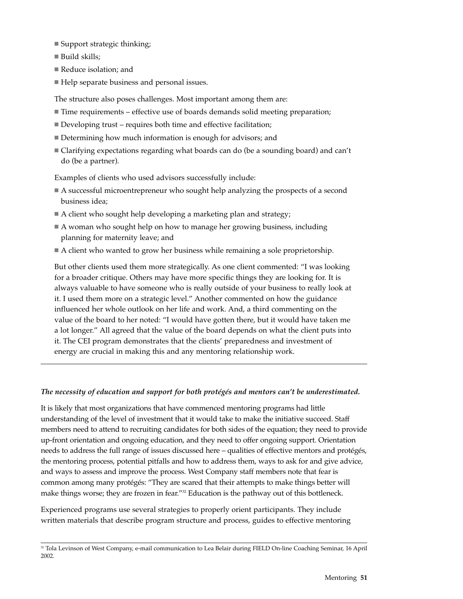- Support strategic thinking;
- Build skills:
- Reduce isolation: and
- Help separate business and personal issues.

The structure also poses challenges. Most important among them are:

- Time requirements effective use of boards demands solid meeting preparation;
- Developing trust requires both time and effective facilitation;
- Determining how much information is enough for advisors; and
- Clarifying expectations regarding what boards can do (be a sounding board) and can't do (be a partner).

Examples of clients who used advisors successfully include:

- A successful microentrepreneur who sought help analyzing the prospects of a second business idea;
- A client who sought help developing a marketing plan and strategy;
- A woman who sought help on how to manage her growing business, including planning for maternity leave; and
- A client who wanted to grow her business while remaining a sole proprietorship.

But other clients used them more strategically. As one client commented: "I was looking for a broader critique. Others may have more specific things they are looking for. It is always valuable to have someone who is really outside of your business to really look at it. I used them more on a strategic level." Another commented on how the guidance influenced her whole outlook on her life and work. And, a third commenting on the value of the board to her noted: "I would have gotten there, but it would have taken me a lot longer." All agreed that the value of the board depends on what the client puts into it. The CEI program demonstrates that the clients' preparedness and investment of energy are crucial in making this and any mentoring relationship work.

#### *The necessity of education and support for both protégés and mentors can't be underestimated.*

It is likely that most organizations that have commenced mentoring programs had little understanding of the level of investment that it would take to make the initiative succeed. Staff members need to attend to recruiting candidates for both sides of the equation; they need to provide up-front orientation and ongoing education, and they need to offer ongoing support. Orientation needs to address the full range of issues discussed here – qualities of effective mentors and protégés, the mentoring process, potential pitfalls and how to address them, ways to ask for and give advice, and ways to assess and improve the process. West Company staff members note that fear is common among many protégés: "They are scared that their attempts to make things better will make things worse; they are frozen in fear."<sup>22</sup> Education is the pathway out of this bottleneck.

Experienced programs use several strategies to properly orient participants. They include written materials that describe program structure and process, guides to effective mentoring

<sup>&</sup>lt;sup>32</sup> Tola Levinson of West Company, e-mail communication to Lea Belair during FIELD On-line Coaching Seminar, 16 April 2002.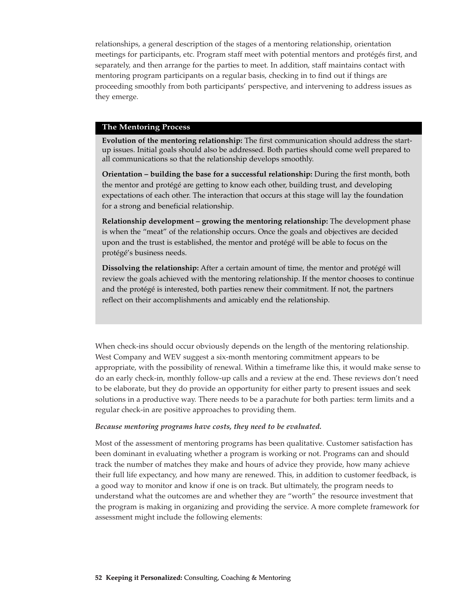relationships, a general description of the stages of a mentoring relationship, orientation meetings for participants, etc. Program staff meet with potential mentors and protégés first, and separately, and then arrange for the parties to meet. In addition, staff maintains contact with mentoring program participants on a regular basis, checking in to find out if things are proceeding smoothly from both participants' perspective, and intervening to address issues as they emerge.

#### **The Mentoring Process**

**Evolution of the mentoring relationship:** The first communication should address the startup issues. Initial goals should also be addressed. Both parties should come well prepared to all communications so that the relationship develops smoothly.

**Orientation – building the base for a successful relationship:** During the first month, both the mentor and protégé are getting to know each other, building trust, and developing expectations of each other. The interaction that occurs at this stage will lay the foundation for a strong and beneficial relationship.

**Relationship development – growing the mentoring relationship:** The development phase is when the "meat" of the relationship occurs. Once the goals and objectives are decided upon and the trust is established, the mentor and protégé will be able to focus on the protégé's business needs.

**Dissolving the relationship:** After a certain amount of time, the mentor and protégé will review the goals achieved with the mentoring relationship. If the mentor chooses to continue and the protégé is interested, both parties renew their commitment. If not, the partners reflect on their accomplishments and amicably end the relationship.

When check-ins should occur obviously depends on the length of the mentoring relationship. West Company and WEV suggest a six-month mentoring commitment appears to be appropriate, with the possibility of renewal. Within a timeframe like this, it would make sense to do an early check-in, monthly follow-up calls and a review at the end. These reviews don't need to be elaborate, but they do provide an opportunity for either party to present issues and seek solutions in a productive way. There needs to be a parachute for both parties: term limits and a regular check-in are positive approaches to providing them.

#### *Because mentoring programs have costs, they need to be evaluated.*

Most of the assessment of mentoring programs has been qualitative. Customer satisfaction has been dominant in evaluating whether a program is working or not. Programs can and should track the number of matches they make and hours of advice they provide, how many achieve their full life expectancy, and how many are renewed. This, in addition to customer feedback, is a good way to monitor and know if one is on track. But ultimately, the program needs to understand what the outcomes are and whether they are "worth" the resource investment that the program is making in organizing and providing the service. A more complete framework for assessment might include the following elements: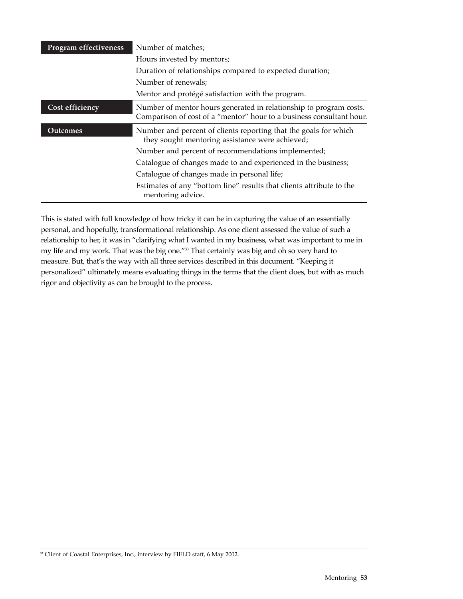| <b>Program effectiveness</b> | Number of matches;                                                                                                                         |
|------------------------------|--------------------------------------------------------------------------------------------------------------------------------------------|
|                              | Hours invested by mentors;                                                                                                                 |
|                              | Duration of relationships compared to expected duration;                                                                                   |
|                              | Number of renewals;                                                                                                                        |
|                              | Mentor and protégé satisfaction with the program.                                                                                          |
| Cost efficiency              | Number of mentor hours generated in relationship to program costs.<br>Comparison of cost of a "mentor" hour to a business consultant hour. |
| Outcomes                     | Number and percent of clients reporting that the goals for which<br>they sought mentoring assistance were achieved;                        |
|                              | Number and percent of recommendations implemented;                                                                                         |
|                              | Catalogue of changes made to and experienced in the business;                                                                              |
|                              | Catalogue of changes made in personal life;                                                                                                |
|                              | Estimates of any "bottom line" results that clients attribute to the<br>mentoring advice.                                                  |

This is stated with full knowledge of how tricky it can be in capturing the value of an essentially personal, and hopefully, transformational relationship. As one client assessed the value of such a relationship to her, it was in "clarifying what I wanted in my business, what was important to me in my life and my work. That was the big one."33 That certainly was big and oh so very hard to measure. But, that's the way with all three services described in this document. "Keeping it personalized" ultimately means evaluating things in the terms that the client does, but with as much rigor and objectivity as can be brought to the process.

<sup>&</sup>lt;sup>33</sup> Client of Coastal Enterprises, Inc., interview by FIELD staff, 6 May 2002.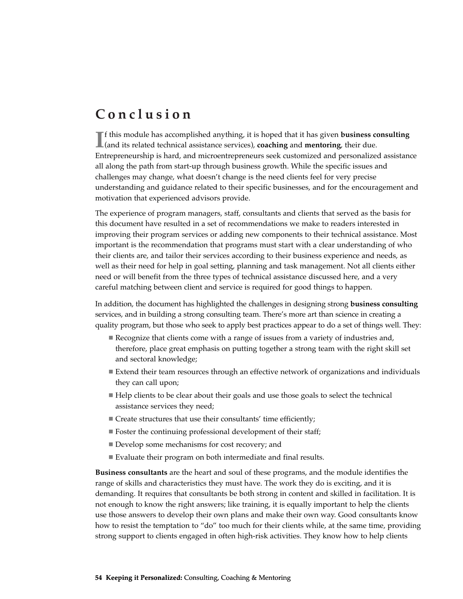# **Conclusion**

If this module has accomplished anything, it is hoped that it has given **business c** (and its related technical assistance services), **coaching** and **mentoring**, their due. f this module has accomplished anything, it is hoped that it has given **business consulting** Entrepreneurship is hard, and microentrepreneurs seek customized and personalized assistance all along the path from start-up through business growth. While the specific issues and challenges may change, what doesn't change is the need clients feel for very precise understanding and guidance related to their specific businesses, and for the encouragement and motivation that experienced advisors provide.

The experience of program managers, staff, consultants and clients that served as the basis for this document have resulted in a set of recommendations we make to readers interested in improving their program services or adding new components to their technical assistance. Most important is the recommendation that programs must start with a clear understanding of who their clients are, and tailor their services according to their business experience and needs, as well as their need for help in goal setting, planning and task management. Not all clients either need or will benefit from the three types of technical assistance discussed here, and a very careful matching between client and service is required for good things to happen.

In addition, the document has highlighted the challenges in designing strong **business consulting** services, and in building a strong consulting team. There's more art than science in creating a quality program, but those who seek to apply best practices appear to do a set of things well. They:

- Recognize that clients come with a range of issues from a variety of industries and, therefore, place great emphasis on putting together a strong team with the right skill set and sectoral knowledge;
- Extend their team resources through an effective network of organizations and individuals they can call upon;
- Help clients to be clear about their goals and use those goals to select the technical assistance services they need;
- Create structures that use their consultants' time efficiently;
- Foster the continuing professional development of their staff;
- Develop some mechanisms for cost recovery; and
- Evaluate their program on both intermediate and final results.

**Business consultants** are the heart and soul of these programs, and the module identifies the range of skills and characteristics they must have. The work they do is exciting, and it is demanding. It requires that consultants be both strong in content and skilled in facilitation. It is not enough to know the right answers; like training, it is equally important to help the clients use those answers to develop their own plans and make their own way. Good consultants know how to resist the temptation to "do" too much for their clients while, at the same time, providing strong support to clients engaged in often high-risk activities. They know how to help clients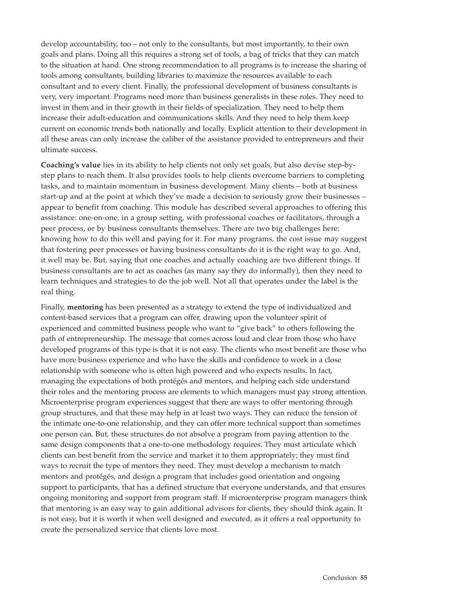develop accountability, too – not only to the consultants, but most importantly, to their own goals and plans. Doing all this requires a strong set of tools, a bag of tricks that they can match to the situation at hand. One strong recommendation to all programs is to increase the sharing of tools among consultants, building libraries to maximize the resources available to each consultant and to every client. Finally, the professional development of business consultants is very, very important. Programs need more than business generalists in these roles. They need to invest in them and in their growth in their fields of specialization. They need to help them increase their adult-education and communications skills. And they need to help them keep current on economic trends both nationally and locally. Explicit attention to their development in all these areas can only increase the caliber of the assistance provided to entrepreneurs and their ultimate success.

**Coaching's value** lies in its ability to help clients not only set goals, but also devise step-bystep plans to reach them. It also provides tools to help clients overcome barriers to completing tasks, and to maintain momentum in business development. Many clients – both at business start-up and at the point at which they've made a decision to seriously grow their businesses – appear to benefit from coaching. This module has described several approaches to offering this assistance: one-on-one, in a group setting, with professional coaches or facilitators, through a peer process, or by business consultants themselves. There are two big challenges here: knowing how to do this well and paying for it. For many programs, the cost issue may suggest that fostering peer processes or having business consultants do it is the right way to go. And, it well may be. But, saying that one coaches and actually coaching are two different things. If business consultants are to act as coaches (as many say they do informally), then they need to learn techniques and strategies to do the job well. Not all that operates under the label is the real thing.

Finally, **mentoring** has been presented as a strategy to extend the type of individualized and content-based services that a program can offer, drawing upon the volunteer spirit of experienced and committed business people who want to "give back" to others following the path of entrepreneurship. The message that comes across loud and clear from those who have developed programs of this type is that it is not easy. The clients who most benefit are those who have more business experience and who have the skills and confidence to work in a close relationship with someone who is often high powered and who expects results. In fact, managing the expectations of both protégés and mentors, and helping each side understand their roles and the mentoring process are elements to which managers must pay strong attention. Microenterprise program experiences suggest that there are ways to offer mentoring through group structures, and that these may help in at least two ways. They can reduce the tension of the intimate one-to-one relationship, and they can offer more technical support than sometimes one person can. But, these structures do not absolve a program from paying attention to the same design components that a one-to-one methodology requires. They must articulate which clients can best benefit from the service and market it to them appropriately; they must find ways to recruit the type of mentors they need. They must develop a mechanism to match mentors and protégés, and design a program that includes good orientation and ongoing support to participants, that has a defined structure that everyone understands, and that ensures ongoing monitoring and support from program staff. If microenterprise program managers think that mentoring is an easy way to gain additional advisors for clients, they should think again. It is not easy, but it is worth it when well designed and executed, as it offers a real opportunity to create the personalized service that clients love most.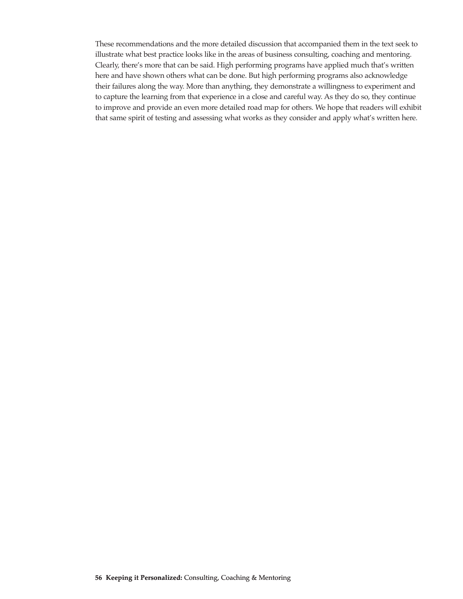These recommendations and the more detailed discussion that accompanied them in the text seek to illustrate what best practice looks like in the areas of business consulting, coaching and mentoring. Clearly, there's more that can be said. High performing programs have applied much that's written here and have shown others what can be done. But high performing programs also acknowledge their failures along the way. More than anything, they demonstrate a willingness to experiment and to capture the learning from that experience in a close and careful way. As they do so, they continue to improve and provide an even more detailed road map for others. We hope that readers will exhibit that same spirit of testing and assessing what works as they consider and apply what's written here.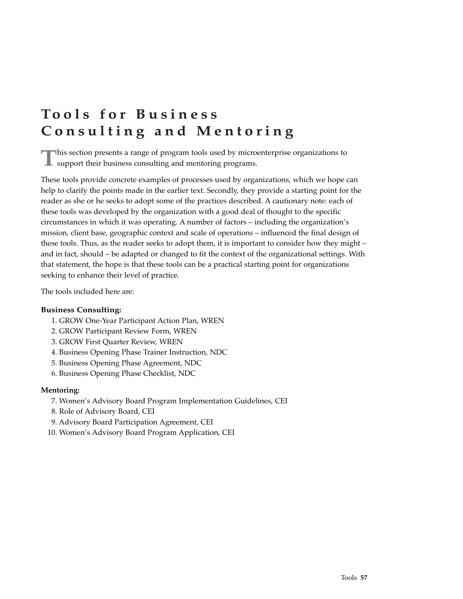# **Tools for Business Consulting and Mentoring**

**T**his section presents a range of program tools used by microenterprise organizations to  $\blacksquare$  support their business consulting and mentoring programs.

These tools provide concrete examples of processes used by organizations, which we hope can help to clarify the points made in the earlier text. Secondly, they provide a starting point for the reader as she or he seeks to adopt some of the practices described. A cautionary note: each of these tools was developed by the organization with a good deal of thought to the specific circumstances in which it was operating. A number of factors – including the organization's mission, client base, geographic context and scale of operations – influenced the final design of these tools. Thus, as the reader seeks to adopt them, it is important to consider how they might – and in fact, should – be adapted or changed to fit the context of the organizational settings. With that statement, the hope is that these tools can be a practical starting point for organizations seeking to enhance their level of practice.

The tools included here are:

#### **Business Consulting:**

- 1. GROW One-Year Participant Action Plan, WREN
- 2. GROW Participant Review Form, WREN
- 3. GROW First Quarter Review, WREN
- 4. Business Opening Phase Trainer Instruction, NDC
- 5. Business Opening Phase Agreement, NDC
- 6. Business Opening Phase Checklist, NDC

#### **Mentoring:**

- 7. Women's Advisory Board Program Implementation Guidelines, CEI
- 8. Role of Advisory Board, CEI
- 9. Advisory Board Participation Agreement, CEI
- 10. Women's Advisory Board Program Application, CEI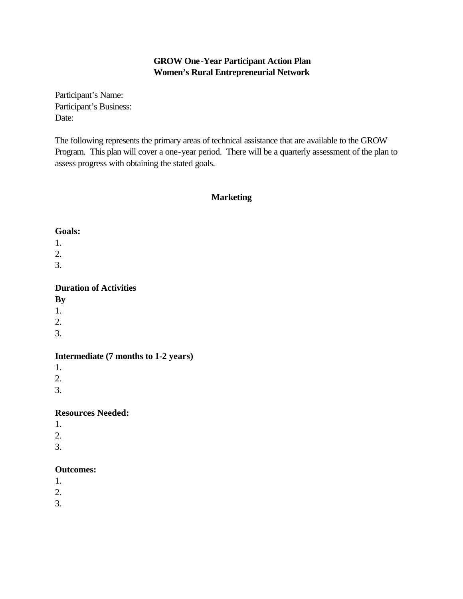## **GROW One-Year Participant Action Plan Women's Rural Entrepreneurial Network**

Participant's Name: Participant's Business: Date:

The following represents the primary areas of technical assistance that are available to the GROW Program. This plan will cover a one-year period. There will be a quarterly assessment of the plan to assess progress with obtaining the stated goals.

### **Marketing**

#### **Goals:**

1.

- 2.
- 3.

## **Duration of Activities**

**By** 

- 1.
- 2.
- 3.

## **Intermediate (7 months to 1-2 years)**

1.

2.

3.

## **Resources Needed:**

- 1.
- 2.
- 3.
- 

## **Outcomes:**

- 1.
- 2.
- 3.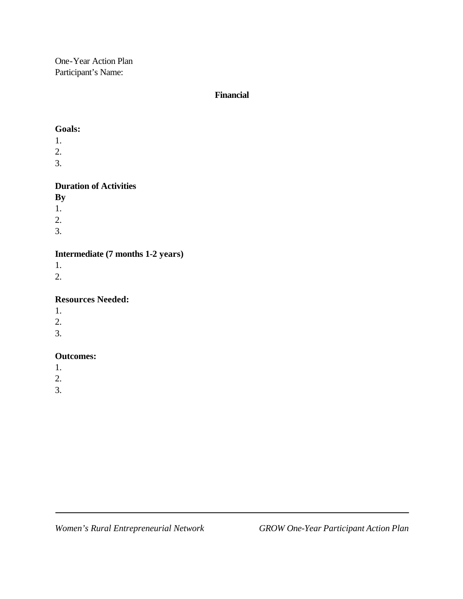One-Year Action Plan Participant's Name:

## **Financial**

### **Goals:**

- 1.
- 2.
- 3.

# **Duration of Activities**

- **By**
- 1.
- 2.
- 3.

# **Intermediate (7 months 1-2 years)**

- 1.
- 2.

## **Resources Needed:**

- 1.
- 2.
- 3.

## **Outcomes:**

- 1.
- 2.
- 3.

Ξ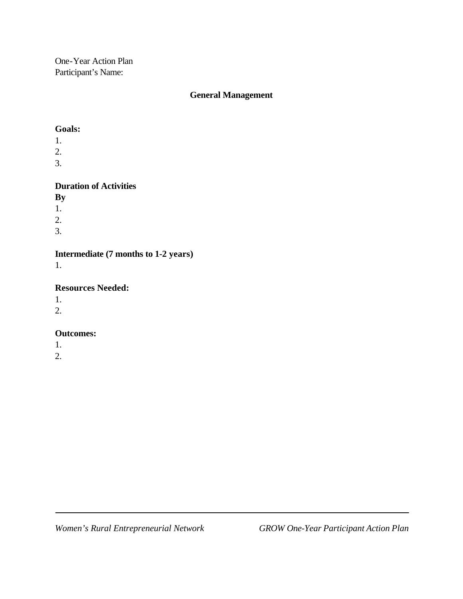One-Year Action Plan Participant's Name:

## **General Management**

### **Goals:**

- 1.
- 2.
- 3.

## **Duration of Activities**

**By** 

- 1.
- 2.
- 3.

# **Intermediate (7 months to 1-2 years)**

1.

## **Resources Needed:**

1.

2.

## **Outcomes:**

1.

2.

Ξ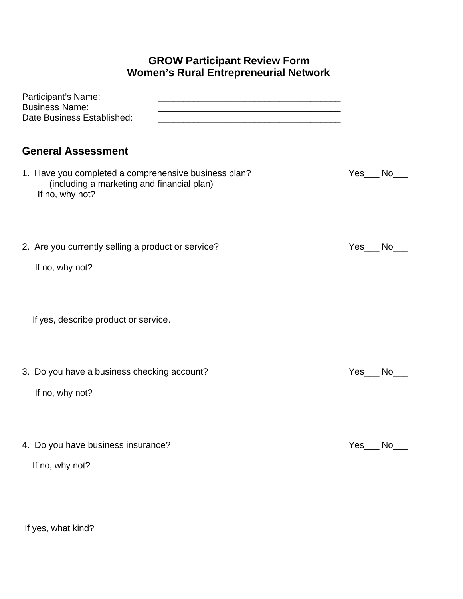# **GROW Participant Review Form Women's Rural Entrepreneurial Network**

| Participant's Name:<br>the control of the control of the control of the control of the control of the control of<br><b>Business Name:</b><br><u> 1980 - Jan James James Barnett, fransk politik (d. 1980)</u><br>Date Business Established:<br><u> 1989 - Johann John Stone, markin film yn y brening yn y brening yn y brening yn y brening y brening yn y bre</u> |        |  |
|---------------------------------------------------------------------------------------------------------------------------------------------------------------------------------------------------------------------------------------------------------------------------------------------------------------------------------------------------------------------|--------|--|
| <b>General Assessment</b>                                                                                                                                                                                                                                                                                                                                           |        |  |
| 1. Have you completed a comprehensive business plan?<br>(including a marketing and financial plan)<br>If no, why not?                                                                                                                                                                                                                                               | Yes No |  |
| 2. Are you currently selling a product or service?                                                                                                                                                                                                                                                                                                                  | Yes No |  |
| If no, why not?                                                                                                                                                                                                                                                                                                                                                     |        |  |
| If yes, describe product or service.                                                                                                                                                                                                                                                                                                                                |        |  |
| 3. Do you have a business checking account?                                                                                                                                                                                                                                                                                                                         | Yes No |  |
| If no, why not?                                                                                                                                                                                                                                                                                                                                                     |        |  |
| 4. Do you have business insurance?                                                                                                                                                                                                                                                                                                                                  | Yes No |  |
| If no, why not?                                                                                                                                                                                                                                                                                                                                                     |        |  |

If yes, what kind?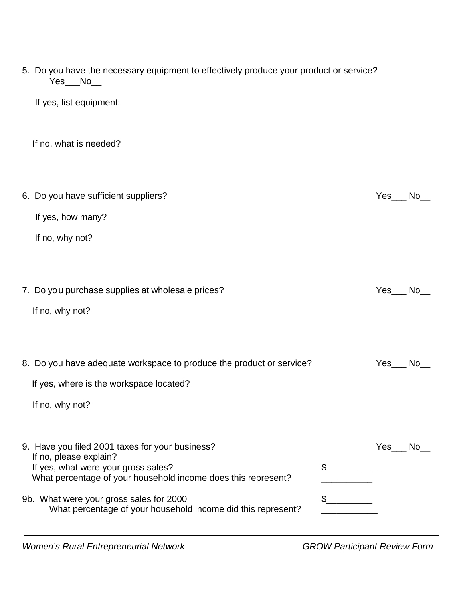| 5. Do you have the necessary equipment to effectively produce your product or service?<br>Yes_No_                                                                                                                                                                                                              |                 |  |
|----------------------------------------------------------------------------------------------------------------------------------------------------------------------------------------------------------------------------------------------------------------------------------------------------------------|-----------------|--|
| If yes, list equipment:                                                                                                                                                                                                                                                                                        |                 |  |
| If no, what is needed?                                                                                                                                                                                                                                                                                         |                 |  |
| 6. Do you have sufficient suppliers?<br>If yes, how many?                                                                                                                                                                                                                                                      | Yes No          |  |
| If no, why not?                                                                                                                                                                                                                                                                                                |                 |  |
| 7. Do you purchase supplies at wholesale prices?<br>If no, why not?                                                                                                                                                                                                                                            | $Yes$ $No$      |  |
| 8. Do you have adequate workspace to produce the product or service?<br>If yes, where is the workspace located?<br>If no, why not?                                                                                                                                                                             | $Yes$ No $\_\_$ |  |
| 9. Have you filed 2001 taxes for your business?<br>If no, please explain?<br>If yes, what were your gross sales?<br>$\mathfrak{L}$<br>What percentage of your household income does this represent?<br>9b. What were your gross sales for 2000<br>What percentage of your household income did this represent? | Yes<br>No.      |  |

*Women's Rural Entrepreneurial Network GROW Participant Review Form*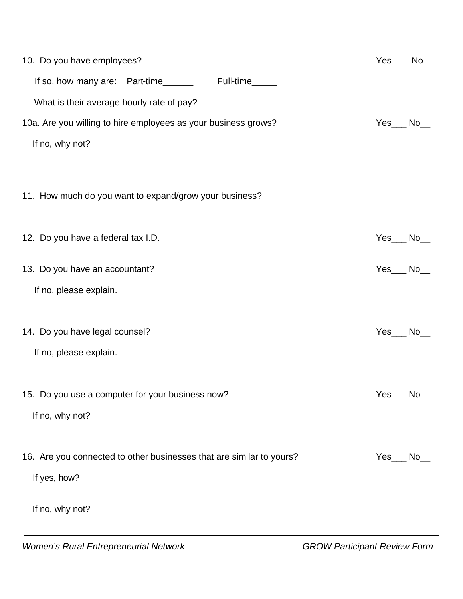| 10. Do you have employees?                                           | $Yes$ No $\blacksquare$ |
|----------------------------------------------------------------------|-------------------------|
| Full-time_____<br>If so, how many are: Part-time                     |                         |
| What is their average hourly rate of pay?                            |                         |
| 10a. Are you willing to hire employees as your business grows?       | $Yes$ $No$              |
| If no, why not?                                                      |                         |
|                                                                      |                         |
| 11. How much do you want to expand/grow your business?               |                         |
|                                                                      |                         |
| 12. Do you have a federal tax I.D.                                   | Yes_No_                 |
|                                                                      |                         |
| 13. Do you have an accountant?                                       | $Yes$ No $\Box$         |
| If no, please explain.                                               |                         |
|                                                                      |                         |
| 14. Do you have legal counsel?                                       | $Yes$ $No$              |
| If no, please explain.                                               |                         |
|                                                                      |                         |
| 15. Do you use a computer for your business now?                     | Yes_No_                 |
| If no, why not?                                                      |                         |
|                                                                      |                         |
| 16. Are you connected to other businesses that are similar to yours? | Yes No                  |
| If yes, how?                                                         |                         |
| If no, why not?                                                      |                         |
|                                                                      |                         |
|                                                                      |                         |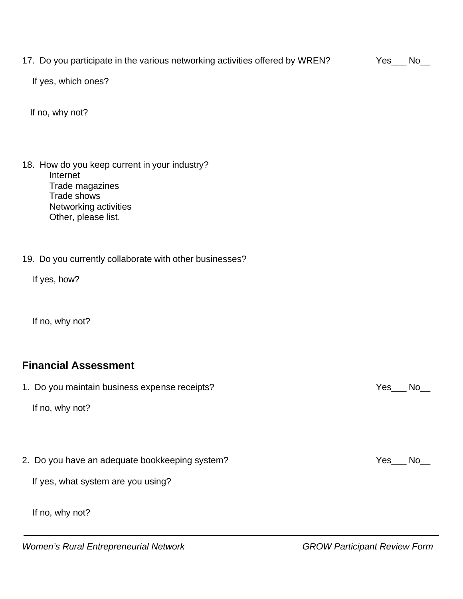17. Do you participate in the various networking activities offered by WREN? Yes\_\_\_ No\_\_

If yes, which ones?

If no, why not?

- 18. How do you keep current in your industry? Internet Trade magazines Trade shows Networking activities Other, please list.
- 19. Do you currently collaborate with other businesses?

If yes, how?

If no, why not?

# **Financial Assessment**

1. Do you maintain business expense receipts? The state of the state of the state of the No L

If no, why not?

2. Do you have an adequate bookkeeping system? The state of the state of the Yes No No No No No No No No No No

If yes, what system are you using?

If no, why not?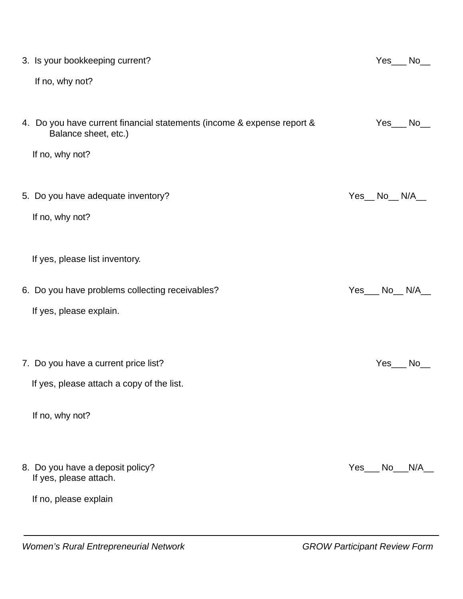| 3. Is your bookkeeping current?                                                                |     | $Yes$ $No$  |              |
|------------------------------------------------------------------------------------------------|-----|-------------|--------------|
| If no, why not?                                                                                |     |             |              |
|                                                                                                |     |             |              |
| 4. Do you have current financial statements (income & expense report &<br>Balance sheet, etc.) |     | Yes No      |              |
| If no, why not?                                                                                |     |             |              |
|                                                                                                |     |             |              |
| 5. Do you have adequate inventory?                                                             |     | Yes_No_N/A_ |              |
| If no, why not?                                                                                |     |             |              |
|                                                                                                |     |             |              |
| If yes, please list inventory.                                                                 |     |             |              |
| 6. Do you have problems collecting receivables?                                                |     | Yes No N/A  |              |
| If yes, please explain.                                                                        |     |             |              |
|                                                                                                |     |             |              |
| 7. Do you have a current price list?                                                           |     | Yes         | $\_$ No $\_$ |
| If yes, please attach a copy of the list.                                                      |     |             |              |
|                                                                                                |     |             |              |
| If no, why not?                                                                                |     |             |              |
|                                                                                                |     |             |              |
| 8. Do you have a deposit policy?<br>If yes, please attach.                                     | Yes | <b>No</b>   | N/A          |
| If no, please explain                                                                          |     |             |              |
|                                                                                                |     |             |              |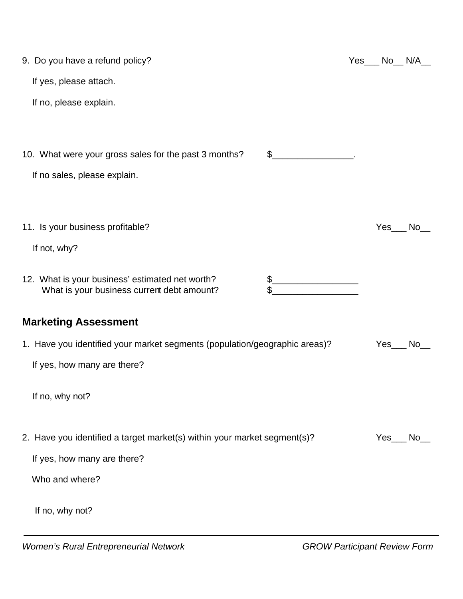| 9. Do you have a refund policy?                                                               | $Yes$ No $N/A$ |    |
|-----------------------------------------------------------------------------------------------|----------------|----|
| If yes, please attach.                                                                        |                |    |
| If no, please explain.                                                                        |                |    |
|                                                                                               |                |    |
| 10. What were your gross sales for the past 3 months?<br>\$                                   |                |    |
| If no sales, please explain.                                                                  |                |    |
|                                                                                               |                |    |
| 11. Is your business profitable?                                                              | Yes No         |    |
| If not, why?                                                                                  |                |    |
|                                                                                               |                |    |
| 12. What is your business' estimated net worth?<br>What is your business current debt amount? |                |    |
| <b>Marketing Assessment</b>                                                                   |                |    |
| 1. Have you identified your market segments (population/geographic areas)?                    | Yes            | No |
| If yes, how many are there?                                                                   |                |    |
| If no, why not?                                                                               |                |    |
| 2. Have you identified a target market(s) within your market segment(s)?                      | Yes No         |    |
| If yes, how many are there?                                                                   |                |    |
| Who and where?                                                                                |                |    |
| If no, why not?                                                                               |                |    |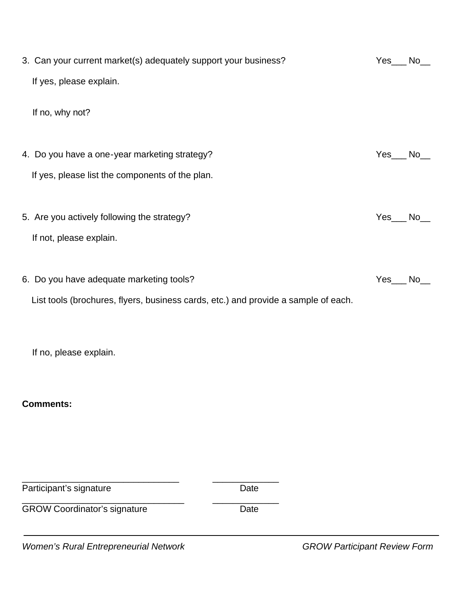| 3. Can your current market(s) adequately support your business?                    | $Yes$ No $\_$  |
|------------------------------------------------------------------------------------|----------------|
| If yes, please explain.                                                            |                |
|                                                                                    |                |
| If no, why not?                                                                    |                |
|                                                                                    |                |
| 4. Do you have a one-year marketing strategy?                                      | Yes_No_        |
| If yes, please list the components of the plan.                                    |                |
|                                                                                    |                |
| 5. Are you actively following the strategy?                                        | Yes_No_        |
|                                                                                    |                |
| If not, please explain.                                                            |                |
|                                                                                    |                |
| 6. Do you have adequate marketing tools?                                           | $Yes$ No $\_\$ |
| List tools (brochures, flyers, business cards, etc.) and provide a sample of each. |                |
|                                                                                    |                |
|                                                                                    |                |
| If no, please explain.                                                             |                |
|                                                                                    |                |
| <b>Comments:</b>                                                                   |                |
|                                                                                    |                |

Participant's signature contract the Date

 $\ddot{\phantom{0}}$ 

GROW Coordinator's signature Date

\_\_\_\_\_\_\_\_\_\_\_\_\_\_\_\_\_\_\_\_\_\_\_\_\_\_\_\_\_\_\_\_ \_\_\_\_\_\_\_\_\_\_\_\_\_

*Women's Rural Entrepreneurial Network GROW Participant Review Form*

\_\_\_\_\_\_\_\_\_\_\_\_\_\_\_\_\_\_\_\_\_\_\_\_\_\_\_\_\_\_\_ \_\_\_\_\_\_\_\_\_\_\_\_\_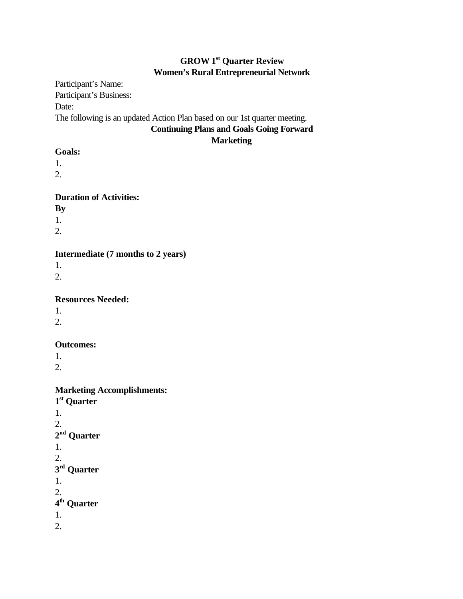# **GROW 1st Quarter Review Women's Rural Entrepreneurial Network**

Participant's Name: Participant's Business: Date: The following is an updated Action Plan based on our 1st quarter meeting. **Continuing Plans and Goals Going Forward**

## **Marketing**

## **Goals:**

1.

2.

## **Duration of Activities:**

**By** 

1.

2.

## **Intermediate (7 months to 2 years)**

1.

2.

## **Resources Needed:**

1.

2.

## **Outcomes:**

1.

2.

## **Marketing Accomplishments:**

**1 st Quarter** 1. 2. **2 nd Quarter** 1. 2. **3 rd Quarter** 1. 2. **4 th Quarter** 1. 2.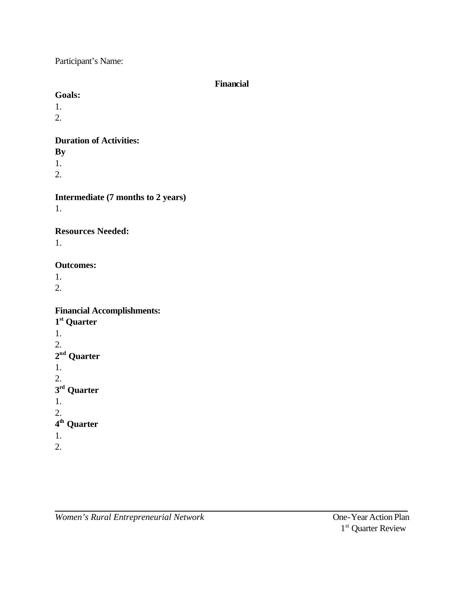Participant's Name:

## **Financial**

## **Goals:**

- 1.
- 2.

# **Duration of Activities:**

- **By**
- 1.
- 2.

# **Intermediate (7 months to 2 years)**

1.

# **Resources Needed:**

1.

# **Outcomes:**

1.

2.

# **Financial Accomplishments:**

- **1 st Quarter** 1. 2. **2 nd Quarter** 1. 2. **3 rd Quarter** 1. 2. **4 th Quarter** 1.
- 2.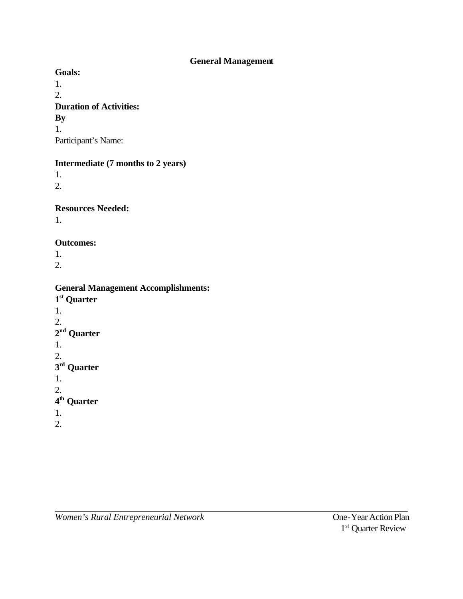## **General Management**

**Goals:**

1. 2. **Duration of Activities: By**  1.

Participant's Name:

## **Intermediate (7 months to 2 years)**

1. 2.

**Resources Needed:**

1.

## **Outcomes:**

1. 2.

# **General Management Accomplishments:**

**1 st Quarter** 1. 2. **2 nd Quarter** 1. 2. **3 rd Quarter** 1. 2. **4 th Quarter** 1. 2.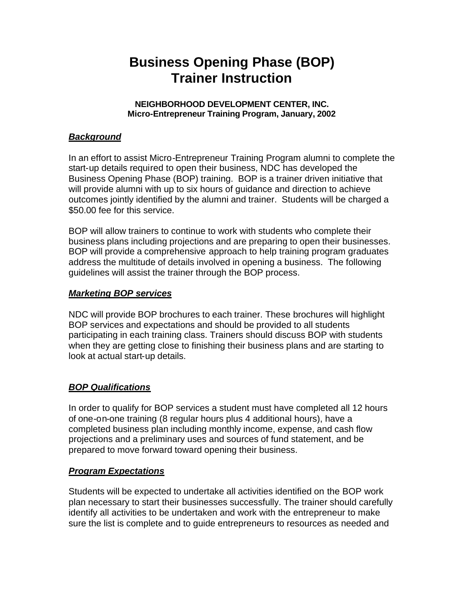# **Business Opening Phase (BOP) Trainer Instruction**

### **NEIGHBORHOOD DEVELOPMENT CENTER, INC. Micro-Entrepreneur Training Program, January, 2002**

## *Background*

In an effort to assist Micro-Entrepreneur Training Program alumni to complete the start-up details required to open their business, NDC has developed the Business Opening Phase (BOP) training. BOP is a trainer driven initiative that will provide alumni with up to six hours of guidance and direction to achieve outcomes jointly identified by the alumni and trainer. Students will be charged a \$50.00 fee for this service.

BOP will allow trainers to continue to work with students who complete their business plans including projections and are preparing to open their businesses. BOP will provide a comprehensive approach to help training program graduates address the multitude of details involved in opening a business. The following guidelines will assist the trainer through the BOP process.

## *Marketing BOP services*

NDC will provide BOP brochures to each trainer. These brochures will highlight BOP services and expectations and should be provided to all students participating in each training class. Trainers should discuss BOP with students when they are getting close to finishing their business plans and are starting to look at actual start-up details.

## *BOP Qualifications*

In order to qualify for BOP services a student must have completed all 12 hours of one-on-one training (8 regular hours plus 4 additional hours), have a completed business plan including monthly income, expense, and cash flow projections and a preliminary uses and sources of fund statement, and be prepared to move forward toward opening their business.

## *Program Expectations*

Students will be expected to undertake all activities identified on the BOP work plan necessary to start their businesses successfully. The trainer should carefully identify all activities to be undertaken and work with the entrepreneur to make sure the list is complete and to guide entrepreneurs to resources as needed and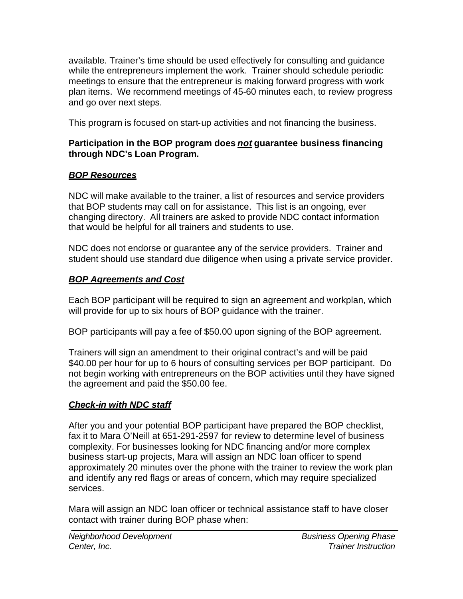available. Trainer's time should be used effectively for consulting and guidance while the entrepreneurs implement the work. Trainer should schedule periodic meetings to ensure that the entrepreneur is making forward progress with work plan items. We recommend meetings of 45-60 minutes each, to review progress and go over next steps.

This program is focused on start-up activities and not financing the business.

# **Participation in the BOP program does** *not* **guarantee business financing through NDC's Loan Program.**

# *BOP Resources*

NDC will make available to the trainer, a list of resources and service providers that BOP students may call on for assistance. This list is an ongoing, ever changing directory. All trainers are asked to provide NDC contact information that would be helpful for all trainers and students to use.

NDC does not endorse or guarantee any of the service providers. Trainer and student should use standard due diligence when using a private service provider.

# *BOP Agreements and Cost*

Each BOP participant will be required to sign an agreement and workplan, which will provide for up to six hours of BOP guidance with the trainer.

BOP participants will pay a fee of \$50.00 upon signing of the BOP agreement.

Trainers will sign an amendment to their original contract's and will be paid \$40.00 per hour for up to 6 hours of consulting services per BOP participant. Do not begin working with entrepreneurs on the BOP activities until they have signed the agreement and paid the \$50.00 fee.

# *Check-in with NDC staff*

After you and your potential BOP participant have prepared the BOP checklist, fax it to Mara O'Neill at 651-291-2597 for review to determine level of business complexity. For businesses looking for NDC financing and/or more complex business start-up projects, Mara will assign an NDC loan officer to spend approximately 20 minutes over the phone with the trainer to review the work plan and identify any red flags or areas of concern, which may require specialized services.

Mara will assign an NDC loan officer or technical assistance staff to have closer contact with trainer during BOP phase when: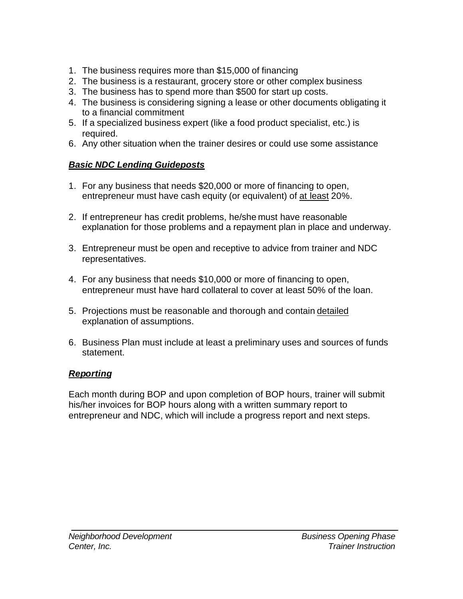- 1. The business requires more than \$15,000 of financing
- 2. The business is a restaurant, grocery store or other complex business
- 3. The business has to spend more than \$500 for start up costs.
- 4. The business is considering signing a lease or other documents obligating it to a financial commitment
- 5. If a specialized business expert (like a food product specialist, etc.) is required.
- 6. Any other situation when the trainer desires or could use some assistance

## *Basic NDC Lending Guideposts*

- 1. For any business that needs \$20,000 or more of financing to open, entrepreneur must have cash equity (or equivalent) of at least 20%.
- 2. If entrepreneur has credit problems, he/she must have reasonable explanation for those problems and a repayment plan in place and underway.
- 3. Entrepreneur must be open and receptive to advice from trainer and NDC representatives.
- 4. For any business that needs \$10,000 or more of financing to open, entrepreneur must have hard collateral to cover at least 50% of the loan.
- 5. Projections must be reasonable and thorough and contain detailed explanation of assumptions.
- 6. Business Plan must include at least a preliminary uses and sources of funds statement.

## *Reporting*

Each month during BOP and upon completion of BOP hours, trainer will submit his/her invoices for BOP hours along with a written summary report to entrepreneur and NDC, which will include a progress report and next steps.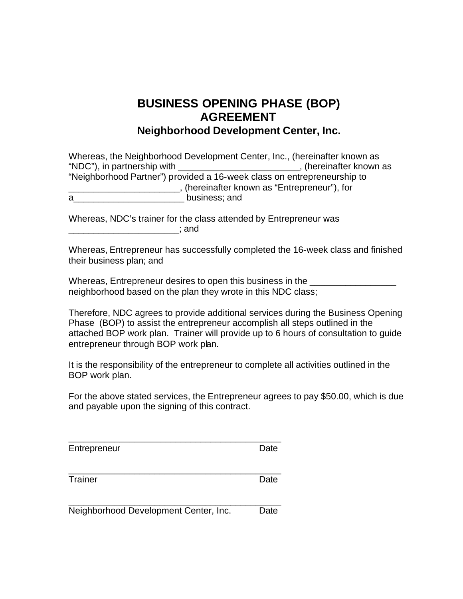## **BUSINESS OPENING PHASE (BOP) AGREEMENT Neighborhood Development Center, Inc.**

| Whereas, the Neighborhood Development Center, Inc., (hereinafter known as |                                            |
|---------------------------------------------------------------------------|--------------------------------------------|
| "NDC"), in partnership with                                               | , (hereinafter known as                    |
| "Neighborhood Partner") provided a 16-week class on entrepreneurship to   |                                            |
|                                                                           | (hereinafter known as "Entrepreneur"), for |
| business; and<br>a                                                        |                                            |

Whereas, NDC's trainer for the class attended by Entrepreneur was  $\Box$  and  $\Box$  and  $\Box$ 

Whereas, Entrepreneur has successfully completed the 16-week class and finished their business plan; and

Whereas, Entrepreneur desires to open this business in the \_\_\_\_\_\_\_\_\_\_\_\_\_\_\_\_\_\_\_\_\_ neighborhood based on the plan they wrote in this NDC class;

Therefore, NDC agrees to provide additional services during the Business Opening Phase (BOP) to assist the entrepreneur accomplish all steps outlined in the attached BOP work plan. Trainer will provide up to 6 hours of consultation to guide entrepreneur through BOP work plan.

It is the responsibility of the entrepreneur to complete all activities outlined in the BOP work plan.

For the above stated services, the Entrepreneur agrees to pay \$50.00, which is due and payable upon the signing of this contract.

| Entrepreneur | Date |
|--------------|------|
|              |      |
|              |      |

\_\_\_\_\_\_\_\_\_\_\_\_\_\_\_\_\_\_\_\_\_\_\_\_\_\_\_\_\_\_\_\_\_\_\_\_\_\_\_\_\_\_

Trainer **Date** 

\_\_\_\_\_\_\_\_\_\_\_\_\_\_\_\_\_\_\_\_\_\_\_\_\_\_\_\_\_\_\_\_\_\_\_\_\_\_\_\_\_\_ Neighborhood Development Center, Inc. Date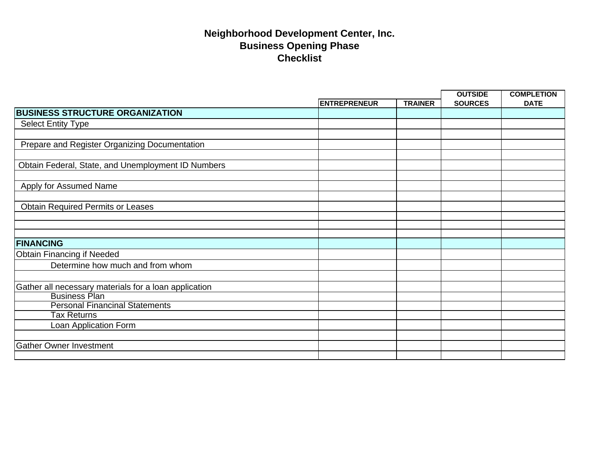|                                                                               |                     |                |                | <b>COMPLETION</b> |
|-------------------------------------------------------------------------------|---------------------|----------------|----------------|-------------------|
|                                                                               | <b>ENTREPRENEUR</b> | <b>TRAINER</b> | <b>SOURCES</b> | <b>DATE</b>       |
| <b>BUSINESS STRUCTURE ORGANIZATION</b>                                        |                     |                |                |                   |
| <b>Select Entity Type</b>                                                     |                     |                |                |                   |
|                                                                               |                     |                |                |                   |
| Prepare and Register Organizing Documentation                                 |                     |                |                |                   |
|                                                                               |                     |                |                |                   |
| Obtain Federal, State, and Unemployment ID Numbers                            |                     |                |                |                   |
|                                                                               |                     |                |                |                   |
| Apply for Assumed Name                                                        |                     |                |                |                   |
|                                                                               |                     |                |                |                   |
| <b>Obtain Required Permits or Leases</b>                                      |                     |                |                |                   |
|                                                                               |                     |                |                |                   |
|                                                                               |                     |                |                |                   |
| <b>FINANCING</b>                                                              |                     |                |                |                   |
| <b>Obtain Financing if Needed</b>                                             |                     |                |                |                   |
| Determine how much and from whom                                              |                     |                |                |                   |
|                                                                               |                     |                |                |                   |
|                                                                               |                     |                |                |                   |
| Gather all necessary materials for a loan application<br><b>Business Plan</b> |                     |                |                |                   |
| <b>Personal Financinal Statements</b>                                         |                     |                |                |                   |
| Tax Returns                                                                   |                     |                |                |                   |
| Loan Application Form                                                         |                     |                |                |                   |
|                                                                               |                     |                |                |                   |
| <b>Gather Owner Investment</b>                                                |                     |                |                |                   |
|                                                                               |                     |                |                |                   |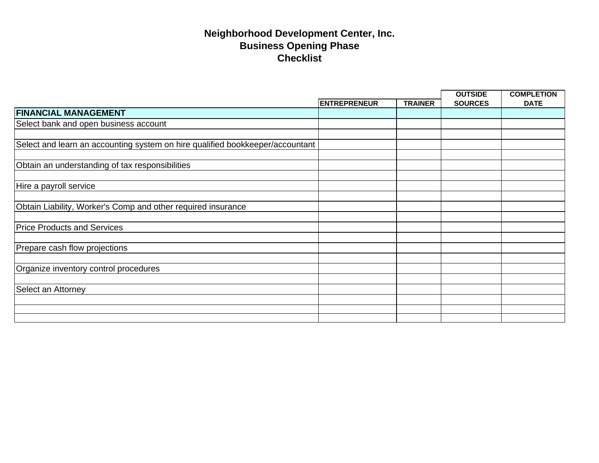|                                                                               |                     |                | <b>OUTSIDE</b> | <b>COMPLETION</b> |
|-------------------------------------------------------------------------------|---------------------|----------------|----------------|-------------------|
|                                                                               | <b>ENTREPRENEUR</b> | <b>TRAINER</b> | <b>SOURCES</b> | <b>DATE</b>       |
| <b>FINANCIAL MANAGEMENT</b>                                                   |                     |                |                |                   |
| Select bank and open business account                                         |                     |                |                |                   |
|                                                                               |                     |                |                |                   |
| Select and learn an accounting system on hire qualified bookkeeper/accountant |                     |                |                |                   |
|                                                                               |                     |                |                |                   |
| Obtain an understanding of tax responsibilities                               |                     |                |                |                   |
|                                                                               |                     |                |                |                   |
| Hire a payroll service                                                        |                     |                |                |                   |
|                                                                               |                     |                |                |                   |
| Obtain Liability, Worker's Comp and other required insurance                  |                     |                |                |                   |
|                                                                               |                     |                |                |                   |
| <b>Price Products and Services</b>                                            |                     |                |                |                   |
|                                                                               |                     |                |                |                   |
| Prepare cash flow projections                                                 |                     |                |                |                   |
|                                                                               |                     |                |                |                   |
| Organize inventory control procedures                                         |                     |                |                |                   |
|                                                                               |                     |                |                |                   |
| Select an Attorney                                                            |                     |                |                |                   |
|                                                                               |                     |                |                |                   |
|                                                                               |                     |                |                |                   |
|                                                                               |                     |                |                |                   |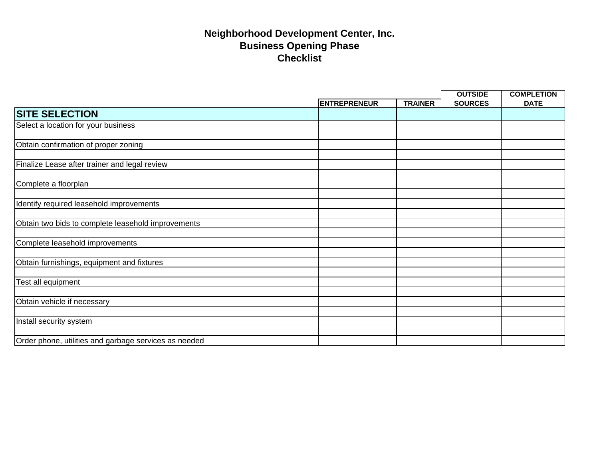|                                                       |                     |                | <b>OUTSIDE</b> | <b>COMPLETION</b> |
|-------------------------------------------------------|---------------------|----------------|----------------|-------------------|
|                                                       | <b>ENTREPRENEUR</b> | <b>TRAINER</b> | <b>SOURCES</b> | <b>DATE</b>       |
| <b>SITE SELECTION</b>                                 |                     |                |                |                   |
| Select a location for your business                   |                     |                |                |                   |
|                                                       |                     |                |                |                   |
| Obtain confirmation of proper zoning                  |                     |                |                |                   |
|                                                       |                     |                |                |                   |
| Finalize Lease after trainer and legal review         |                     |                |                |                   |
|                                                       |                     |                |                |                   |
| Complete a floorplan                                  |                     |                |                |                   |
|                                                       |                     |                |                |                   |
| Identify required leasehold improvements              |                     |                |                |                   |
|                                                       |                     |                |                |                   |
| Obtain two bids to complete leasehold improvements    |                     |                |                |                   |
|                                                       |                     |                |                |                   |
| Complete leasehold improvements                       |                     |                |                |                   |
|                                                       |                     |                |                |                   |
| Obtain furnishings, equipment and fixtures            |                     |                |                |                   |
|                                                       |                     |                |                |                   |
| Test all equipment                                    |                     |                |                |                   |
|                                                       |                     |                |                |                   |
| Obtain vehicle if necessary                           |                     |                |                |                   |
|                                                       |                     |                |                |                   |
| Install security system                               |                     |                |                |                   |
|                                                       |                     |                |                |                   |
| Order phone, utilities and garbage services as needed |                     |                |                |                   |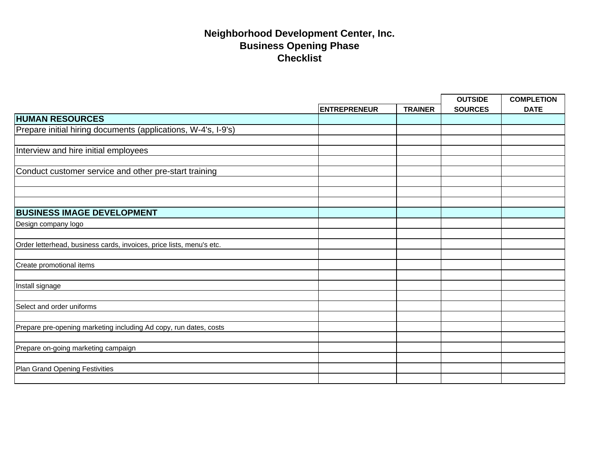|                                                                      |                     |                | <b>OUTSIDE</b> | <b>COMPLETION</b> |
|----------------------------------------------------------------------|---------------------|----------------|----------------|-------------------|
|                                                                      | <b>ENTREPRENEUR</b> | <b>TRAINER</b> | <b>SOURCES</b> | <b>DATE</b>       |
| <b>HUMAN RESOURCES</b>                                               |                     |                |                |                   |
| Prepare initial hiring documents (applications, W-4's, I-9's)        |                     |                |                |                   |
|                                                                      |                     |                |                |                   |
| Interview and hire initial employees                                 |                     |                |                |                   |
|                                                                      |                     |                |                |                   |
| Conduct customer service and other pre-start training                |                     |                |                |                   |
|                                                                      |                     |                |                |                   |
|                                                                      |                     |                |                |                   |
|                                                                      |                     |                |                |                   |
| <b>BUSINESS IMAGE DEVELOPMENT</b>                                    |                     |                |                |                   |
| Design company logo                                                  |                     |                |                |                   |
|                                                                      |                     |                |                |                   |
| Order letterhead, business cards, invoices, price lists, menu's etc. |                     |                |                |                   |
|                                                                      |                     |                |                |                   |
| Create promotional items                                             |                     |                |                |                   |
|                                                                      |                     |                |                |                   |
| Install signage                                                      |                     |                |                |                   |
|                                                                      |                     |                |                |                   |
| Select and order uniforms                                            |                     |                |                |                   |
|                                                                      |                     |                |                |                   |
| Prepare pre-opening marketing including Ad copy, run dates, costs    |                     |                |                |                   |
|                                                                      |                     |                |                |                   |
| Prepare on-going marketing campaign                                  |                     |                |                |                   |
|                                                                      |                     |                |                |                   |
| Plan Grand Opening Festivities                                       |                     |                |                |                   |
|                                                                      |                     |                |                |                   |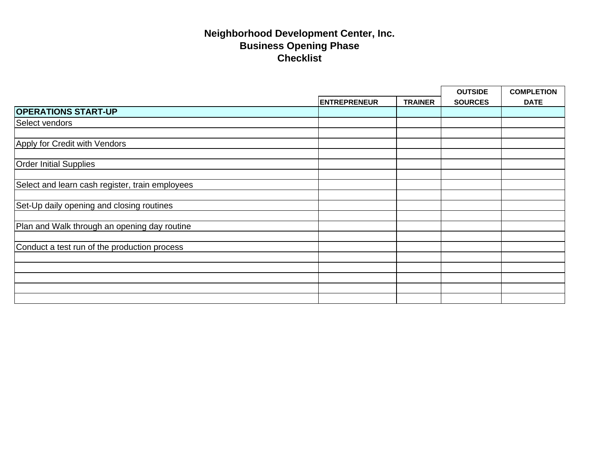|                                                 |                     |                | <b>OUTSIDE</b> | <b>COMPLETION</b> |
|-------------------------------------------------|---------------------|----------------|----------------|-------------------|
|                                                 | <b>ENTREPRENEUR</b> | <b>TRAINER</b> | <b>SOURCES</b> | <b>DATE</b>       |
| <b>OPERATIONS START-UP</b>                      |                     |                |                |                   |
| Select vendors                                  |                     |                |                |                   |
|                                                 |                     |                |                |                   |
| Apply for Credit with Vendors                   |                     |                |                |                   |
|                                                 |                     |                |                |                   |
| <b>Order Initial Supplies</b>                   |                     |                |                |                   |
|                                                 |                     |                |                |                   |
| Select and learn cash register, train employees |                     |                |                |                   |
|                                                 |                     |                |                |                   |
| Set-Up daily opening and closing routines       |                     |                |                |                   |
|                                                 |                     |                |                |                   |
| Plan and Walk through an opening day routine    |                     |                |                |                   |
|                                                 |                     |                |                |                   |
| Conduct a test run of the production process    |                     |                |                |                   |
|                                                 |                     |                |                |                   |
|                                                 |                     |                |                |                   |
|                                                 |                     |                |                |                   |
|                                                 |                     |                |                |                   |
|                                                 |                     |                |                |                   |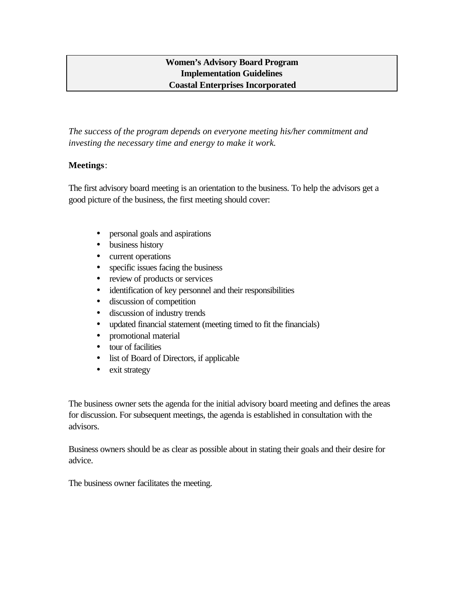## **Women's Advisory Board Program Implementation Guidelines Coastal Enterprises Incorporated**

*The success of the program depends on everyone meeting his/her commitment and investing the necessary time and energy to make it work.*

## **Meetings**:

The first advisory board meeting is an orientation to the business. To help the advisors get a good picture of the business, the first meeting should cover:

- personal goals and aspirations
- business history
- current operations
- specific issues facing the business
- review of products or services
- identification of key personnel and their responsibilities
- discussion of competition
- discussion of industry trends
- updated financial statement (meeting timed to fit the financials)
- promotional material
- tour of facilities
- list of Board of Directors, if applicable
- exit strategy

The business owner sets the agenda for the initial advisory board meeting and defines the areas for discussion. For subsequent meetings, the agenda is established in consultation with the advisors.

Business owners should be as clear as possible about in stating their goals and their desire for advice.

The business owner facilitates the meeting.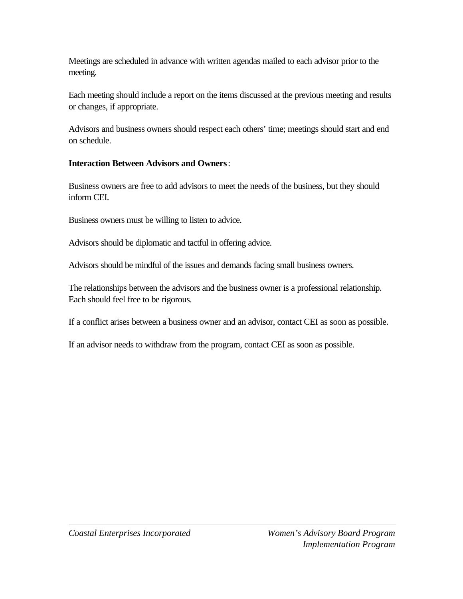Meetings are scheduled in advance with written agendas mailed to each advisor prior to the meeting.

Each meeting should include a report on the items discussed at the previous meeting and results or changes, if appropriate.

Advisors and business owners should respect each others' time; meetings should start and end on schedule.

## **Interaction Between Advisors and Owners**:

Business owners are free to add advisors to meet the needs of the business, but they should inform CEI.

Business owners must be willing to listen to advice.

Advisors should be diplomatic and tactful in offering advice.

Advisors should be mindful of the issues and demands facing small business owners.

The relationships between the advisors and the business owner is a professional relationship. Each should feel free to be rigorous.

If a conflict arises between a business owner and an advisor, contact CEI as soon as possible.

If an advisor needs to withdraw from the program, contact CEI as soon as possible.

 $\overline{a}$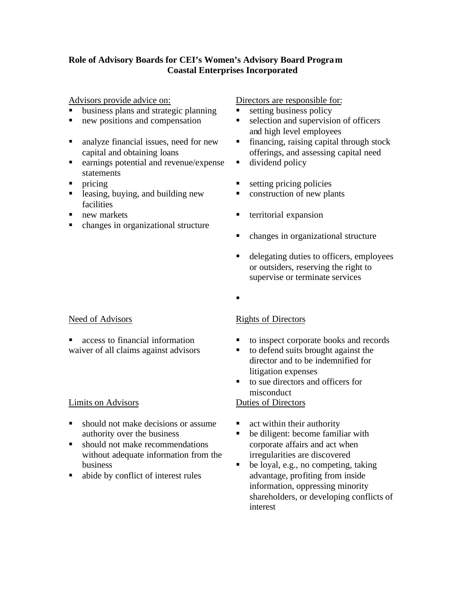## **Role of Advisory Boards for CEI's Women's Advisory Board Program Coastal Enterprises Incorporated**

Advisors provide advice on:

- **u.** business plans and strategic planning
- $\blacksquare$  new positions and compensation
- ß analyze financial issues, need for new capital and obtaining loans
- **Exercise** earnings potential and revenue/expense statements
- $\blacksquare$  pricing
- $\blacksquare$  leasing, buying, and building new facilities
- $\blacksquare$  new markets
- changes in organizational structure

## Need of Advisors

 $\blacksquare$  access to financial information waiver of all claims against advisors

## Limits on Advisors

- should not make decisions or assume authority over the business
- $\blacksquare$  should not make recommendations without adequate information from the business
- abide by conflict of interest rules

## Directors are responsible for:

- $\blacksquare$  setting business policy
- $\blacksquare$  selection and supervision of officers and high level employees
- $\blacksquare$  financing, raising capital through stock offerings, and assessing capital need
- $\blacksquare$  dividend policy
- $\blacksquare$  setting pricing policies
- $\blacksquare$  construction of new plants
- $\blacksquare$  territorial expansion
- changes in organizational structure
- delegating duties to officers, employees or outsiders, reserving the right to supervise or terminate services
- ß

## Rights of Directors

- to inspect corporate books and records
- $\blacksquare$  to defend suits brought against the director and to be indemnified for litigation expenses
- $\blacksquare$  to sue directors and officers for misconduct Duties of Directors

- $\blacksquare$  act within their authority
- $\blacksquare$  be diligent: become familiar with corporate affairs and act when irregularities are discovered
- $\bullet$  be loyal, e.g., no competing, taking advantage, profiting from inside information, oppressing minority shareholders, or developing conflicts of interest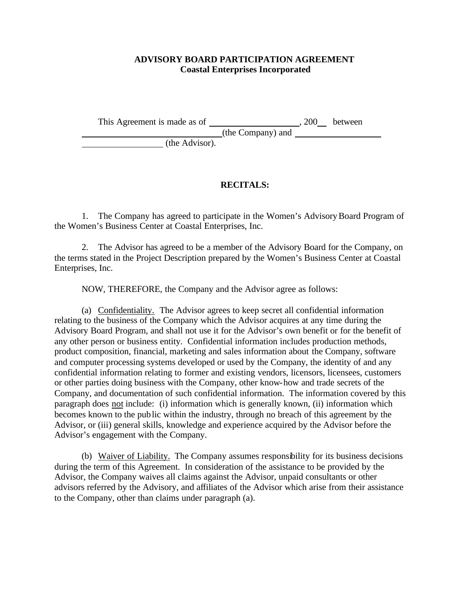## **ADVISORY BOARD PARTICIPATION AGREEMENT Coastal Enterprises Incorporated**

This Agreement is made as of , 200 between

(the Company) and

(the Advisor).

## **RECITALS:**

1. The Company has agreed to participate in the Women's Advisory Board Program of the Women's Business Center at Coastal Enterprises, Inc.

2. The Advisor has agreed to be a member of the Advisory Board for the Company, on the terms stated in the Project Description prepared by the Women's Business Center at Coastal Enterprises, Inc.

NOW, THEREFORE, the Company and the Advisor agree as follows:

(a) Confidentiality. The Advisor agrees to keep secret all confidential information relating to the business of the Company which the Advisor acquires at any time during the Advisory Board Program, and shall not use it for the Advisor's own benefit or for the benefit of any other person or business entity. Confidential information includes production methods, product composition, financial, marketing and sales information about the Company, software and computer processing systems developed or used by the Company, the identity of and any confidential information relating to former and existing vendors, licensors, licensees, customers or other parties doing business with the Company, other know-how and trade secrets of the Company, and documentation of such confidential information. The information covered by this paragraph does not include: (i) information which is generally known, (ii) information which becomes known to the public within the industry, through no breach of this agreement by the Advisor, or (iii) general skills, knowledge and experience acquired by the Advisor before the Advisor's engagement with the Company.

(b) Waiver of Liability. The Company assumes responsibility for its business decisions during the term of this Agreement. In consideration of the assistance to be provided by the Advisor, the Company waives all claims against the Advisor, unpaid consultants or other advisors referred by the Advisory, and affiliates of the Advisor which arise from their assistance to the Company, other than claims under paragraph (a).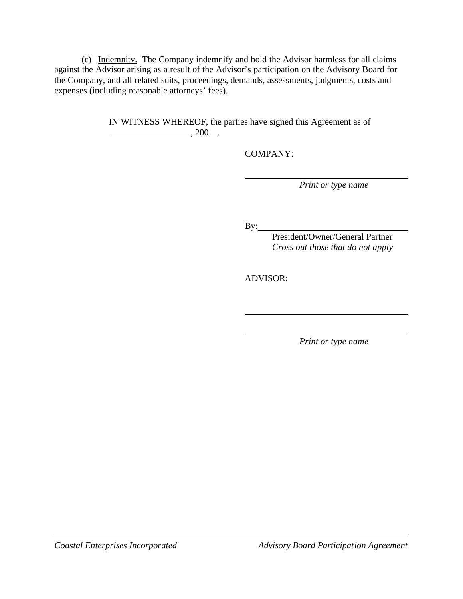(c) Indemnity. The Company indemnify and hold the Advisor harmless for all claims against the Advisor arising as a result of the Advisor's participation on the Advisory Board for the Company, and all related suits, proceedings, demands, assessments, judgments, costs and expenses (including reasonable attorneys' fees).

> IN WITNESS WHEREOF, the parties have signed this Agreement as of  $, 200$  .

> > COMPANY:

*Print or type name*

By:

President/Owner/General Partner *Cross out those that do not apply*

ADVISOR:

*Print or type name*

i<br>I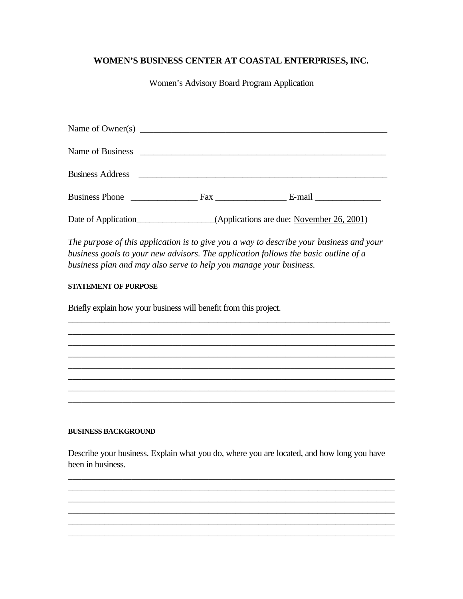## **WOMEN'S BUSINESS CENTER AT COASTAL ENTERPRISES, INC.**

Women's Advisory Board Program Application

| Name of Owner(s) $\frac{1}{\sqrt{1-\frac{1}{2}}}\left\{ \frac{1}{2} + \frac{1}{2} \left( \frac{1}{2} + \frac{1}{2} \left( \frac{1}{2} + \frac{1}{2} \left( \frac{1}{2} + \frac{1}{2} \left( \frac{1}{2} + \frac{1}{2} \left( \frac{1}{2} + \frac{1}{2} \left( \frac{1}{2} + \frac{1}{2} \left( \frac{1}{2} + \frac{1}{2} \left( \frac{1}{2} + \frac{1}{2} \left( \frac{1}{2} + \frac{1}{2} \left( \frac{$ |                                  |  |
|-----------------------------------------------------------------------------------------------------------------------------------------------------------------------------------------------------------------------------------------------------------------------------------------------------------------------------------------------------------------------------------------------------------|----------------------------------|--|
|                                                                                                                                                                                                                                                                                                                                                                                                           |                                  |  |
| Business Address 2008                                                                                                                                                                                                                                                                                                                                                                                     |                                  |  |
|                                                                                                                                                                                                                                                                                                                                                                                                           | Business Phone Fax E-mail E-mail |  |
|                                                                                                                                                                                                                                                                                                                                                                                                           |                                  |  |

*The purpose of this application is to give you a way to describe your business and your business goals to your new advisors. The application follows the basic outline of a business plan and may also serve to help you manage your business.*

\_\_\_\_\_\_\_\_\_\_\_\_\_\_\_\_\_\_\_\_\_\_\_\_\_\_\_\_\_\_\_\_\_\_\_\_\_\_\_\_\_\_\_\_\_\_\_\_\_\_\_\_\_\_\_\_\_\_\_\_\_\_\_\_\_\_\_\_\_\_\_ \_\_\_\_\_\_\_\_\_\_\_\_\_\_\_\_\_\_\_\_\_\_\_\_\_\_\_\_\_\_\_\_\_\_\_\_\_\_\_\_\_\_\_\_\_\_\_\_\_\_\_\_\_\_\_\_\_\_\_\_\_\_\_\_\_\_\_\_\_\_\_\_ \_\_\_\_\_\_\_\_\_\_\_\_\_\_\_\_\_\_\_\_\_\_\_\_\_\_\_\_\_\_\_\_\_\_\_\_\_\_\_\_\_\_\_\_\_\_\_\_\_\_\_\_\_\_\_\_\_\_\_\_\_\_\_\_\_\_\_\_\_\_\_\_ \_\_\_\_\_\_\_\_\_\_\_\_\_\_\_\_\_\_\_\_\_\_\_\_\_\_\_\_\_\_\_\_\_\_\_\_\_\_\_\_\_\_\_\_\_\_\_\_\_\_\_\_\_\_\_\_\_\_\_\_\_\_\_\_\_\_\_\_\_\_\_\_ \_\_\_\_\_\_\_\_\_\_\_\_\_\_\_\_\_\_\_\_\_\_\_\_\_\_\_\_\_\_\_\_\_\_\_\_\_\_\_\_\_\_\_\_\_\_\_\_\_\_\_\_\_\_\_\_\_\_\_\_\_\_\_\_\_\_\_\_\_\_\_\_ \_\_\_\_\_\_\_\_\_\_\_\_\_\_\_\_\_\_\_\_\_\_\_\_\_\_\_\_\_\_\_\_\_\_\_\_\_\_\_\_\_\_\_\_\_\_\_\_\_\_\_\_\_\_\_\_\_\_\_\_\_\_\_\_\_\_\_\_\_\_\_\_ \_\_\_\_\_\_\_\_\_\_\_\_\_\_\_\_\_\_\_\_\_\_\_\_\_\_\_\_\_\_\_\_\_\_\_\_\_\_\_\_\_\_\_\_\_\_\_\_\_\_\_\_\_\_\_\_\_\_\_\_\_\_\_\_\_\_\_\_\_\_\_\_ \_\_\_\_\_\_\_\_\_\_\_\_\_\_\_\_\_\_\_\_\_\_\_\_\_\_\_\_\_\_\_\_\_\_\_\_\_\_\_\_\_\_\_\_\_\_\_\_\_\_\_\_\_\_\_\_\_\_\_\_\_\_\_\_\_\_\_\_\_\_\_\_

#### **STATEMENT OF PURPOSE**

Briefly explain how your business will benefit from this project.

#### **BUSINESS BACKGROUND**

Describe your business. Explain what you do, where you are located, and how long you have been in business.

\_\_\_\_\_\_\_\_\_\_\_\_\_\_\_\_\_\_\_\_\_\_\_\_\_\_\_\_\_\_\_\_\_\_\_\_\_\_\_\_\_\_\_\_\_\_\_\_\_\_\_\_\_\_\_\_\_\_\_\_\_\_\_\_\_\_\_\_\_\_\_\_ \_\_\_\_\_\_\_\_\_\_\_\_\_\_\_\_\_\_\_\_\_\_\_\_\_\_\_\_\_\_\_\_\_\_\_\_\_\_\_\_\_\_\_\_\_\_\_\_\_\_\_\_\_\_\_\_\_\_\_\_\_\_\_\_\_\_\_\_\_\_\_\_ \_\_\_\_\_\_\_\_\_\_\_\_\_\_\_\_\_\_\_\_\_\_\_\_\_\_\_\_\_\_\_\_\_\_\_\_\_\_\_\_\_\_\_\_\_\_\_\_\_\_\_\_\_\_\_\_\_\_\_\_\_\_\_\_\_\_\_\_\_\_\_\_ \_\_\_\_\_\_\_\_\_\_\_\_\_\_\_\_\_\_\_\_\_\_\_\_\_\_\_\_\_\_\_\_\_\_\_\_\_\_\_\_\_\_\_\_\_\_\_\_\_\_\_\_\_\_\_\_\_\_\_\_\_\_\_\_\_\_\_\_\_\_\_\_ \_\_\_\_\_\_\_\_\_\_\_\_\_\_\_\_\_\_\_\_\_\_\_\_\_\_\_\_\_\_\_\_\_\_\_\_\_\_\_\_\_\_\_\_\_\_\_\_\_\_\_\_\_\_\_\_\_\_\_\_\_\_\_\_\_\_\_\_\_\_\_\_ \_\_\_\_\_\_\_\_\_\_\_\_\_\_\_\_\_\_\_\_\_\_\_\_\_\_\_\_\_\_\_\_\_\_\_\_\_\_\_\_\_\_\_\_\_\_\_\_\_\_\_\_\_\_\_\_\_\_\_\_\_\_\_\_\_\_\_\_\_\_\_\_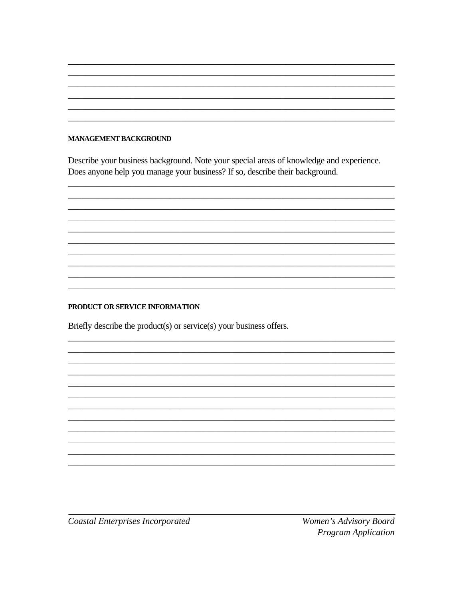## **MANAGEMENT BACKGROUND**

Describe your business background. Note your special areas of knowledge and experience. Does anyone help you manage your business? If so, describe their background.

#### PRODUCT OR SERVICE INFORMATION

Briefly describe the product(s) or service(s) your business offers.

**Coastal Enterprises Incorporated** 

Women's Advisory Board **Program Application**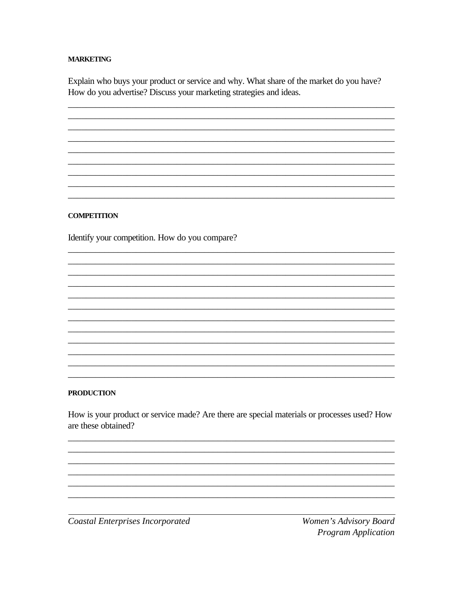### **MARKETING**

Explain who buys your product or service and why. What share of the market do you have? How do you advertise? Discuss your marketing strategies and ideas.

#### **COMPETITION**

Identify your competition. How do you compare?

### **PRODUCTION**

How is your product or service made? Are there are special materials or processes used? How are these obtained?

**Coastal Enterprises Incorporated** 

Women's Advisory Board Program Application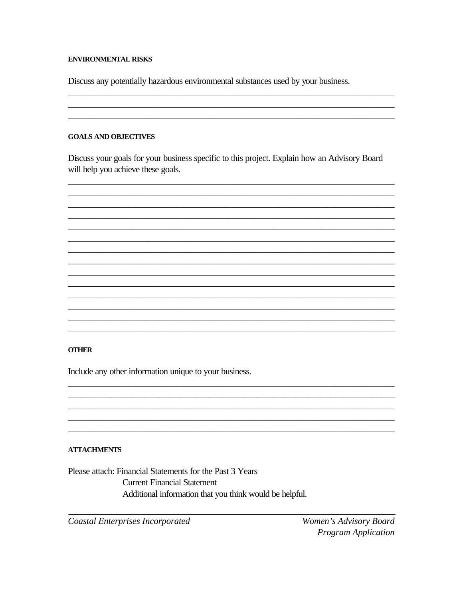#### **ENVIRONMENTAL RISKS**

Discuss any potentially hazardous environmental substances used by your business.

#### **GOALS AND OBJECTIVES**

Discuss your goals for your business specific to this project. Explain how an Advisory Board will help you achieve these goals.



#### **OTHER**

Include any other information unique to your business.

## **ATTACHMENTS**

Please attach: Financial Statements for the Past 3 Years **Current Financial Statement** Additional information that you think would be helpful.

**Coastal Enterprises Incorporated** 

Women's Advisory Board **Program Application**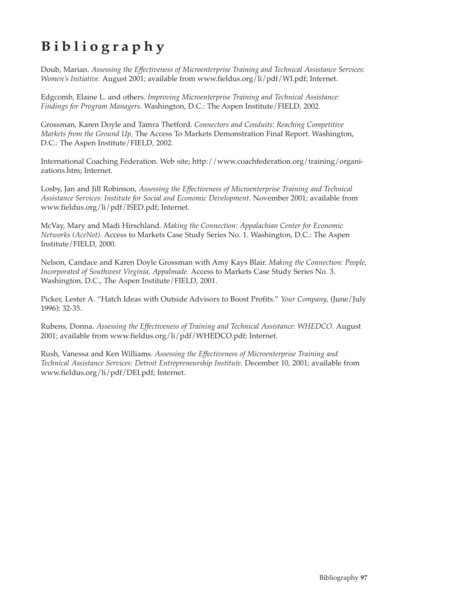# **Bibliography**

Doub, Marian. *Assessing the Effectiveness of Microenterprise Training and Technical Assistance Services: Women's Initiative.* August 2001; available from www.fieldus.org/li/pdf/WI.pdf; Internet.

Edgcomb, Elaine L. and others. *Improving Microenterprise Training and Technical Assistance: Findings for Program Managers.* Washington, D.C.: The Aspen Institute/FIELD, 2002.

Grossman, Karen Doyle and Tamra Thetford. *Connectors and Conduits: Reaching Competitive Markets from the Ground Up,* The Access To Markets Demonstration Final Report. Washington, D.C.: The Aspen Institute/FIELD, 2002.

International Coaching Federation. Web site; http://www.coachfederation.org/training/organizations.htm; Internet.

Losby, Jan and Jill Robinson, *Assessing the Effectiveness of Microenterprise Training and Technical Assistance Services: Institute for Social and Economic Development.* November 2001; available from www.fieldus.org/li/pdf/ISED.pdf; Internet.

McVay, Mary and Madi Hirschland. *Making the Connection: Appalachian Center for Economic Networks (AceNet).* Access to Markets Case Study Series No. 1. Washington, D.C.: The Aspen Institute/FIELD, 2000.

Nelson, Candace and Karen Doyle Grossman with Amy Kays Blair. *Making the Connection: People, Incorporated of Southwest Virginia, Appalmade.* Access to Markets Case Study Series No. 3. Washington, D.C., The Aspen Institute/FIELD, 2001.

Picker, Lester A. "Hatch Ideas with Outside Advisors to Boost Profits." *Your Company,* (June/July 1996): 32-35.

Rubens, Donna. *Assessing the Effectiveness of Training and Technical Assistance: WHEDCO.* August 2001; available from www.fieldus.org/li/pdf/WHEDCO.pdf; Internet.

Rush, Vanessa and Ken Williams. *Assessing the Effectiveness of Microenterprise Training and Technical Assistance Services: Detroit Entrepreneurship Institute.* December 10, 2001; available from www.fieldus.org/li/pdf/DEI.pdf; Internet.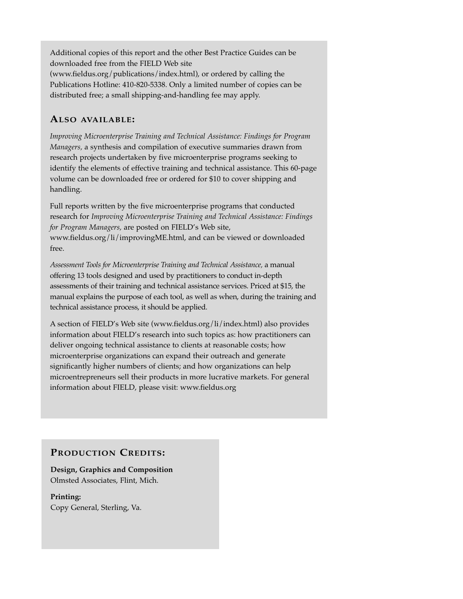Additional copies of this report and the other Best Practice Guides can be downloaded free from the FIELD Web site (www.fieldus.org/publications/index.html), or ordered by calling the Publications Hotline: 410-820-5338. Only a limited number of copies can be distributed free; a small shipping-and-handling fee may apply.

## **ALSO AVAILABLE:**

*Improving Microenterprise Training and Technical Assistance: Findings for Program Managers,* a synthesis and compilation of executive summaries drawn from research projects undertaken by five microenterprise programs seeking to identify the elements of effective training and technical assistance. This 60-page volume can be downloaded free or ordered for \$10 to cover shipping and handling.

Full reports written by the five microenterprise programs that conducted research for *Improving Microenterprise Training and Technical Assistance: Findings for Program Managers,* are posted on FIELD's Web site, www.fieldus.org/li/improvingME.html, and can be viewed or downloaded free.

*Assessment Tools for Microenterprise Training and Technical Assistance,* a manual offering 13 tools designed and used by practitioners to conduct in-depth assessments of their training and technical assistance services. Priced at \$15, the manual explains the purpose of each tool, as well as when, during the training and technical assistance process, it should be applied.

A section of FIELD's Web site (www.fieldus.org/li/index.html) also provides information about FIELD's research into such topics as: how practitioners can deliver ongoing technical assistance to clients at reasonable costs; how microenterprise organizations can expand their outreach and generate significantly higher numbers of clients; and how organizations can help microentrepreneurs sell their products in more lucrative markets. For general information about FIELD, please visit: www.fieldus.org

## **PRODUCTION CREDITS:**

**Design, Graphics and Composition** Olmsted Associates, Flint, Mich.

**Printing:** Copy General, Sterling, Va.